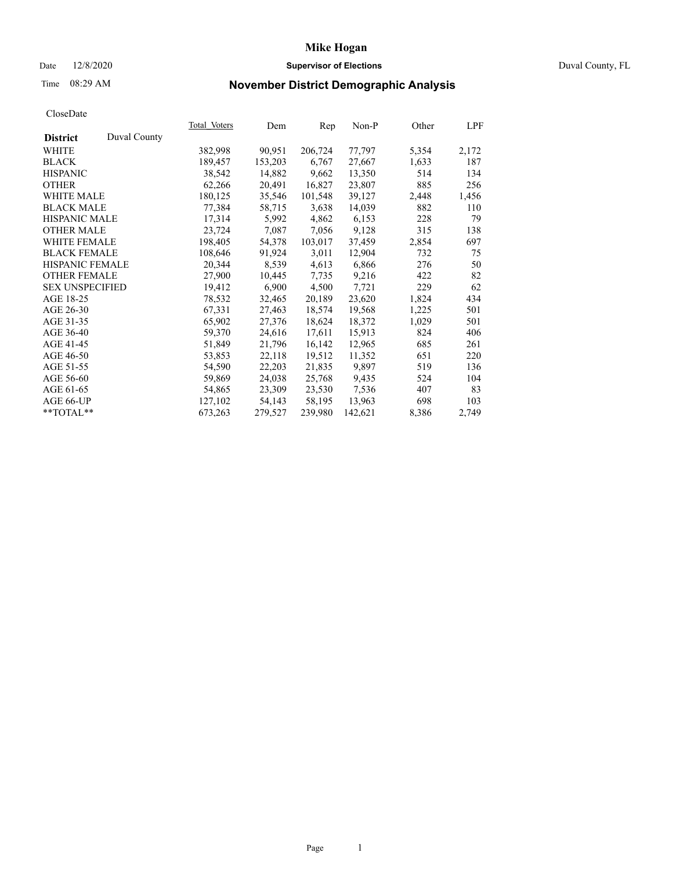### Date 12/8/2020 **Supervisor of Elections** Duval County, FL

# Time 08:29 AM **November District Demographic Analysis**

|                        |              | Total Voters | Dem     | Rep     | $Non-P$ | Other | LPF   |
|------------------------|--------------|--------------|---------|---------|---------|-------|-------|
| <b>District</b>        | Duval County |              |         |         |         |       |       |
| WHITE                  |              | 382,998      | 90,951  | 206,724 | 77,797  | 5,354 | 2,172 |
| <b>BLACK</b>           |              | 189,457      | 153,203 | 6,767   | 27,667  | 1,633 | 187   |
| <b>HISPANIC</b>        |              | 38,542       | 14,882  | 9,662   | 13,350  | 514   | 134   |
| <b>OTHER</b>           |              | 62,266       | 20,491  | 16,827  | 23,807  | 885   | 256   |
| <b>WHITE MALE</b>      |              | 180,125      | 35,546  | 101,548 | 39,127  | 2,448 | 1,456 |
| <b>BLACK MALE</b>      |              | 77,384       | 58,715  | 3,638   | 14,039  | 882   | 110   |
| <b>HISPANIC MALE</b>   |              | 17,314       | 5,992   | 4,862   | 6,153   | 228   | 79    |
| <b>OTHER MALE</b>      |              | 23,724       | 7,087   | 7,056   | 9,128   | 315   | 138   |
| <b>WHITE FEMALE</b>    |              | 198,405      | 54,378  | 103,017 | 37,459  | 2,854 | 697   |
| <b>BLACK FEMALE</b>    |              | 108,646      | 91,924  | 3,011   | 12,904  | 732   | 75    |
| HISPANIC FEMALE        |              | 20,344       | 8,539   | 4,613   | 6,866   | 276   | 50    |
| <b>OTHER FEMALE</b>    |              | 27,900       | 10,445  | 7,735   | 9,216   | 422   | 82    |
| <b>SEX UNSPECIFIED</b> |              | 19,412       | 6,900   | 4,500   | 7,721   | 229   | 62    |
| AGE 18-25              |              | 78,532       | 32,465  | 20,189  | 23,620  | 1,824 | 434   |
| AGE 26-30              |              | 67,331       | 27,463  | 18,574  | 19,568  | 1,225 | 501   |
| AGE 31-35              |              | 65,902       | 27,376  | 18,624  | 18,372  | 1,029 | 501   |
| AGE 36-40              |              | 59,370       | 24,616  | 17,611  | 15,913  | 824   | 406   |
| AGE 41-45              |              | 51,849       | 21,796  | 16,142  | 12,965  | 685   | 261   |
| AGE 46-50              |              | 53,853       | 22,118  | 19,512  | 11,352  | 651   | 220   |
| AGE 51-55              |              | 54,590       | 22,203  | 21,835  | 9,897   | 519   | 136   |
| AGE 56-60              |              | 59,869       | 24,038  | 25,768  | 9,435   | 524   | 104   |
| AGE 61-65              |              | 54,865       | 23,309  | 23,530  | 7,536   | 407   | 83    |
| AGE 66-UP              |              | 127,102      | 54,143  | 58,195  | 13,963  | 698   | 103   |
| $*$ TOTAL $*$          |              | 673,263      | 279,527 | 239,980 | 142,621 | 8,386 | 2,749 |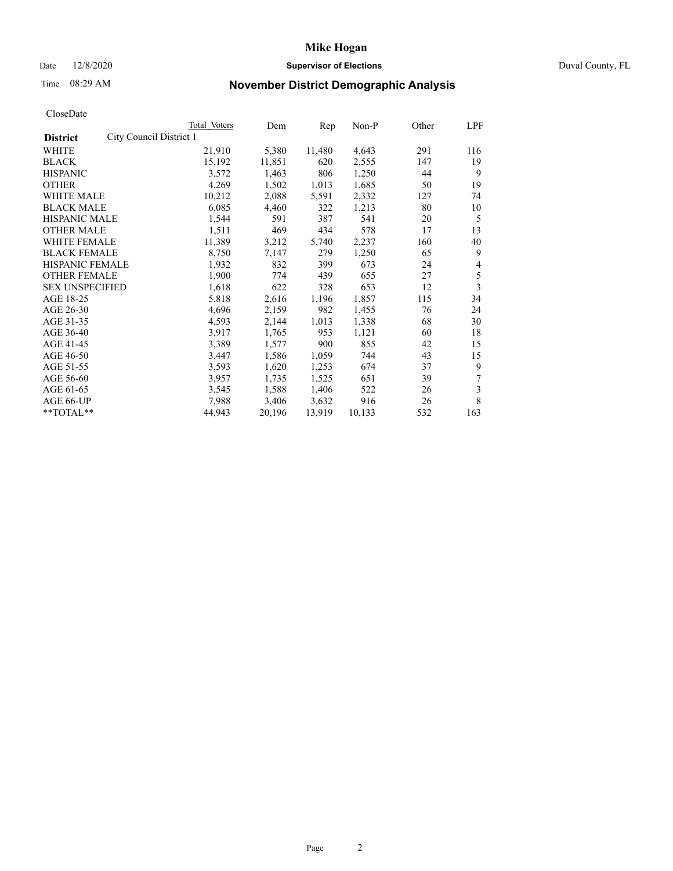### Date 12/8/2020 **Supervisor of Elections** Duval County, FL

# Time 08:29 AM **November District Demographic Analysis**

|                        |                         | <b>Total Voters</b> | Dem    | Rep    | Non-P  | Other | LPF |
|------------------------|-------------------------|---------------------|--------|--------|--------|-------|-----|
| <b>District</b>        | City Council District 1 |                     |        |        |        |       |     |
| WHITE                  |                         | 21,910              | 5,380  | 11,480 | 4,643  | 291   | 116 |
| <b>BLACK</b>           |                         | 15,192              | 11,851 | 620    | 2,555  | 147   | 19  |
| <b>HISPANIC</b>        |                         | 3,572               | 1,463  | 806    | 1,250  | 44    | 9   |
| <b>OTHER</b>           |                         | 4,269               | 1,502  | 1,013  | 1,685  | 50    | 19  |
| WHITE MALE             |                         | 10,212              | 2,088  | 5,591  | 2,332  | 127   | 74  |
| <b>BLACK MALE</b>      |                         | 6,085               | 4,460  | 322    | 1,213  | 80    | 10  |
| <b>HISPANIC MALE</b>   |                         | 1,544               | 591    | 387    | 541    | 20    | 5   |
| <b>OTHER MALE</b>      |                         | 1,511               | 469    | 434    | 578    | 17    | 13  |
| WHITE FEMALE           |                         | 11,389              | 3,212  | 5,740  | 2,237  | 160   | 40  |
| <b>BLACK FEMALE</b>    |                         | 8,750               | 7,147  | 279    | 1,250  | 65    | 9   |
| HISPANIC FEMALE        |                         | 1,932               | 832    | 399    | 673    | 24    | 4   |
| <b>OTHER FEMALE</b>    |                         | 1,900               | 774    | 439    | 655    | 27    | 5   |
| <b>SEX UNSPECIFIED</b> |                         | 1,618               | 622    | 328    | 653    | 12    | 3   |
| AGE 18-25              |                         | 5,818               | 2,616  | 1,196  | 1,857  | 115   | 34  |
| AGE 26-30              |                         | 4,696               | 2,159  | 982    | 1,455  | 76    | 24  |
| AGE 31-35              |                         | 4,593               | 2,144  | 1,013  | 1,338  | 68    | 30  |
| AGE 36-40              |                         | 3,917               | 1,765  | 953    | 1,121  | 60    | 18  |
| AGE 41-45              |                         | 3,389               | 1,577  | 900    | 855    | 42    | 15  |
| AGE 46-50              |                         | 3,447               | 1,586  | 1,059  | 744    | 43    | 15  |
| AGE 51-55              |                         | 3,593               | 1,620  | 1,253  | 674    | 37    | 9   |
| AGE 56-60              |                         | 3,957               | 1,735  | 1,525  | 651    | 39    | 7   |
| AGE 61-65              |                         | 3,545               | 1,588  | 1,406  | 522    | 26    | 3   |
| AGE 66-UP              |                         | 7,988               | 3,406  | 3,632  | 916    | 26    | 8   |
| **TOTAL**              |                         | 44,943              | 20,196 | 13,919 | 10,133 | 532   | 163 |
|                        |                         |                     |        |        |        |       |     |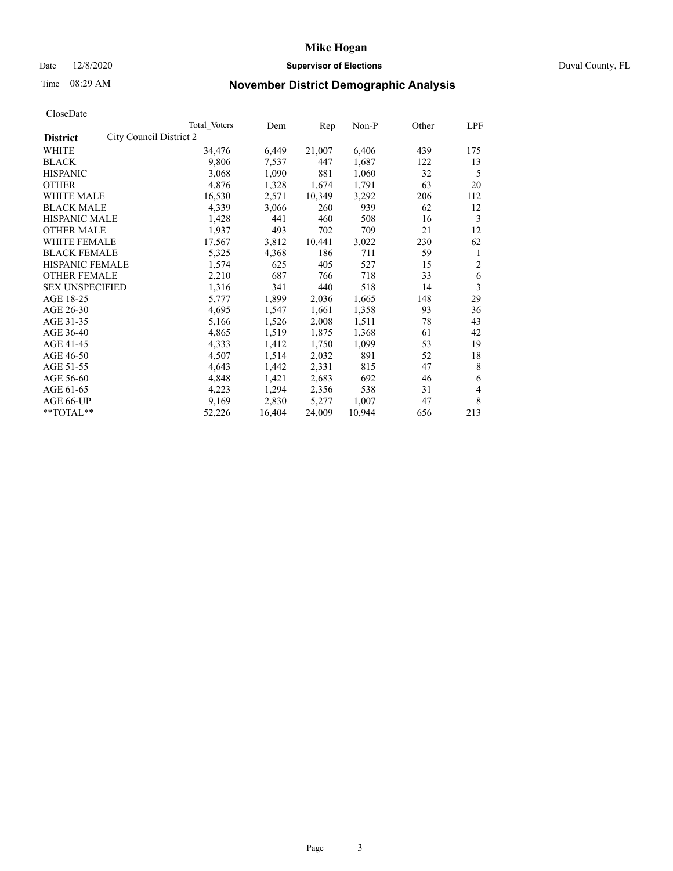# Date 12/8/2020 **Supervisor of Elections** Duval County, FL

# Time 08:29 AM **November District Demographic Analysis**

|                                            | Total Voters | Dem    | Rep    | Non-P  | Other | LPF            |
|--------------------------------------------|--------------|--------|--------|--------|-------|----------------|
| City Council District 2<br><b>District</b> |              |        |        |        |       |                |
| WHITE                                      | 34,476       | 6,449  | 21,007 | 6,406  | 439   | 175            |
| <b>BLACK</b>                               | 9,806        | 7,537  | 447    | 1,687  | 122   | 13             |
| <b>HISPANIC</b>                            | 3,068        | 1,090  | 881    | 1,060  | 32    | 5              |
| <b>OTHER</b>                               | 4,876        | 1,328  | 1,674  | 1,791  | 63    | 20             |
| WHITE MALE                                 | 16,530       | 2,571  | 10,349 | 3,292  | 206   | 112            |
| <b>BLACK MALE</b>                          | 4,339        | 3,066  | 260    | 939    | 62    | 12             |
| <b>HISPANIC MALE</b>                       | 1,428        | 441    | 460    | 508    | 16    | 3              |
| <b>OTHER MALE</b>                          | 1,937        | 493    | 702    | 709    | 21    | 12             |
| <b>WHITE FEMALE</b>                        | 17,567       | 3,812  | 10,441 | 3,022  | 230   | 62             |
| <b>BLACK FEMALE</b>                        | 5,325        | 4,368  | 186    | 711    | 59    | 1              |
| <b>HISPANIC FEMALE</b>                     | 1,574        | 625    | 405    | 527    | 15    | $\overline{c}$ |
| <b>OTHER FEMALE</b>                        | 2,210        | 687    | 766    | 718    | 33    | 6              |
| <b>SEX UNSPECIFIED</b>                     | 1,316        | 341    | 440    | 518    | 14    | 3              |
| AGE 18-25                                  | 5,777        | 1,899  | 2,036  | 1,665  | 148   | 29             |
| AGE 26-30                                  | 4,695        | 1,547  | 1,661  | 1,358  | 93    | 36             |
| AGE 31-35                                  | 5,166        | 1,526  | 2,008  | 1,511  | 78    | 43             |
| AGE 36-40                                  | 4,865        | 1,519  | 1,875  | 1,368  | 61    | 42             |
| AGE 41-45                                  | 4,333        | 1,412  | 1,750  | 1,099  | 53    | 19             |
| AGE 46-50                                  | 4,507        | 1,514  | 2,032  | 891    | 52    | 18             |
| AGE 51-55                                  | 4,643        | 1,442  | 2,331  | 815    | 47    | 8              |
| AGE 56-60                                  | 4,848        | 1,421  | 2,683  | 692    | 46    | 6              |
| AGE 61-65                                  | 4,223        | 1,294  | 2,356  | 538    | 31    | 4              |
| AGE 66-UP                                  | 9,169        | 2,830  | 5,277  | 1,007  | 47    | 8              |
| $*$ TOTAL $*$                              | 52,226       | 16,404 | 24,009 | 10,944 | 656   | 213            |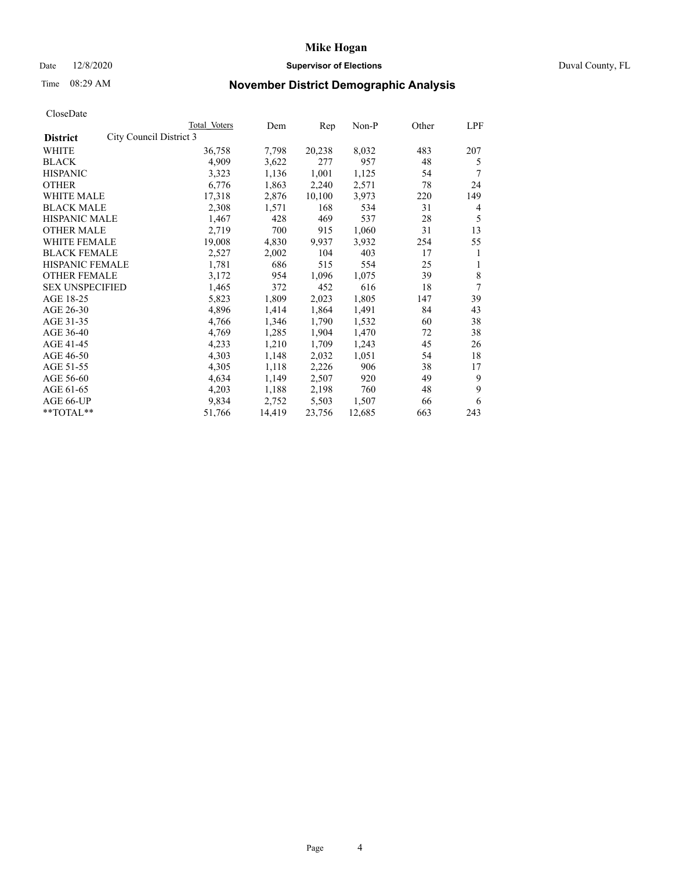# Date 12/8/2020 **Supervisor of Elections** Duval County, FL

# Time 08:29 AM **November District Demographic Analysis**

| Total Voters | Dem                     | Rep    | Non-P  | Other | LPF |
|--------------|-------------------------|--------|--------|-------|-----|
|              |                         |        |        |       |     |
| 36,758       | 7,798                   | 20,238 | 8,032  | 483   | 207 |
| 4,909        | 3,622                   | 277    | 957    | 48    | 5   |
| 3,323        | 1,136                   | 1,001  | 1,125  | 54    | 7   |
| 6,776        | 1,863                   | 2,240  | 2,571  | 78    | 24  |
| 17,318       | 2,876                   | 10,100 | 3,973  | 220   | 149 |
| 2,308        | 1,571                   | 168    | 534    | 31    | 4   |
| 1,467        | 428                     | 469    | 537    | 28    | 5   |
| 2,719        | 700                     | 915    | 1,060  | 31    | 13  |
| 19,008       | 4,830                   | 9,937  | 3,932  | 254   | 55  |
| 2,527        | 2,002                   | 104    | 403    | 17    | 1   |
| 1,781        | 686                     | 515    | 554    | 25    | 1   |
| 3,172        | 954                     | 1,096  | 1,075  | 39    | 8   |
| 1,465        | 372                     | 452    | 616    | 18    | 7   |
| 5,823        | 1,809                   | 2,023  | 1,805  | 147   | 39  |
| 4,896        | 1,414                   | 1,864  | 1,491  | 84    | 43  |
| 4,766        | 1,346                   | 1,790  | 1,532  | 60    | 38  |
| 4,769        | 1,285                   | 1,904  | 1,470  | 72    | 38  |
| 4,233        | 1,210                   | 1,709  | 1,243  | 45    | 26  |
| 4,303        | 1,148                   | 2,032  | 1,051  | 54    | 18  |
| 4,305        | 1,118                   | 2,226  | 906    | 38    | 17  |
| 4,634        | 1,149                   | 2,507  | 920    | 49    | 9   |
| 4,203        | 1,188                   | 2,198  | 760    | 48    | 9   |
| 9,834        | 2,752                   | 5,503  | 1,507  | 66    | 6   |
| 51,766       | 14,419                  | 23,756 | 12,685 | 663   | 243 |
|              | City Council District 3 |        |        |       |     |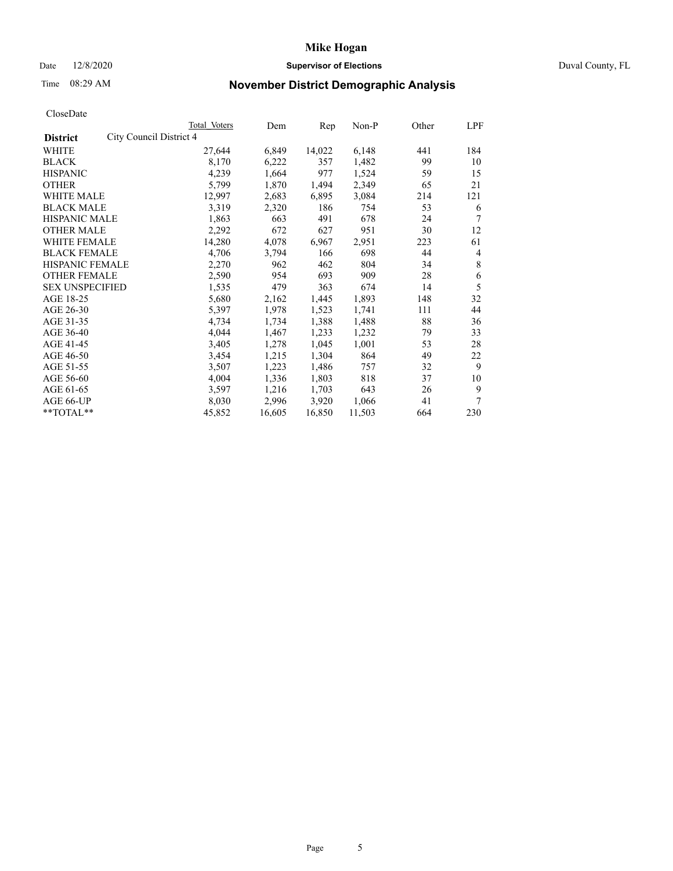# Date 12/8/2020 **Supervisor of Elections** Duval County, FL

# Time 08:29 AM **November District Demographic Analysis**

|                                            | Total Voters | Dem    | Rep    | Non-P  | Other | LPF |
|--------------------------------------------|--------------|--------|--------|--------|-------|-----|
| City Council District 4<br><b>District</b> |              |        |        |        |       |     |
| WHITE                                      | 27,644       | 6,849  | 14,022 | 6,148  | 441   | 184 |
| <b>BLACK</b>                               | 8,170        | 6,222  | 357    | 1,482  | 99    | 10  |
| <b>HISPANIC</b>                            | 4,239        | 1,664  | 977    | 1,524  | 59    | 15  |
| <b>OTHER</b>                               | 5,799        | 1,870  | 1,494  | 2,349  | 65    | 21  |
| WHITE MALE                                 | 12,997       | 2,683  | 6,895  | 3,084  | 214   | 121 |
| <b>BLACK MALE</b>                          | 3,319        | 2,320  | 186    | 754    | 53    | 6   |
| <b>HISPANIC MALE</b>                       | 1,863        | 663    | 491    | 678    | 24    | 7   |
| <b>OTHER MALE</b>                          | 2,292        | 672    | 627    | 951    | 30    | 12  |
| WHITE FEMALE                               | 14,280       | 4,078  | 6,967  | 2,951  | 223   | 61  |
| <b>BLACK FEMALE</b>                        | 4,706        | 3,794  | 166    | 698    | 44    | 4   |
| HISPANIC FEMALE                            | 2,270        | 962    | 462    | 804    | 34    | 8   |
| <b>OTHER FEMALE</b>                        | 2,590        | 954    | 693    | 909    | 28    | 6   |
| <b>SEX UNSPECIFIED</b>                     | 1,535        | 479    | 363    | 674    | 14    | 5   |
| AGE 18-25                                  | 5,680        | 2,162  | 1,445  | 1,893  | 148   | 32  |
| AGE 26-30                                  | 5,397        | 1,978  | 1,523  | 1,741  | 111   | 44  |
| AGE 31-35                                  | 4,734        | 1,734  | 1,388  | 1,488  | 88    | 36  |
| AGE 36-40                                  | 4,044        | 1,467  | 1,233  | 1,232  | 79    | 33  |
| AGE 41-45                                  | 3,405        | 1,278  | 1,045  | 1,001  | 53    | 28  |
| AGE 46-50                                  | 3,454        | 1,215  | 1,304  | 864    | 49    | 22  |
| AGE 51-55                                  | 3,507        | 1,223  | 1,486  | 757    | 32    | 9   |
| AGE 56-60                                  | 4,004        | 1,336  | 1,803  | 818    | 37    | 10  |
| AGE 61-65                                  | 3,597        | 1,216  | 1,703  | 643    | 26    | 9   |
| AGE 66-UP                                  | 8,030        | 2,996  | 3,920  | 1,066  | 41    | 7   |
| **TOTAL**                                  | 45,852       | 16,605 | 16,850 | 11,503 | 664   | 230 |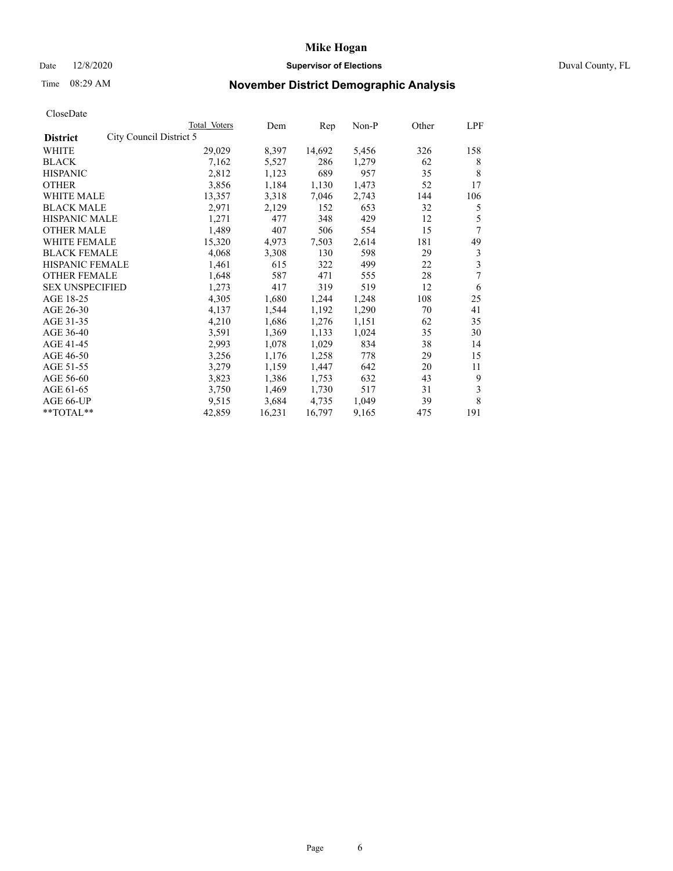# Date 12/8/2020 **Supervisor of Elections** Duval County, FL

# Time 08:29 AM **November District Demographic Analysis**

|                                            | Total Voters | Dem    | Rep    | Non-P | Other | LPF |
|--------------------------------------------|--------------|--------|--------|-------|-------|-----|
| City Council District 5<br><b>District</b> |              |        |        |       |       |     |
| WHITE                                      | 29,029       | 8,397  | 14,692 | 5,456 | 326   | 158 |
| <b>BLACK</b>                               | 7,162        | 5,527  | 286    | 1,279 | 62    | 8   |
| <b>HISPANIC</b>                            | 2,812        | 1,123  | 689    | 957   | 35    | 8   |
| <b>OTHER</b>                               | 3,856        | 1,184  | 1,130  | 1,473 | 52    | 17  |
| WHITE MALE                                 | 13,357       | 3,318  | 7,046  | 2,743 | 144   | 106 |
| <b>BLACK MALE</b>                          | 2,971        | 2,129  | 152    | 653   | 32    | 5   |
| <b>HISPANIC MALE</b>                       | 1,271        | 477    | 348    | 429   | 12    | 5   |
| <b>OTHER MALE</b>                          | 1,489        | 407    | 506    | 554   | 15    | 7   |
| <b>WHITE FEMALE</b>                        | 15,320       | 4,973  | 7,503  | 2,614 | 181   | 49  |
| <b>BLACK FEMALE</b>                        | 4,068        | 3,308  | 130    | 598   | 29    | 3   |
| <b>HISPANIC FEMALE</b>                     | 1,461        | 615    | 322    | 499   | 22    | 3   |
| <b>OTHER FEMALE</b>                        | 1,648        | 587    | 471    | 555   | 28    | 7   |
| <b>SEX UNSPECIFIED</b>                     | 1,273        | 417    | 319    | 519   | 12    | 6   |
| AGE 18-25                                  | 4,305        | 1,680  | 1,244  | 1,248 | 108   | 25  |
| AGE 26-30                                  | 4,137        | 1,544  | 1,192  | 1,290 | 70    | 41  |
| AGE 31-35                                  | 4,210        | 1,686  | 1,276  | 1,151 | 62    | 35  |
| AGE 36-40                                  | 3,591        | 1,369  | 1,133  | 1,024 | 35    | 30  |
| AGE 41-45                                  | 2,993        | 1,078  | 1,029  | 834   | 38    | 14  |
| AGE 46-50                                  | 3,256        | 1,176  | 1,258  | 778   | 29    | 15  |
| AGE 51-55                                  | 3,279        | 1,159  | 1,447  | 642   | 20    | 11  |
| AGE 56-60                                  | 3,823        | 1,386  | 1,753  | 632   | 43    | 9   |
| AGE 61-65                                  | 3,750        | 1,469  | 1,730  | 517   | 31    | 3   |
| AGE 66-UP                                  | 9,515        | 3,684  | 4,735  | 1,049 | 39    | 8   |
| $*$ TOTAL $*$                              | 42,859       | 16,231 | 16,797 | 9,165 | 475   | 191 |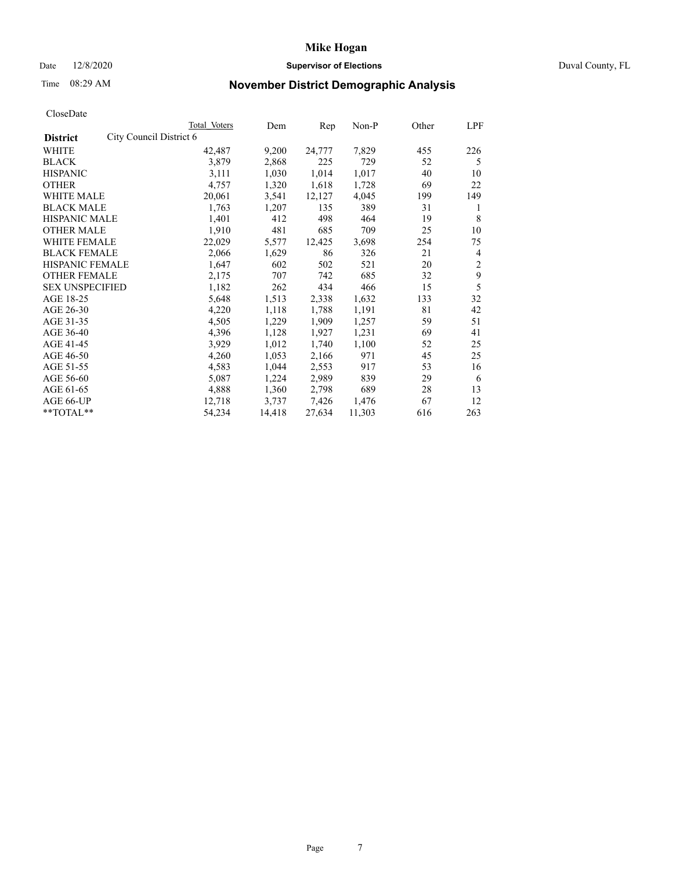### Date 12/8/2020 **Supervisor of Elections** Duval County, FL

# Time 08:29 AM **November District Demographic Analysis**

| Total Voters | Dem                     | Rep    | $Non-P$ | Other | LPF            |
|--------------|-------------------------|--------|---------|-------|----------------|
|              |                         |        |         |       |                |
| 42,487       | 9,200                   | 24,777 | 7,829   | 455   | 226            |
| 3,879        | 2,868                   | 225    | 729     | 52    | 5              |
| 3,111        | 1,030                   | 1,014  | 1,017   | 40    | 10             |
| 4,757        | 1,320                   | 1,618  | 1,728   | 69    | 22             |
| 20,061       | 3,541                   | 12,127 | 4,045   | 199   | 149            |
| 1,763        | 1,207                   | 135    | 389     | 31    | 1              |
| 1,401        | 412                     | 498    | 464     | 19    | 8              |
| 1,910        | 481                     | 685    | 709     | 25    | 10             |
| 22,029       | 5,577                   | 12,425 | 3,698   | 254   | 75             |
| 2,066        | 1,629                   | 86     | 326     | 21    | $\overline{4}$ |
| 1,647        | 602                     | 502    | 521     | 20    | $\overline{c}$ |
| 2,175        | 707                     | 742    | 685     | 32    | 9              |
| 1,182        | 262                     | 434    | 466     | 15    | 5              |
| 5,648        | 1,513                   | 2,338  | 1,632   | 133   | 32             |
| 4,220        | 1,118                   | 1,788  | 1,191   | 81    | 42             |
| 4,505        | 1,229                   | 1,909  | 1,257   | 59    | 51             |
| 4,396        | 1,128                   | 1,927  | 1,231   | 69    | 41             |
| 3,929        | 1,012                   | 1,740  | 1,100   | 52    | 25             |
| 4,260        | 1,053                   | 2,166  | 971     | 45    | 25             |
| 4,583        | 1,044                   | 2,553  | 917     | 53    | 16             |
| 5,087        | 1,224                   | 2,989  | 839     | 29    | 6              |
| 4,888        | 1,360                   | 2,798  | 689     | 28    | 13             |
| 12,718       | 3,737                   | 7,426  | 1,476   | 67    | 12             |
| 54,234       | 14,418                  | 27,634 | 11,303  | 616   | 263            |
|              | City Council District 6 |        |         |       |                |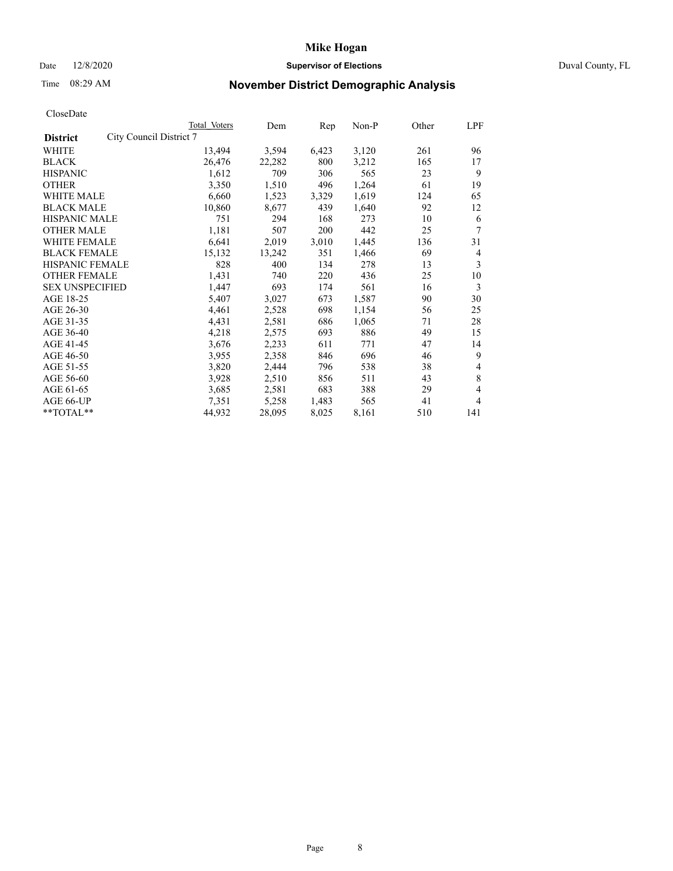# Date 12/8/2020 **Supervisor of Elections** Duval County, FL

# Time 08:29 AM **November District Demographic Analysis**

| Total Voters            | Dem    | Rep   | Non-P | Other | LPF |
|-------------------------|--------|-------|-------|-------|-----|
| City Council District 7 |        |       |       |       |     |
| 13,494                  | 3,594  | 6,423 | 3,120 | 261   | 96  |
| 26,476                  | 22,282 | 800   | 3,212 | 165   | 17  |
| 1,612                   | 709    | 306   | 565   | 23    | 9   |
| 3,350                   | 1,510  | 496   | 1,264 | 61    | 19  |
| 6,660                   | 1,523  | 3,329 | 1,619 | 124   | 65  |
| 10,860                  | 8,677  | 439   | 1,640 | 92    | 12  |
| 751                     | 294    | 168   | 273   | 10    | 6   |
| 1,181                   | 507    | 200   | 442   | 25    | 7   |
| 6,641                   | 2,019  | 3,010 | 1,445 | 136   | 31  |
| 15,132                  | 13,242 | 351   | 1,466 | 69    | 4   |
| 828                     | 400    | 134   | 278   | 13    | 3   |
| 1,431                   | 740    | 220   | 436   | 25    | 10  |
| 1,447                   | 693    | 174   | 561   | 16    | 3   |
| 5,407                   | 3,027  | 673   | 1,587 | 90    | 30  |
| 4,461                   | 2,528  | 698   | 1,154 | 56    | 25  |
| 4,431                   | 2,581  | 686   | 1,065 | 71    | 28  |
| 4,218                   | 2,575  | 693   | 886   | 49    | 15  |
| 3,676                   | 2,233  | 611   | 771   | 47    | 14  |
| 3,955                   | 2,358  | 846   | 696   | 46    | 9   |
| 3,820                   | 2,444  | 796   | 538   | 38    | 4   |
| 3,928                   | 2,510  | 856   | 511   | 43    | 8   |
| 3,685                   | 2,581  | 683   | 388   | 29    | 4   |
| 7,351                   | 5,258  | 1,483 | 565   | 41    | 4   |
| 44,932                  | 28,095 | 8,025 | 8,161 | 510   | 141 |
|                         |        |       |       |       |     |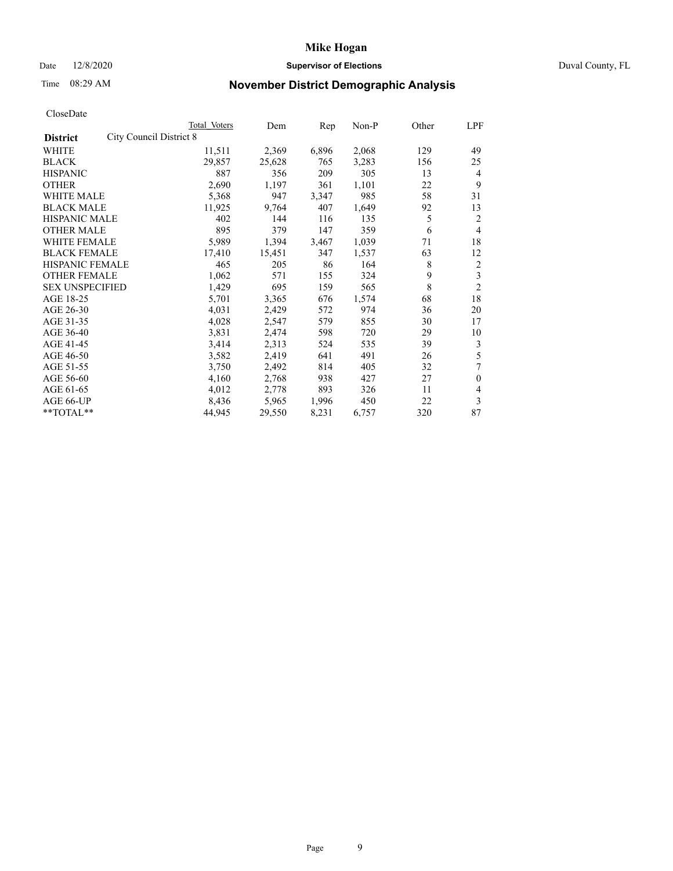# Date 12/8/2020 **Supervisor of Elections** Duval County, FL

# Time 08:29 AM **November District Demographic Analysis**

| Total Voters | Dem                     | Rep   | Non-P | Other | LPF            |
|--------------|-------------------------|-------|-------|-------|----------------|
|              |                         |       |       |       |                |
| 11,511       | 2,369                   | 6,896 | 2,068 | 129   | 49             |
| 29,857       | 25,628                  | 765   | 3,283 | 156   | 25             |
| 887          | 356                     | 209   | 305   | 13    | 4              |
| 2,690        | 1,197                   | 361   | 1,101 | 22    | 9              |
| 5,368        | 947                     | 3,347 | 985   | 58    | 31             |
| 11,925       | 9,764                   | 407   | 1,649 | 92    | 13             |
| 402          | 144                     | 116   | 135   | 5     | 2              |
| 895          | 379                     | 147   | 359   | 6     | $\overline{4}$ |
| 5,989        | 1,394                   | 3,467 | 1,039 | 71    | 18             |
| 17,410       | 15,451                  | 347   | 1,537 | 63    | 12             |
| 465          | 205                     | 86    | 164   | 8     | 2              |
| 1,062        | 571                     | 155   | 324   | 9     | 3              |
| 1,429        | 695                     | 159   | 565   | 8     | $\overline{2}$ |
| 5,701        | 3,365                   | 676   | 1,574 | 68    | 18             |
| 4,031        | 2,429                   | 572   | 974   | 36    | 20             |
| 4,028        | 2,547                   | 579   | 855   | 30    | 17             |
| 3,831        | 2,474                   | 598   | 720   | 29    | 10             |
| 3,414        | 2,313                   | 524   | 535   | 39    | 3              |
| 3,582        | 2,419                   | 641   | 491   | 26    | 5              |
| 3,750        | 2,492                   | 814   | 405   | 32    | 7              |
| 4,160        | 2,768                   | 938   | 427   | 27    | $\theta$       |
| 4,012        | 2,778                   | 893   | 326   | 11    | 4              |
| 8,436        | 5,965                   | 1,996 | 450   | 22    | 3              |
| 44,945       | 29,550                  | 8,231 | 6,757 | 320   | 87             |
|              | City Council District 8 |       |       |       |                |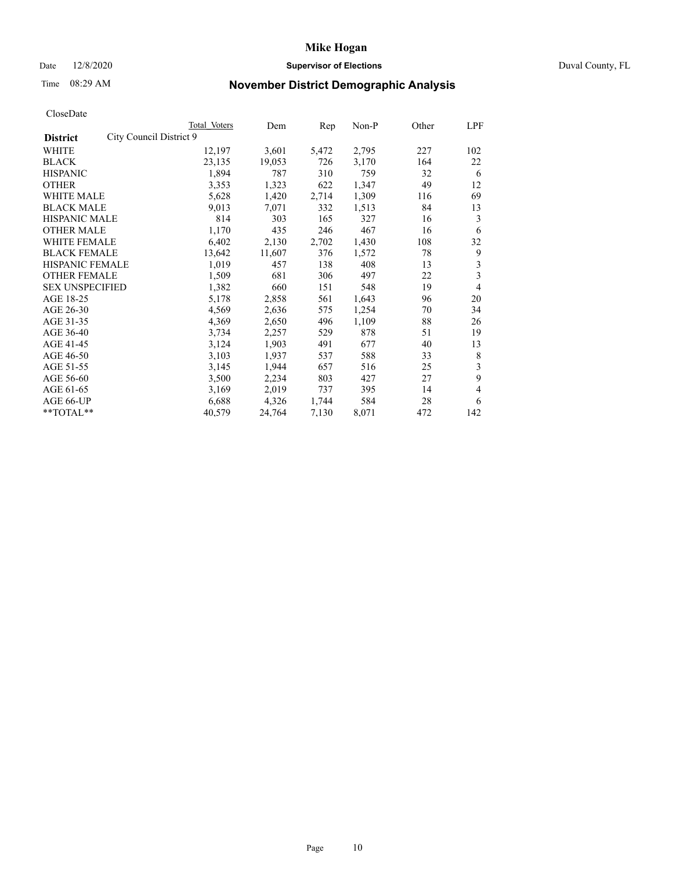# Date 12/8/2020 **Supervisor of Elections** Duval County, FL

# Time 08:29 AM **November District Demographic Analysis**

|                                            | Total Voters | Dem    | Rep   | Non-P | Other | LPF |
|--------------------------------------------|--------------|--------|-------|-------|-------|-----|
| City Council District 9<br><b>District</b> |              |        |       |       |       |     |
| WHITE                                      | 12,197       | 3,601  | 5,472 | 2,795 | 227   | 102 |
| <b>BLACK</b>                               | 23,135       | 19,053 | 726   | 3,170 | 164   | 22  |
| <b>HISPANIC</b>                            | 1,894        | 787    | 310   | 759   | 32    | 6   |
| <b>OTHER</b>                               | 3,353        | 1,323  | 622   | 1,347 | 49    | 12  |
| WHITE MALE                                 | 5,628        | 1,420  | 2,714 | 1,309 | 116   | 69  |
| <b>BLACK MALE</b>                          | 9,013        | 7,071  | 332   | 1,513 | 84    | 13  |
| <b>HISPANIC MALE</b>                       | 814          | 303    | 165   | 327   | 16    | 3   |
| <b>OTHER MALE</b>                          | 1,170        | 435    | 246   | 467   | 16    | 6   |
| <b>WHITE FEMALE</b>                        | 6,402        | 2,130  | 2,702 | 1,430 | 108   | 32  |
| <b>BLACK FEMALE</b>                        | 13,642       | 11,607 | 376   | 1,572 | 78    | 9   |
| <b>HISPANIC FEMALE</b>                     | 1,019        | 457    | 138   | 408   | 13    | 3   |
| <b>OTHER FEMALE</b>                        | 1,509        | 681    | 306   | 497   | 22    | 3   |
| <b>SEX UNSPECIFIED</b>                     | 1,382        | 660    | 151   | 548   | 19    | 4   |
| AGE 18-25                                  | 5,178        | 2,858  | 561   | 1,643 | 96    | 20  |
| AGE 26-30                                  | 4,569        | 2,636  | 575   | 1,254 | 70    | 34  |
| AGE 31-35                                  | 4,369        | 2,650  | 496   | 1,109 | 88    | 26  |
| AGE 36-40                                  | 3,734        | 2,257  | 529   | 878   | 51    | 19  |
| AGE 41-45                                  | 3,124        | 1,903  | 491   | 677   | 40    | 13  |
| AGE 46-50                                  | 3,103        | 1,937  | 537   | 588   | 33    | 8   |
| AGE 51-55                                  | 3,145        | 1,944  | 657   | 516   | 25    | 3   |
| AGE 56-60                                  | 3,500        | 2,234  | 803   | 427   | 27    | 9   |
| AGE 61-65                                  | 3,169        | 2,019  | 737   | 395   | 14    | 4   |
| AGE 66-UP                                  | 6,688        | 4,326  | 1,744 | 584   | 28    | 6   |
| **TOTAL**                                  | 40,579       | 24,764 | 7,130 | 8,071 | 472   | 142 |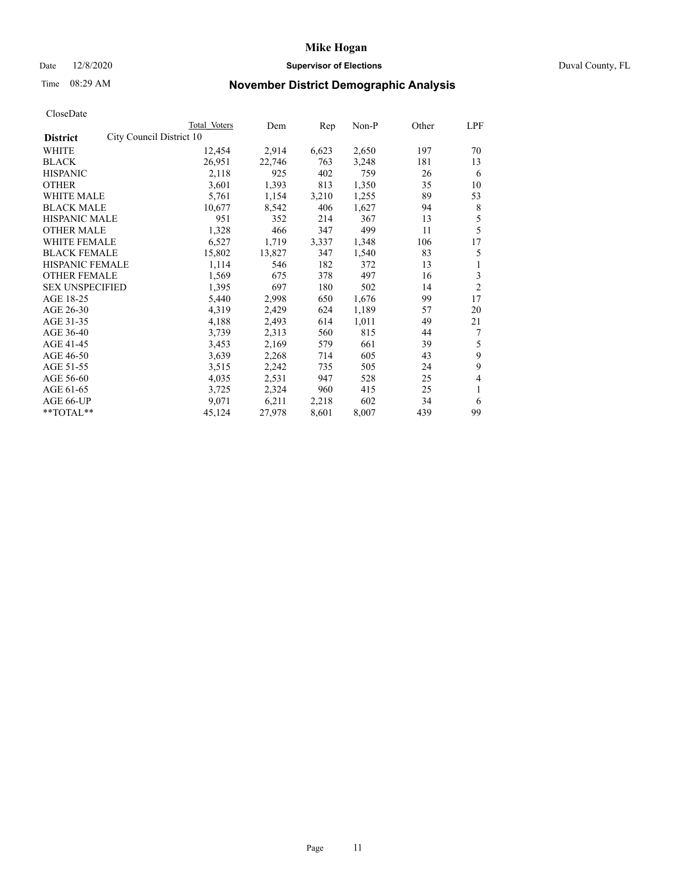# Date 12/8/2020 **Supervisor of Elections** Duval County, FL

# Time 08:29 AM **November District Demographic Analysis**

|                                             | Total Voters | Dem    | Rep   | Non-P | Other | LPF            |
|---------------------------------------------|--------------|--------|-------|-------|-------|----------------|
| City Council District 10<br><b>District</b> |              |        |       |       |       |                |
| WHITE                                       | 12,454       | 2,914  | 6,623 | 2,650 | 197   | 70             |
| <b>BLACK</b>                                | 26,951       | 22,746 | 763   | 3,248 | 181   | 13             |
| <b>HISPANIC</b>                             | 2,118        | 925    | 402   | 759   | 26    | 6              |
| <b>OTHER</b>                                | 3,601        | 1,393  | 813   | 1,350 | 35    | 10             |
| WHITE MALE                                  | 5,761        | 1,154  | 3,210 | 1,255 | 89    | 53             |
| <b>BLACK MALE</b>                           | 10,677       | 8,542  | 406   | 1,627 | 94    | 8              |
| <b>HISPANIC MALE</b>                        | 951          | 352    | 214   | 367   | 13    | 5              |
| <b>OTHER MALE</b>                           | 1,328        | 466    | 347   | 499   | 11    | 5              |
| <b>WHITE FEMALE</b>                         | 6,527        | 1,719  | 3,337 | 1,348 | 106   | 17             |
| <b>BLACK FEMALE</b>                         | 15,802       | 13,827 | 347   | 1,540 | 83    | 5              |
| <b>HISPANIC FEMALE</b>                      | 1,114        | 546    | 182   | 372   | 13    | 1              |
| <b>OTHER FEMALE</b>                         | 1,569        | 675    | 378   | 497   | 16    | 3              |
| <b>SEX UNSPECIFIED</b>                      | 1,395        | 697    | 180   | 502   | 14    | $\overline{2}$ |
| AGE 18-25                                   | 5,440        | 2,998  | 650   | 1,676 | 99    | 17             |
| AGE 26-30                                   | 4,319        | 2,429  | 624   | 1,189 | 57    | 20             |
| AGE 31-35                                   | 4,188        | 2,493  | 614   | 1,011 | 49    | 21             |
| AGE 36-40                                   | 3,739        | 2,313  | 560   | 815   | 44    | 7              |
| AGE 41-45                                   | 3,453        | 2,169  | 579   | 661   | 39    | 5              |
| AGE 46-50                                   | 3,639        | 2,268  | 714   | 605   | 43    | 9              |
| AGE 51-55                                   | 3,515        | 2,242  | 735   | 505   | 24    | 9              |
| AGE 56-60                                   | 4,035        | 2,531  | 947   | 528   | 25    | 4              |
| AGE 61-65                                   | 3,725        | 2,324  | 960   | 415   | 25    | 1              |
| AGE 66-UP                                   | 9,071        | 6,211  | 2,218 | 602   | 34    | 6              |
| **TOTAL**                                   | 45,124       | 27,978 | 8,601 | 8,007 | 439   | 99             |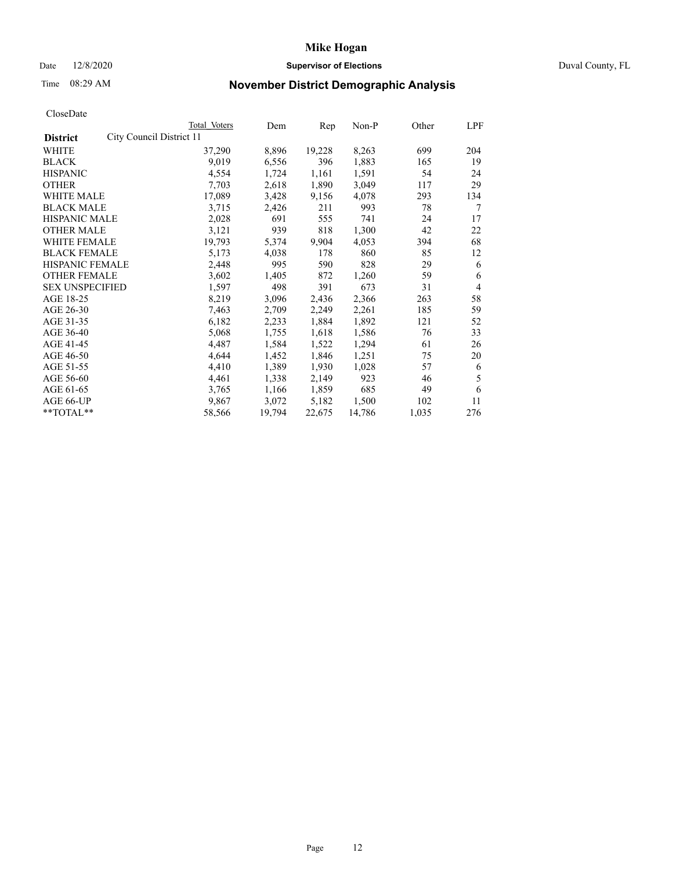# Date 12/8/2020 **Supervisor of Elections** Duval County, FL

# Time 08:29 AM **November District Demographic Analysis**

| Total Voters | Dem                      | Rep    | Non-P  | Other | LPF |
|--------------|--------------------------|--------|--------|-------|-----|
|              |                          |        |        |       |     |
| 37,290       | 8,896                    | 19,228 | 8,263  | 699   | 204 |
| 9,019        | 6,556                    | 396    | 1,883  | 165   | 19  |
| 4,554        | 1,724                    | 1,161  | 1,591  | 54    | 24  |
| 7,703        | 2,618                    | 1,890  | 3,049  | 117   | 29  |
| 17,089       | 3,428                    | 9,156  | 4,078  | 293   | 134 |
| 3,715        | 2,426                    | 211    | 993    | 78    | 7   |
| 2,028        | 691                      | 555    | 741    | 24    | 17  |
| 3,121        | 939                      | 818    | 1,300  | 42    | 22  |
| 19,793       | 5,374                    | 9,904  | 4,053  | 394   | 68  |
| 5,173        | 4,038                    | 178    | 860    | 85    | 12  |
| 2,448        | 995                      | 590    | 828    | 29    | 6   |
| 3,602        | 1,405                    | 872    | 1,260  | 59    | 6   |
| 1,597        | 498                      | 391    | 673    | 31    | 4   |
| 8,219        | 3,096                    | 2,436  | 2,366  | 263   | 58  |
| 7,463        | 2,709                    | 2,249  | 2,261  | 185   | 59  |
| 6,182        | 2,233                    | 1,884  | 1,892  | 121   | 52  |
| 5,068        | 1,755                    | 1,618  | 1,586  | 76    | 33  |
| 4,487        | 1,584                    | 1,522  | 1,294  | 61    | 26  |
| 4,644        | 1,452                    | 1,846  | 1,251  | 75    | 20  |
| 4,410        | 1,389                    | 1,930  | 1,028  | 57    | 6   |
| 4,461        | 1,338                    | 2,149  | 923    | 46    | 5   |
| 3,765        | 1,166                    | 1,859  | 685    | 49    | 6   |
| 9.867        | 3,072                    | 5,182  | 1,500  | 102   | 11  |
| 58,566       | 19,794                   | 22,675 | 14,786 | 1,035 | 276 |
|              | City Council District 11 |        |        |       |     |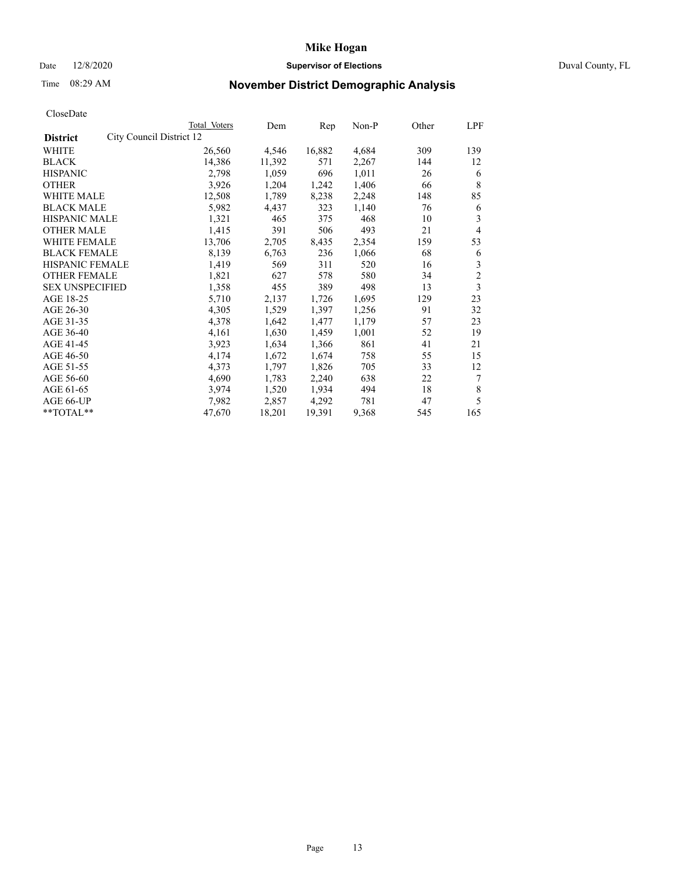# Date 12/8/2020 **Supervisor of Elections** Duval County, FL

# Time 08:29 AM **November District Demographic Analysis**

|                                             | Total Voters | Dem    | Rep    | Non-P | Other | LPF            |
|---------------------------------------------|--------------|--------|--------|-------|-------|----------------|
| City Council District 12<br><b>District</b> |              |        |        |       |       |                |
| WHITE                                       | 26,560       | 4,546  | 16,882 | 4,684 | 309   | 139            |
| <b>BLACK</b>                                | 14,386       | 11,392 | 571    | 2,267 | 144   | 12             |
| <b>HISPANIC</b>                             | 2,798        | 1,059  | 696    | 1,011 | 26    | 6              |
| <b>OTHER</b>                                | 3,926        | 1,204  | 1,242  | 1,406 | 66    | 8              |
| WHITE MALE                                  | 12,508       | 1,789  | 8,238  | 2,248 | 148   | 85             |
| <b>BLACK MALE</b>                           | 5,982        | 4,437  | 323    | 1,140 | 76    | 6              |
| <b>HISPANIC MALE</b>                        | 1,321        | 465    | 375    | 468   | 10    | 3              |
| <b>OTHER MALE</b>                           | 1,415        | 391    | 506    | 493   | 21    | 4              |
| <b>WHITE FEMALE</b>                         | 13,706       | 2,705  | 8,435  | 2,354 | 159   | 53             |
| <b>BLACK FEMALE</b>                         | 8,139        | 6,763  | 236    | 1,066 | 68    | 6              |
| <b>HISPANIC FEMALE</b>                      | 1,419        | 569    | 311    | 520   | 16    | 3              |
| <b>OTHER FEMALE</b>                         | 1,821        | 627    | 578    | 580   | 34    | $\overline{2}$ |
| <b>SEX UNSPECIFIED</b>                      | 1,358        | 455    | 389    | 498   | 13    | 3              |
| AGE 18-25                                   | 5,710        | 2,137  | 1,726  | 1,695 | 129   | 23             |
| AGE 26-30                                   | 4,305        | 1,529  | 1,397  | 1,256 | 91    | 32             |
| AGE 31-35                                   | 4,378        | 1,642  | 1,477  | 1,179 | 57    | 23             |
| AGE 36-40                                   | 4,161        | 1,630  | 1,459  | 1,001 | 52    | 19             |
| AGE 41-45                                   | 3,923        | 1,634  | 1,366  | 861   | 41    | 21             |
| AGE 46-50                                   | 4,174        | 1,672  | 1,674  | 758   | 55    | 15             |
| AGE 51-55                                   | 4,373        | 1,797  | 1,826  | 705   | 33    | 12             |
| AGE 56-60                                   | 4,690        | 1,783  | 2,240  | 638   | 22    | 7              |
| AGE 61-65                                   | 3,974        | 1,520  | 1,934  | 494   | 18    | 8              |
| AGE 66-UP                                   | 7,982        | 2,857  | 4,292  | 781   | 47    | 5              |
| $*$ $TOTAL**$                               | 47,670       | 18,201 | 19,391 | 9,368 | 545   | 165            |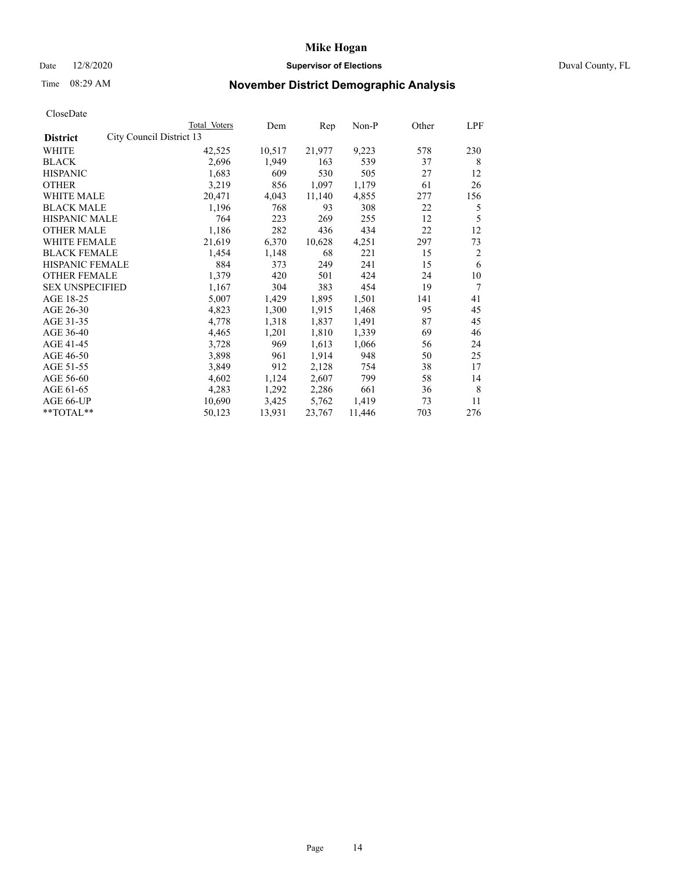# Date 12/8/2020 **Supervisor of Elections** Duval County, FL

# Time 08:29 AM **November District Demographic Analysis**

|                                             | Total Voters | Dem    | Rep    | $Non-P$ | Other | LPF            |
|---------------------------------------------|--------------|--------|--------|---------|-------|----------------|
| City Council District 13<br><b>District</b> |              |        |        |         |       |                |
| WHITE                                       | 42,525       | 10,517 | 21,977 | 9,223   | 578   | 230            |
| <b>BLACK</b>                                | 2,696        | 1,949  | 163    | 539     | 37    | 8              |
| <b>HISPANIC</b>                             | 1,683        | 609    | 530    | 505     | 27    | 12             |
| <b>OTHER</b>                                | 3,219        | 856    | 1,097  | 1,179   | 61    | 26             |
| WHITE MALE                                  | 20,471       | 4,043  | 11,140 | 4,855   | 277   | 156            |
| <b>BLACK MALE</b>                           | 1,196        | 768    | 93     | 308     | 22    | 5              |
| <b>HISPANIC MALE</b>                        | 764          | 223    | 269    | 255     | 12    | 5              |
| <b>OTHER MALE</b>                           | 1,186        | 282    | 436    | 434     | 22    | 12             |
| WHITE FEMALE                                | 21,619       | 6,370  | 10,628 | 4,251   | 297   | 73             |
| <b>BLACK FEMALE</b>                         | 1,454        | 1,148  | 68     | 221     | 15    | $\overline{2}$ |
| HISPANIC FEMALE                             | 884          | 373    | 249    | 241     | 15    | 6              |
| <b>OTHER FEMALE</b>                         | 1,379        | 420    | 501    | 424     | 24    | 10             |
| <b>SEX UNSPECIFIED</b>                      | 1,167        | 304    | 383    | 454     | 19    | 7              |
| AGE 18-25                                   | 5,007        | 1,429  | 1,895  | 1,501   | 141   | 41             |
| AGE 26-30                                   | 4,823        | 1,300  | 1,915  | 1,468   | 95    | 45             |
| AGE 31-35                                   | 4,778        | 1,318  | 1,837  | 1,491   | 87    | 45             |
| AGE 36-40                                   | 4,465        | 1,201  | 1,810  | 1,339   | 69    | 46             |
| AGE 41-45                                   | 3,728        | 969    | 1,613  | 1,066   | 56    | 24             |
| AGE 46-50                                   | 3,898        | 961    | 1,914  | 948     | 50    | 25             |
| AGE 51-55                                   | 3,849        | 912    | 2,128  | 754     | 38    | 17             |
| AGE 56-60                                   | 4,602        | 1,124  | 2,607  | 799     | 58    | 14             |
| AGE 61-65                                   | 4,283        | 1,292  | 2,286  | 661     | 36    | 8              |
| AGE 66-UP                                   | 10,690       | 3,425  | 5,762  | 1,419   | 73    | 11             |
| **TOTAL**                                   | 50,123       | 13,931 | 23,767 | 11,446  | 703   | 276            |
|                                             |              |        |        |         |       |                |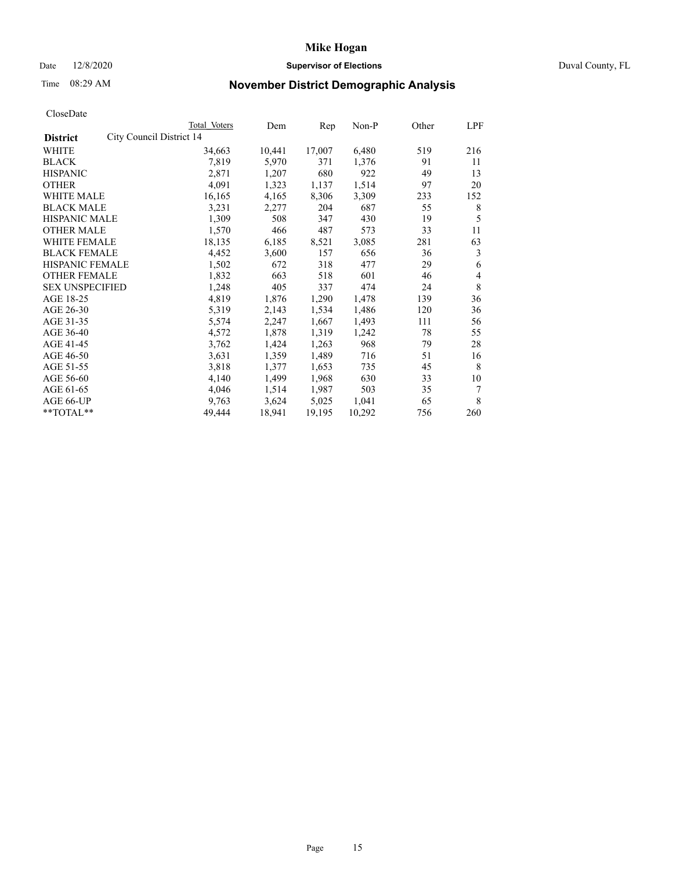# Date 12/8/2020 **Supervisor of Elections** Duval County, FL

# Time 08:29 AM **November District Demographic Analysis**

|                                             | Total Voters | Dem    | Rep    | Non-P  | Other | LPF |
|---------------------------------------------|--------------|--------|--------|--------|-------|-----|
| City Council District 14<br><b>District</b> |              |        |        |        |       |     |
| WHITE                                       | 34,663       | 10,441 | 17,007 | 6,480  | 519   | 216 |
| <b>BLACK</b>                                | 7,819        | 5,970  | 371    | 1,376  | 91    | 11  |
| <b>HISPANIC</b>                             | 2,871        | 1,207  | 680    | 922    | 49    | 13  |
| <b>OTHER</b>                                | 4,091        | 1,323  | 1,137  | 1,514  | 97    | 20  |
| WHITE MALE                                  | 16,165       | 4,165  | 8,306  | 3,309  | 233   | 152 |
| <b>BLACK MALE</b>                           | 3,231        | 2,277  | 204    | 687    | 55    | 8   |
| <b>HISPANIC MALE</b>                        | 1,309        | 508    | 347    | 430    | 19    | 5   |
| <b>OTHER MALE</b>                           | 1,570        | 466    | 487    | 573    | 33    | 11  |
| WHITE FEMALE                                | 18,135       | 6,185  | 8,521  | 3,085  | 281   | 63  |
| <b>BLACK FEMALE</b>                         | 4,452        | 3,600  | 157    | 656    | 36    | 3   |
| HISPANIC FEMALE                             | 1,502        | 672    | 318    | 477    | 29    | 6   |
| <b>OTHER FEMALE</b>                         | 1,832        | 663    | 518    | 601    | 46    | 4   |
| <b>SEX UNSPECIFIED</b>                      | 1,248        | 405    | 337    | 474    | 24    | 8   |
| AGE 18-25                                   | 4,819        | 1,876  | 1,290  | 1,478  | 139   | 36  |
| AGE 26-30                                   | 5,319        | 2,143  | 1,534  | 1,486  | 120   | 36  |
| AGE 31-35                                   | 5,574        | 2,247  | 1,667  | 1,493  | 111   | 56  |
| AGE 36-40                                   | 4,572        | 1,878  | 1,319  | 1,242  | 78    | 55  |
| AGE 41-45                                   | 3,762        | 1,424  | 1,263  | 968    | 79    | 28  |
| AGE 46-50                                   | 3,631        | 1,359  | 1,489  | 716    | 51    | 16  |
| AGE 51-55                                   | 3,818        | 1,377  | 1,653  | 735    | 45    | 8   |
| AGE 56-60                                   | 4,140        | 1,499  | 1,968  | 630    | 33    | 10  |
| AGE 61-65                                   | 4,046        | 1,514  | 1,987  | 503    | 35    | 7   |
| AGE 66-UP                                   | 9,763        | 3,624  | 5,025  | 1,041  | 65    | 8   |
| **TOTAL**                                   | 49,444       | 18,941 | 19,195 | 10,292 | 756   | 260 |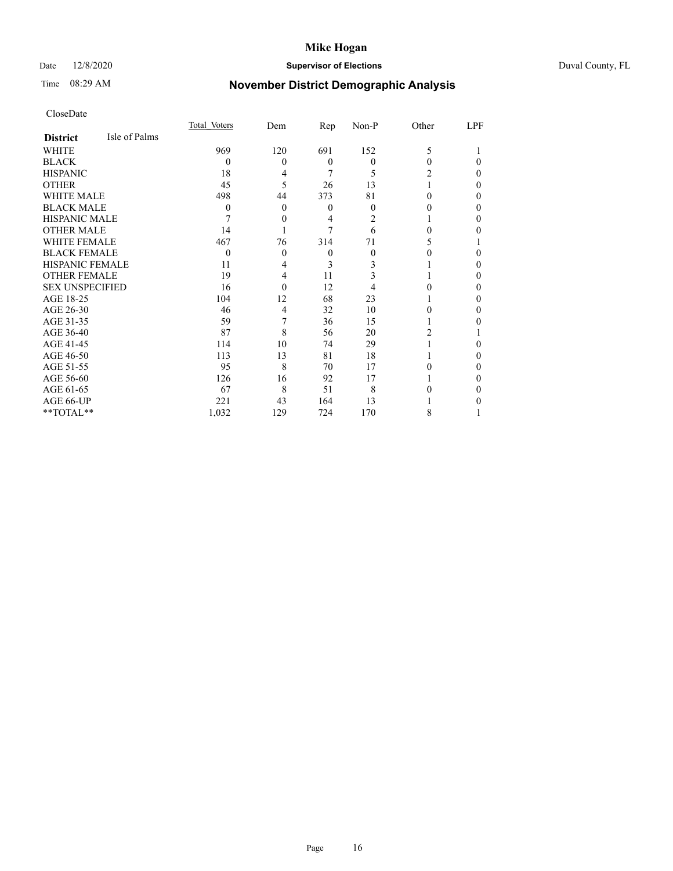# Date 12/8/2020 **Supervisor of Elections** Duval County, FL

# Time 08:29 AM **November District Demographic Analysis**

|                        |               | Total Voters | Dem      | Rep              | Non-P | Other | LPF      |
|------------------------|---------------|--------------|----------|------------------|-------|-------|----------|
| <b>District</b>        | Isle of Palms |              |          |                  |       |       |          |
| WHITE                  |               | 969          | 120      | 691              | 152   | 5     |          |
| <b>BLACK</b>           |               | 0            | $\theta$ | $\theta$         | 0     | 0     | $\Omega$ |
| <b>HISPANIC</b>        |               | 18           | 4        | 7                | 5     |       | $\Omega$ |
| <b>OTHER</b>           |               | 45           | 5        | 26               | 13    |       | $\Omega$ |
| <b>WHITE MALE</b>      |               | 498          | 44       | 373              | 81    | 0     | $\Omega$ |
| <b>BLACK MALE</b>      |               | 0            | $\theta$ | $\boldsymbol{0}$ | 0     |       | $\Omega$ |
| <b>HISPANIC MALE</b>   |               |              | 0        | 4                | 2     |       | $\Omega$ |
| <b>OTHER MALE</b>      |               | 14           |          | 7                | 6     | 0     | 0        |
| <b>WHITE FEMALE</b>    |               | 467          | 76       | 314              | 71    | 5     |          |
| <b>BLACK FEMALE</b>    |               | 0            | $\theta$ | $\theta$         | 0     |       | 0        |
| <b>HISPANIC FEMALE</b> |               | 11           | 4        | 3                | 3     |       | $\Omega$ |
| <b>OTHER FEMALE</b>    |               | 19           | 4        | 11               | 3     |       | $\Omega$ |
| <b>SEX UNSPECIFIED</b> |               | 16           | 0        | 12               | 4     |       | $\Omega$ |
| AGE 18-25              |               | 104          | 12       | 68               | 23    |       | 0        |
| AGE 26-30              |               | 46           | 4        | 32               | 10    |       | $\theta$ |
| AGE 31-35              |               | 59           | 7        | 36               | 15    |       | 0        |
| AGE 36-40              |               | 87           | 8        | 56               | 20    | 2     |          |
| AGE 41-45              |               | 114          | 10       | 74               | 29    |       | 0        |
| AGE 46-50              |               | 113          | 13       | 81               | 18    |       | $\Omega$ |
| AGE 51-55              |               | 95           | 8        | 70               | 17    | 0     | $\Omega$ |
| AGE 56-60              |               | 126          | 16       | 92               | 17    |       | 0        |
| AGE 61-65              |               | 67           | 8        | 51               | 8     |       | $\Omega$ |
| AGE 66-UP              |               | 221          | 43       | 164              | 13    |       | 0        |
| **TOTAL**              |               | 1,032        | 129      | 724              | 170   | 8     |          |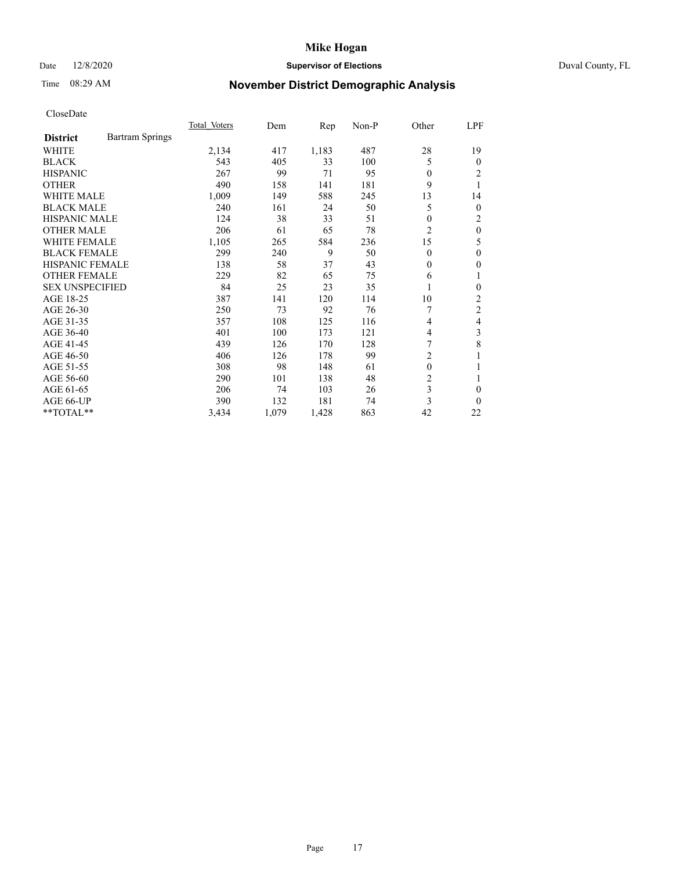# Date 12/8/2020 **Supervisor of Elections** Duval County, FL

# Time 08:29 AM **November District Demographic Analysis**

|                        |                        | Total Voters | Dem   | Rep   | $Non-P$ | Other          | LPF            |
|------------------------|------------------------|--------------|-------|-------|---------|----------------|----------------|
| <b>District</b>        | <b>Bartram Springs</b> |              |       |       |         |                |                |
| WHITE                  |                        | 2,134        | 417   | 1,183 | 487     | 28             | 19             |
| <b>BLACK</b>           |                        | 543          | 405   | 33    | 100     | 5              | $\Omega$       |
| <b>HISPANIC</b>        |                        | 267          | 99    | 71    | 95      | $\Omega$       | 2              |
| <b>OTHER</b>           |                        | 490          | 158   | 141   | 181     | 9              | 1              |
| <b>WHITE MALE</b>      |                        | 1,009        | 149   | 588   | 245     | 13             | 14             |
| <b>BLACK MALE</b>      |                        | 240          | 161   | 24    | 50      | 5              | $\overline{0}$ |
| <b>HISPANIC MALE</b>   |                        | 124          | 38    | 33    | 51      | 0              | 2              |
| <b>OTHER MALE</b>      |                        | 206          | 61    | 65    | 78      | 2              | $\theta$       |
| WHITE FEMALE           |                        | 1,105        | 265   | 584   | 236     | 15             | 5              |
| <b>BLACK FEMALE</b>    |                        | 299          | 240   | 9     | 50      | $\theta$       | 0              |
| <b>HISPANIC FEMALE</b> |                        | 138          | 58    | 37    | 43      | $\Omega$       | 0              |
| <b>OTHER FEMALE</b>    |                        | 229          | 82    | 65    | 75      | 6              | 1              |
| <b>SEX UNSPECIFIED</b> |                        | 84           | 25    | 23    | 35      | 1              | 0              |
| AGE 18-25              |                        | 387          | 141   | 120   | 114     | 10             | 2              |
| AGE 26-30              |                        | 250          | 73    | 92    | 76      |                | 2              |
| AGE 31-35              |                        | 357          | 108   | 125   | 116     | 4              | 4              |
| AGE 36-40              |                        | 401          | 100   | 173   | 121     | 4              | 3              |
| AGE 41-45              |                        | 439          | 126   | 170   | 128     | 7              | 8              |
| AGE 46-50              |                        | 406          | 126   | 178   | 99      | 2              |                |
| AGE 51-55              |                        | 308          | 98    | 148   | 61      | $\mathbf{0}$   |                |
| AGE 56-60              |                        | 290          | 101   | 138   | 48      | $\overline{2}$ | 1              |
| AGE 61-65              |                        | 206          | 74    | 103   | 26      | 3              | 0              |
| AGE 66-UP              |                        | 390          | 132   | 181   | 74      | 3              | 0              |
| **TOTAL**              |                        | 3,434        | 1,079 | 1,428 | 863     | 42             | 22             |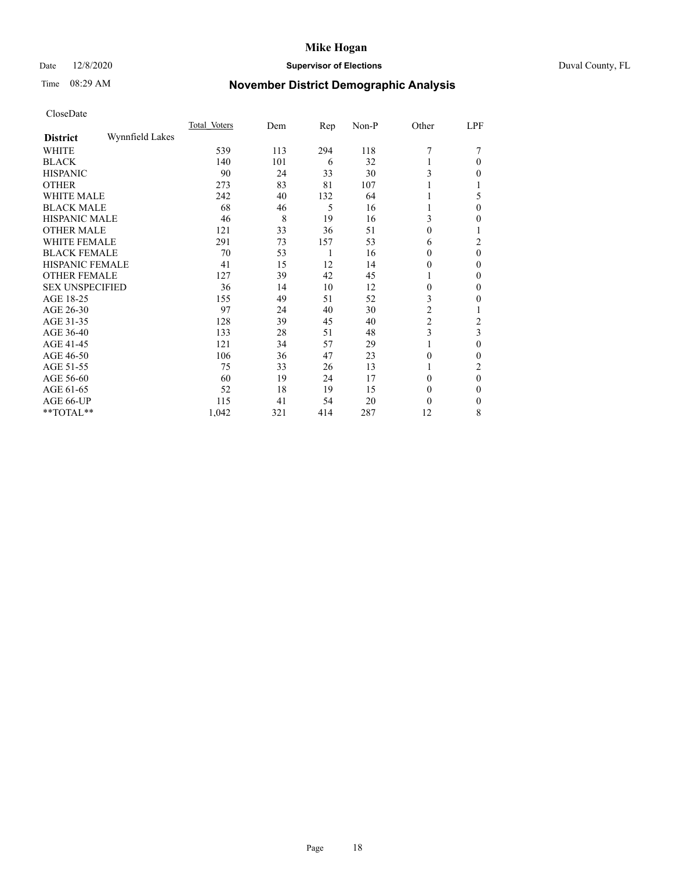# Date 12/8/2020 **Supervisor of Elections** Duval County, FL

# Time 08:29 AM **November District Demographic Analysis**

|                        |                 | Total Voters | Dem | Rep | Non-P | Other          | LPF      |
|------------------------|-----------------|--------------|-----|-----|-------|----------------|----------|
| <b>District</b>        | Wynnfield Lakes |              |     |     |       |                |          |
| WHITE                  |                 | 539          | 113 | 294 | 118   | 7              |          |
| <b>BLACK</b>           |                 | 140          | 101 | 6   | 32    |                | $\Omega$ |
| <b>HISPANIC</b>        |                 | 90           | 24  | 33  | 30    | 3              | $\Omega$ |
| <b>OTHER</b>           |                 | 273          | 83  | 81  | 107   |                |          |
| WHITE MALE             |                 | 242          | 40  | 132 | 64    |                | 5        |
| <b>BLACK MALE</b>      |                 | 68           | 46  | 5   | 16    |                | $\theta$ |
| <b>HISPANIC MALE</b>   |                 | 46           | 8   | 19  | 16    | 3              | 0        |
| <b>OTHER MALE</b>      |                 | 121          | 33  | 36  | 51    | 0              |          |
| WHITE FEMALE           |                 | 291          | 73  | 157 | 53    | 6              | 2        |
| <b>BLACK FEMALE</b>    |                 | 70           | 53  | 1   | 16    | 0              | $\theta$ |
| <b>HISPANIC FEMALE</b> |                 | 41           | 15  | 12  | 14    | 0              | $\Omega$ |
| <b>OTHER FEMALE</b>    |                 | 127          | 39  | 42  | 45    |                | $\Omega$ |
| <b>SEX UNSPECIFIED</b> |                 | 36           | 14  | 10  | 12    | $\theta$       | $\Omega$ |
| AGE 18-25              |                 | 155          | 49  | 51  | 52    | 3              | 0        |
| AGE 26-30              |                 | 97           | 24  | 40  | 30    | $\overline{c}$ |          |
| AGE 31-35              |                 | 128          | 39  | 45  | 40    | $\overline{c}$ | 2        |
| AGE 36-40              |                 | 133          | 28  | 51  | 48    | 3              | 3        |
| AGE 41-45              |                 | 121          | 34  | 57  | 29    |                | $\Omega$ |
| AGE 46-50              |                 | 106          | 36  | 47  | 23    | $\theta$       | $\Omega$ |
| AGE 51-55              |                 | 75           | 33  | 26  | 13    |                | 2        |
| AGE 56-60              |                 | 60           | 19  | 24  | 17    | 0              | $\theta$ |
| AGE 61-65              |                 | 52           | 18  | 19  | 15    | $\theta$       | $\Omega$ |
| AGE 66-UP              |                 | 115          | 41  | 54  | 20    | 0              | $\theta$ |
| **TOTAL**              |                 | 1,042        | 321 | 414 | 287   | 12             | 8        |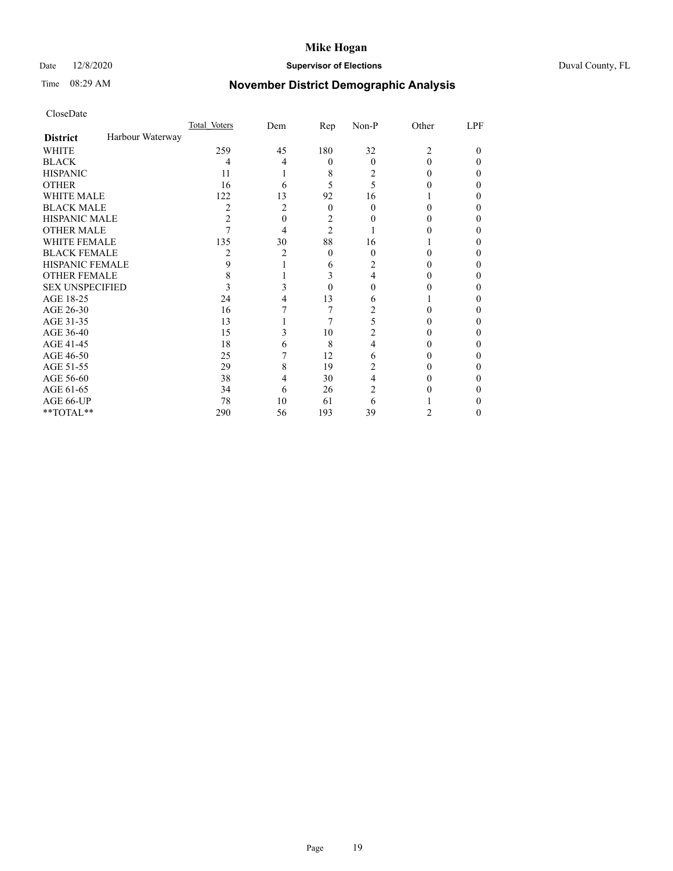# Date 12/8/2020 **Supervisor of Elections** Duval County, FL

# Time 08:29 AM **November District Demographic Analysis**

|                        |                  | Total Voters   | Dem            | Rep            | Non-P | Other          | LPF |
|------------------------|------------------|----------------|----------------|----------------|-------|----------------|-----|
| <b>District</b>        | Harbour Waterway |                |                |                |       |                |     |
| WHITE                  |                  | 259            | 45             | 180            | 32    | $\overline{c}$ | 0   |
| <b>BLACK</b>           |                  | 4              | 4              | $\theta$       | 0     | 0              | 0   |
| <b>HISPANIC</b>        |                  | 11             |                | 8              | 2     | 0              | 0   |
| <b>OTHER</b>           |                  | 16             | 6              | 5              | 5     |                |     |
| WHITE MALE             |                  | 122            | 13             | 92             | 16    |                |     |
| <b>BLACK MALE</b>      |                  | $\overline{c}$ | $\overline{c}$ | $\theta$       | 0     | 0              |     |
| <b>HISPANIC MALE</b>   |                  | $\overline{c}$ | 0              | 2              |       |                |     |
| <b>OTHER MALE</b>      |                  |                | 4              | $\overline{c}$ |       |                | 0   |
| <b>WHITE FEMALE</b>    |                  | 135            | 30             | 88             | 16    |                |     |
| <b>BLACK FEMALE</b>    |                  | 2              | 2              | $\theta$       | 0     | 0              | 0   |
| <b>HISPANIC FEMALE</b> |                  | 9              |                | 6              |       |                |     |
| <b>OTHER FEMALE</b>    |                  | 8              |                | 3              | 4     | 0              |     |
| <b>SEX UNSPECIFIED</b> |                  | 3              | 3              | $\Omega$       |       |                |     |
| AGE 18-25              |                  | 24             |                | 13             | 6     |                |     |
| AGE 26-30              |                  | 16             |                | 7              | 2     |                | 0   |
| AGE 31-35              |                  | 13             |                | 7              | 5     |                |     |
| AGE 36-40              |                  | 15             | 3              | 10             | 2     |                | 0   |
| AGE 41-45              |                  | 18             | 6              | 8              | 4     |                |     |
| AGE 46-50              |                  | 25             |                | 12             | 6     | 0              | 0   |
| AGE 51-55              |                  | 29             | 8              | 19             | 2     |                |     |
| AGE 56-60              |                  | 38             | 4              | 30             | 4     |                |     |
| AGE 61-65              |                  | 34             | 6              | 26             | 2     |                |     |
| AGE 66-UP              |                  | 78             | 10             | 61             | 6     |                |     |
| **TOTAL**              |                  | 290            | 56             | 193            | 39    | 2              | 0   |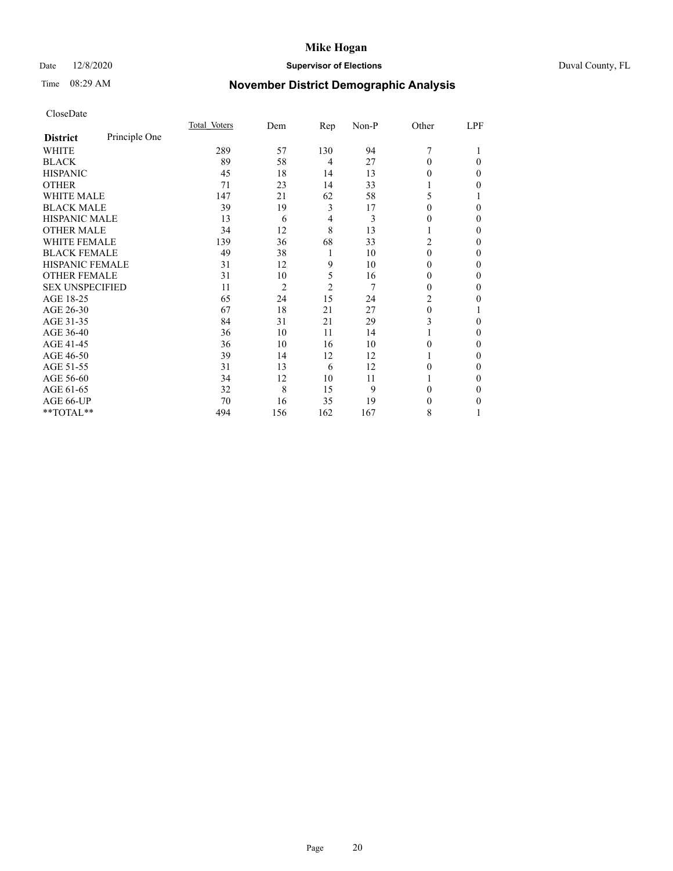# Date 12/8/2020 **Supervisor of Elections** Duval County, FL

# Time 08:29 AM **November District Demographic Analysis**

|                        |               | Total Voters | Dem            | Rep            | Non-P | Other    | LPF    |
|------------------------|---------------|--------------|----------------|----------------|-------|----------|--------|
| <b>District</b>        | Principle One |              |                |                |       |          |        |
| WHITE                  |               | 289          | 57             | 130            | 94    | 7        |        |
| <b>BLACK</b>           |               | 89           | 58             | 4              | 27    | $\Omega$ | 0      |
| <b>HISPANIC</b>        |               | 45           | 18             | 14             | 13    | 0        | 0      |
| <b>OTHER</b>           |               | 71           | 23             | 14             | 33    |          | 0      |
| <b>WHITE MALE</b>      |               | 147          | 21             | 62             | 58    | 5        |        |
| <b>BLACK MALE</b>      |               | 39           | 19             | 3              | 17    | $\theta$ | 0      |
| <b>HISPANIC MALE</b>   |               | 13           | 6              | 4              | 3     | $\theta$ | 0      |
| <b>OTHER MALE</b>      |               | 34           | 12             | 8              | 13    |          | $_{0}$ |
| <b>WHITE FEMALE</b>    |               | 139          | 36             | 68             | 33    | 2        | 0      |
| <b>BLACK FEMALE</b>    |               | 49           | 38             | 1              | 10    | $\theta$ | 0      |
| HISPANIC FEMALE        |               | 31           | 12             | 9              | 10    | $\Omega$ | 0      |
| <b>OTHER FEMALE</b>    |               | 31           | 10             | 5              | 16    | 0        | 0      |
| <b>SEX UNSPECIFIED</b> |               | 11           | $\overline{2}$ | $\mathfrak{2}$ | 7     | $\Omega$ | 0      |
| AGE 18-25              |               | 65           | 24             | 15             | 24    | 2        | 0      |
| AGE 26-30              |               | 67           | 18             | 21             | 27    | $\theta$ |        |
| AGE 31-35              |               | 84           | 31             | 21             | 29    | 3        | 0      |
| AGE 36-40              |               | 36           | 10             | 11             | 14    |          | 0      |
| AGE 41-45              |               | 36           | 10             | 16             | 10    | 0        | 0      |
| AGE 46-50              |               | 39           | 14             | 12             | 12    |          | $_{0}$ |
| AGE 51-55              |               | 31           | 13             | 6              | 12    | 0        | 0      |
| AGE 56-60              |               | 34           | 12             | 10             | 11    |          | 0      |
| AGE 61-65              |               | 32           | 8              | 15             | 9     | $\Omega$ | 0      |
| AGE 66-UP              |               | 70           | 16             | 35             | 19    | $_{0}$   | 0      |
| **TOTAL**              |               | 494          | 156            | 162            | 167   | 8        |        |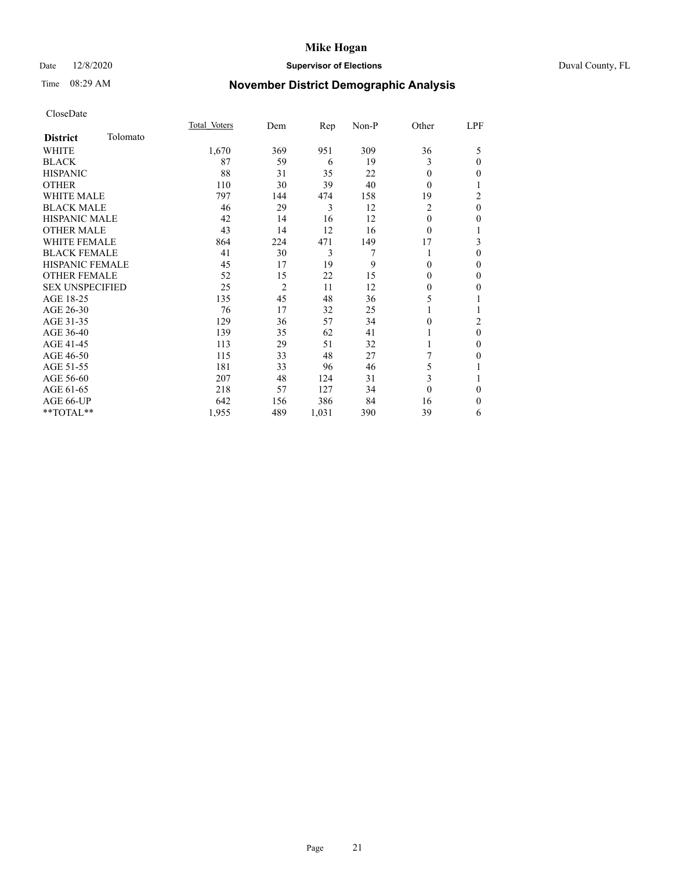# Date 12/8/2020 **Supervisor of Elections** Duval County, FL

# Time 08:29 AM **November District Demographic Analysis**

|                        |          | Total Voters | Dem            | Rep   | Non-P | Other          | LPF            |
|------------------------|----------|--------------|----------------|-------|-------|----------------|----------------|
| <b>District</b>        | Tolomato |              |                |       |       |                |                |
| WHITE                  |          | 1,670        | 369            | 951   | 309   | 36             | 5              |
| <b>BLACK</b>           |          | 87           | 59             | 6     | 19    | 3              | $\mathbf{0}$   |
| <b>HISPANIC</b>        |          | 88           | 31             | 35    | 22    | 0              | $\mathbf{0}$   |
| <b>OTHER</b>           |          | 110          | 30             | 39    | 40    | 0              | 1              |
| <b>WHITE MALE</b>      |          | 797          | 144            | 474   | 158   | 19             | 2              |
| <b>BLACK MALE</b>      |          | 46           | 29             | 3     | 12    | $\overline{2}$ | $\mathbf{0}$   |
| <b>HISPANIC MALE</b>   |          | 42           | 14             | 16    | 12    | 0              | $\mathbf{0}$   |
| <b>OTHER MALE</b>      |          | 43           | 14             | 12    | 16    | $\overline{0}$ | 1              |
| <b>WHITE FEMALE</b>    |          | 864          | 224            | 471   | 149   | 17             | 3              |
| <b>BLACK FEMALE</b>    |          | 41           | 30             | 3     | 7     |                | $\mathbf{0}$   |
| <b>HISPANIC FEMALE</b> |          | 45           | 17             | 19    | 9     | 0              | $\theta$       |
| <b>OTHER FEMALE</b>    |          | 52           | 15             | 22    | 15    | 0              | $\mathbf{0}$   |
| <b>SEX UNSPECIFIED</b> |          | 25           | $\overline{2}$ | 11    | 12    | 0              | $\theta$       |
| AGE 18-25              |          | 135          | 45             | 48    | 36    | 5              | 1              |
| AGE 26-30              |          | 76           | 17             | 32    | 25    | 1              | 1              |
| AGE 31-35              |          | 129          | 36             | 57    | 34    | 0              | $\overline{2}$ |
| AGE 36-40              |          | 139          | 35             | 62    | 41    |                | $\mathbf{0}$   |
| AGE 41-45              |          | 113          | 29             | 51    | 32    |                | $\mathbf{0}$   |
| AGE 46-50              |          | 115          | 33             | 48    | 27    | 7              | $\mathbf{0}$   |
| AGE 51-55              |          | 181          | 33             | 96    | 46    | 5              | 1              |
| AGE 56-60              |          | 207          | 48             | 124   | 31    | 3              | 1              |
| AGE 61-65              |          | 218          | 57             | 127   | 34    | $\theta$       | $\theta$       |
| AGE 66-UP              |          | 642          | 156            | 386   | 84    | 16             | $\mathbf{0}$   |
| **TOTAL**              |          | 1,955        | 489            | 1,031 | 390   | 39             | 6              |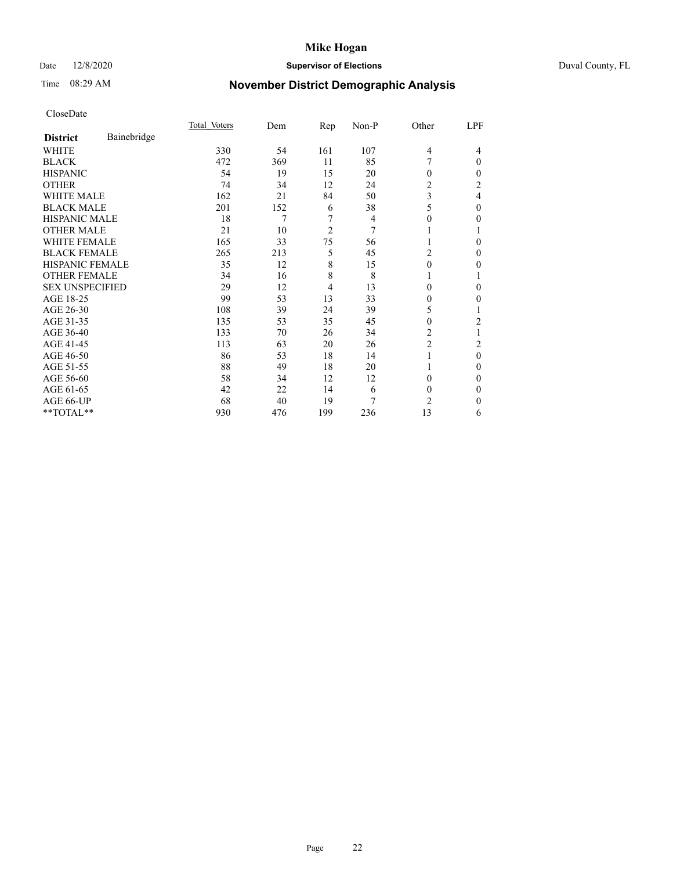# Date 12/8/2020 **Supervisor of Elections** Duval County, FL

# Time 08:29 AM **November District Demographic Analysis**

|                        |             | Total Voters | Dem | Rep            | Non-P | Other                   | LPF |
|------------------------|-------------|--------------|-----|----------------|-------|-------------------------|-----|
| <b>District</b>        | Bainebridge |              |     |                |       |                         |     |
| WHITE                  |             | 330          | 54  | 161            | 107   | $\overline{4}$          | 4   |
| <b>BLACK</b>           |             | 472          | 369 | 11             | 85    | 7                       | 0   |
| <b>HISPANIC</b>        |             | 54           | 19  | 15             | 20    | $\theta$                | 0   |
| <b>OTHER</b>           |             | 74           | 34  | 12             | 24    | 2                       | 2   |
| <b>WHITE MALE</b>      |             | 162          | 21  | 84             | 50    | 3                       | 4   |
| <b>BLACK MALE</b>      |             | 201          | 152 | 6              | 38    | 5                       | 0   |
| <b>HISPANIC MALE</b>   |             | 18           | 7   | 7              | 4     | $\theta$                | 0   |
| <b>OTHER MALE</b>      |             | 21           | 10  | $\overline{2}$ | 7     |                         |     |
| <b>WHITE FEMALE</b>    |             | 165          | 33  | 75             | 56    |                         | 0   |
| <b>BLACK FEMALE</b>    |             | 265          | 213 | 5              | 45    | 2                       | 0   |
| <b>HISPANIC FEMALE</b> |             | 35           | 12  | 8              | 15    | $\theta$                | 0   |
| <b>OTHER FEMALE</b>    |             | 34           | 16  | 8              | 8     | 1                       |     |
| <b>SEX UNSPECIFIED</b> |             | 29           | 12  | $\overline{4}$ | 13    | $\Omega$                | 0   |
| AGE 18-25              |             | 99           | 53  | 13             | 33    | $\theta$                | 0   |
| AGE 26-30              |             | 108          | 39  | 24             | 39    | 5                       |     |
| AGE 31-35              |             | 135          | 53  | 35             | 45    | $\theta$                | 2   |
| AGE 36-40              |             | 133          | 70  | 26             | 34    | 2                       |     |
| AGE 41-45              |             | 113          | 63  | 20             | 26    | $\overline{\mathbf{c}}$ | 2   |
| AGE 46-50              |             | 86           | 53  | 18             | 14    | 1                       | 0   |
| AGE 51-55              |             | 88           | 49  | 18             | 20    | 1                       | 0   |
| AGE 56-60              |             | 58           | 34  | 12             | 12    | $\Omega$                | 0   |
| AGE 61-65              |             | 42           | 22  | 14             | 6     | $\theta$                | 0   |
| AGE 66-UP              |             | 68           | 40  | 19             | 7     | 2                       | 0   |
| **TOTAL**              |             | 930          | 476 | 199            | 236   | 13                      | 6   |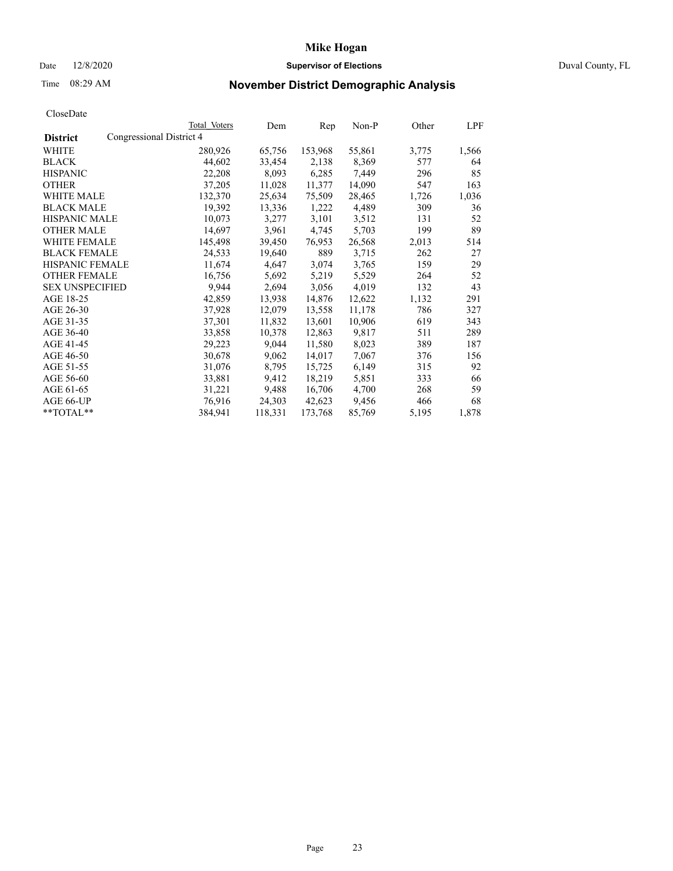# Date 12/8/2020 **Supervisor of Elections** Duval County, FL

# Time 08:29 AM **November District Demographic Analysis**

|                        | Total Voters             | Dem     | Rep     | Non-P  | Other | LPF   |
|------------------------|--------------------------|---------|---------|--------|-------|-------|
| <b>District</b>        | Congressional District 4 |         |         |        |       |       |
| WHITE                  | 280,926                  | 65,756  | 153,968 | 55,861 | 3,775 | 1,566 |
| <b>BLACK</b>           | 44,602                   | 33,454  | 2,138   | 8,369  | 577   | 64    |
| <b>HISPANIC</b>        | 22,208                   | 8,093   | 6,285   | 7,449  | 296   | 85    |
| <b>OTHER</b>           | 37,205                   | 11,028  | 11,377  | 14,090 | 547   | 163   |
| <b>WHITE MALE</b>      | 132,370                  | 25,634  | 75,509  | 28,465 | 1,726 | 1,036 |
| <b>BLACK MALE</b>      | 19,392                   | 13,336  | 1,222   | 4,489  | 309   | 36    |
| <b>HISPANIC MALE</b>   | 10,073                   | 3,277   | 3,101   | 3,512  | 131   | 52    |
| <b>OTHER MALE</b>      | 14,697                   | 3,961   | 4,745   | 5,703  | 199   | 89    |
| <b>WHITE FEMALE</b>    | 145,498                  | 39,450  | 76,953  | 26,568 | 2,013 | 514   |
| <b>BLACK FEMALE</b>    | 24,533                   | 19,640  | 889     | 3,715  | 262   | 27    |
| HISPANIC FEMALE        | 11,674                   | 4,647   | 3,074   | 3,765  | 159   | 29    |
| <b>OTHER FEMALE</b>    | 16,756                   | 5,692   | 5,219   | 5,529  | 264   | 52    |
| <b>SEX UNSPECIFIED</b> | 9,944                    | 2,694   | 3,056   | 4,019  | 132   | 43    |
| AGE 18-25              | 42,859                   | 13,938  | 14,876  | 12,622 | 1,132 | 291   |
| AGE 26-30              | 37,928                   | 12,079  | 13,558  | 11,178 | 786   | 327   |
| AGE 31-35              | 37,301                   | 11,832  | 13,601  | 10,906 | 619   | 343   |
| AGE 36-40              | 33,858                   | 10,378  | 12,863  | 9,817  | 511   | 289   |
| AGE 41-45              | 29,223                   | 9,044   | 11,580  | 8,023  | 389   | 187   |
| AGE 46-50              | 30,678                   | 9,062   | 14,017  | 7,067  | 376   | 156   |
| AGE 51-55              | 31,076                   | 8,795   | 15,725  | 6,149  | 315   | 92    |
| AGE 56-60              | 33,881                   | 9,412   | 18,219  | 5,851  | 333   | 66    |
| AGE 61-65              | 31,221                   | 9,488   | 16,706  | 4,700  | 268   | 59    |
| AGE 66-UP              | 76,916                   | 24,303  | 42,623  | 9,456  | 466   | 68    |
| **TOTAL**              | 384,941                  | 118,331 | 173,768 | 85,769 | 5,195 | 1,878 |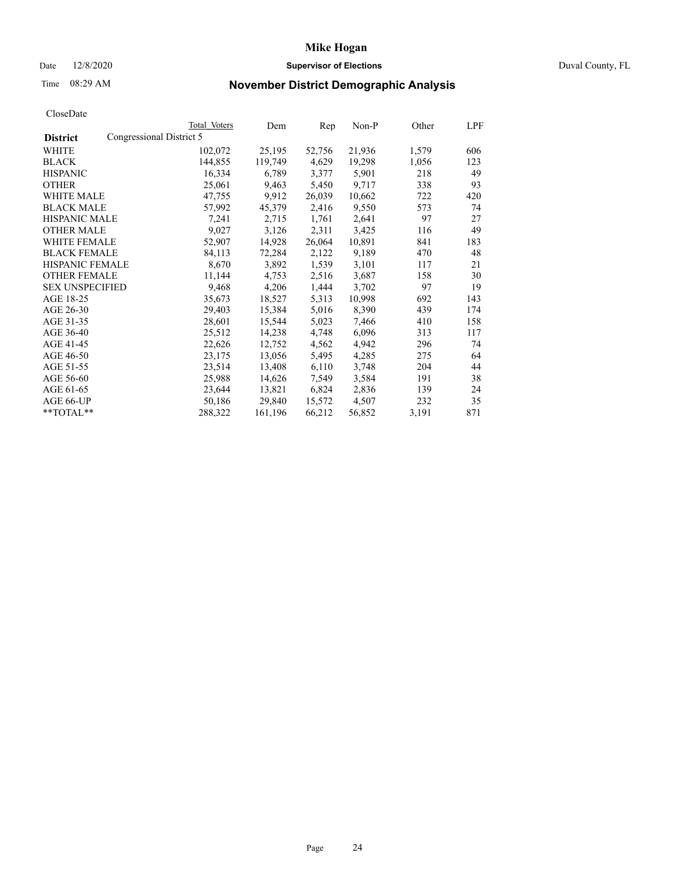# Date 12/8/2020 **Supervisor of Elections** Duval County, FL

# Time 08:29 AM **November District Demographic Analysis**

|                                             | Total Voters | Dem     | $\mathbf{Rep}$ | Non-P  | Other | LPF |
|---------------------------------------------|--------------|---------|----------------|--------|-------|-----|
| Congressional District 5<br><b>District</b> |              |         |                |        |       |     |
| WHITE                                       | 102,072      | 25,195  | 52,756         | 21,936 | 1,579 | 606 |
| <b>BLACK</b>                                | 144,855      | 119,749 | 4,629          | 19,298 | 1,056 | 123 |
| <b>HISPANIC</b>                             | 16,334       | 6,789   | 3,377          | 5,901  | 218   | 49  |
| <b>OTHER</b>                                | 25,061       | 9,463   | 5,450          | 9,717  | 338   | 93  |
| WHITE MALE                                  | 47,755       | 9,912   | 26,039         | 10,662 | 722   | 420 |
| <b>BLACK MALE</b>                           | 57,992       | 45,379  | 2,416          | 9,550  | 573   | 74  |
| <b>HISPANIC MALE</b>                        | 7,241        | 2,715   | 1,761          | 2,641  | 97    | 27  |
| <b>OTHER MALE</b>                           | 9,027        | 3,126   | 2,311          | 3,425  | 116   | 49  |
| <b>WHITE FEMALE</b>                         | 52,907       | 14,928  | 26,064         | 10,891 | 841   | 183 |
| <b>BLACK FEMALE</b>                         | 84,113       | 72,284  | 2,122          | 9,189  | 470   | 48  |
| HISPANIC FEMALE                             | 8,670        | 3,892   | 1,539          | 3,101  | 117   | 21  |
| <b>OTHER FEMALE</b>                         | 11,144       | 4,753   | 2,516          | 3,687  | 158   | 30  |
| <b>SEX UNSPECIFIED</b>                      | 9,468        | 4,206   | 1,444          | 3,702  | 97    | 19  |
| AGE 18-25                                   | 35,673       | 18,527  | 5,313          | 10,998 | 692   | 143 |
| AGE 26-30                                   | 29,403       | 15,384  | 5,016          | 8,390  | 439   | 174 |
| AGE 31-35                                   | 28,601       | 15,544  | 5,023          | 7,466  | 410   | 158 |
| AGE 36-40                                   | 25,512       | 14,238  | 4,748          | 6,096  | 313   | 117 |
| AGE 41-45                                   | 22,626       | 12,752  | 4,562          | 4,942  | 296   | 74  |
| AGE 46-50                                   | 23,175       | 13,056  | 5,495          | 4,285  | 275   | 64  |
| AGE 51-55                                   | 23,514       | 13,408  | 6,110          | 3,748  | 204   | 44  |
| AGE 56-60                                   | 25,988       | 14,626  | 7,549          | 3,584  | 191   | 38  |
| AGE 61-65                                   | 23,644       | 13,821  | 6,824          | 2,836  | 139   | 24  |
| AGE 66-UP                                   | 50,186       | 29,840  | 15,572         | 4,507  | 232   | 35  |
| **TOTAL**                                   | 288,322      | 161,196 | 66,212         | 56,852 | 3,191 | 871 |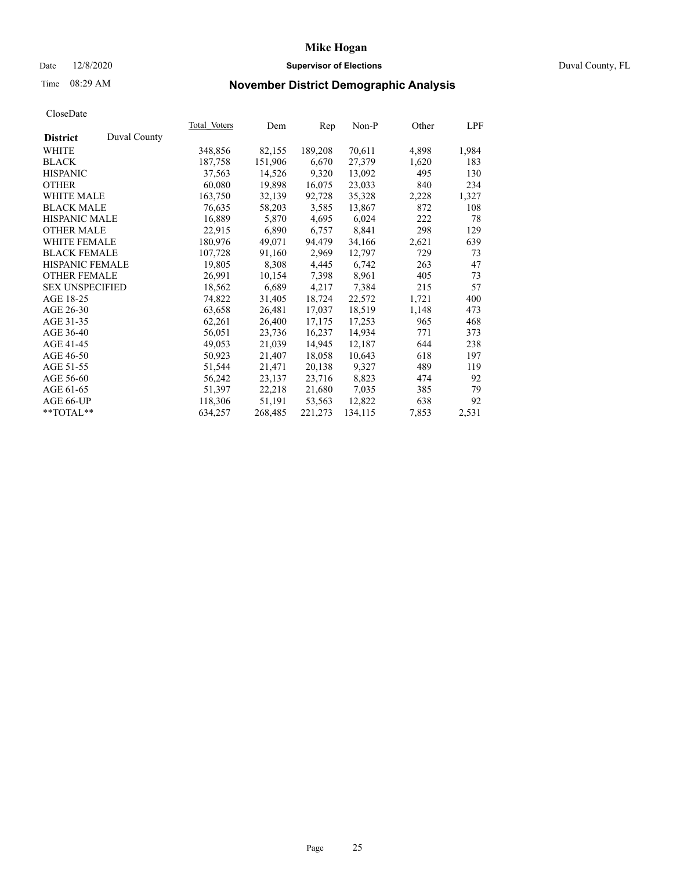# Date 12/8/2020 **Supervisor of Elections** Duval County, FL

# Time 08:29 AM **November District Demographic Analysis**

|                                 | Total Voters | Dem     | Rep     | Non-P   | Other | LPF   |
|---------------------------------|--------------|---------|---------|---------|-------|-------|
| Duval County<br><b>District</b> |              |         |         |         |       |       |
| WHITE                           | 348,856      | 82,155  | 189,208 | 70,611  | 4,898 | 1,984 |
| <b>BLACK</b>                    | 187,758      | 151,906 | 6,670   | 27,379  | 1,620 | 183   |
| <b>HISPANIC</b>                 | 37,563       | 14,526  | 9,320   | 13,092  | 495   | 130   |
| <b>OTHER</b>                    | 60,080       | 19,898  | 16,075  | 23,033  | 840   | 234   |
| <b>WHITE MALE</b>               | 163,750      | 32,139  | 92,728  | 35,328  | 2,228 | 1,327 |
| <b>BLACK MALE</b>               | 76,635       | 58,203  | 3,585   | 13,867  | 872   | 108   |
| <b>HISPANIC MALE</b>            | 16,889       | 5,870   | 4,695   | 6,024   | 222   | 78    |
| <b>OTHER MALE</b>               | 22,915       | 6,890   | 6,757   | 8,841   | 298   | 129   |
| <b>WHITE FEMALE</b>             | 180,976      | 49,071  | 94,479  | 34,166  | 2,621 | 639   |
| <b>BLACK FEMALE</b>             | 107,728      | 91,160  | 2,969   | 12,797  | 729   | 73    |
| HISPANIC FEMALE                 | 19,805       | 8,308   | 4,445   | 6,742   | 263   | 47    |
| <b>OTHER FEMALE</b>             | 26,991       | 10,154  | 7,398   | 8,961   | 405   | 73    |
| <b>SEX UNSPECIFIED</b>          | 18,562       | 6,689   | 4,217   | 7,384   | 215   | 57    |
| AGE 18-25                       | 74,822       | 31,405  | 18,724  | 22,572  | 1,721 | 400   |
| AGE 26-30                       | 63,658       | 26,481  | 17,037  | 18,519  | 1,148 | 473   |
| AGE 31-35                       | 62,261       | 26,400  | 17,175  | 17,253  | 965   | 468   |
| AGE 36-40                       | 56,051       | 23,736  | 16,237  | 14,934  | 771   | 373   |
| AGE 41-45                       | 49,053       | 21,039  | 14,945  | 12,187  | 644   | 238   |
| AGE 46-50                       | 50,923       | 21,407  | 18,058  | 10,643  | 618   | 197   |
| AGE 51-55                       | 51,544       | 21,471  | 20,138  | 9,327   | 489   | 119   |
| AGE 56-60                       | 56,242       | 23,137  | 23,716  | 8,823   | 474   | 92    |
| AGE 61-65                       | 51,397       | 22,218  | 21,680  | 7,035   | 385   | 79    |
| AGE 66-UP                       | 118,306      | 51,191  | 53,563  | 12,822  | 638   | 92    |
| **TOTAL**                       | 634,257      | 268,485 | 221,273 | 134,115 | 7,853 | 2,531 |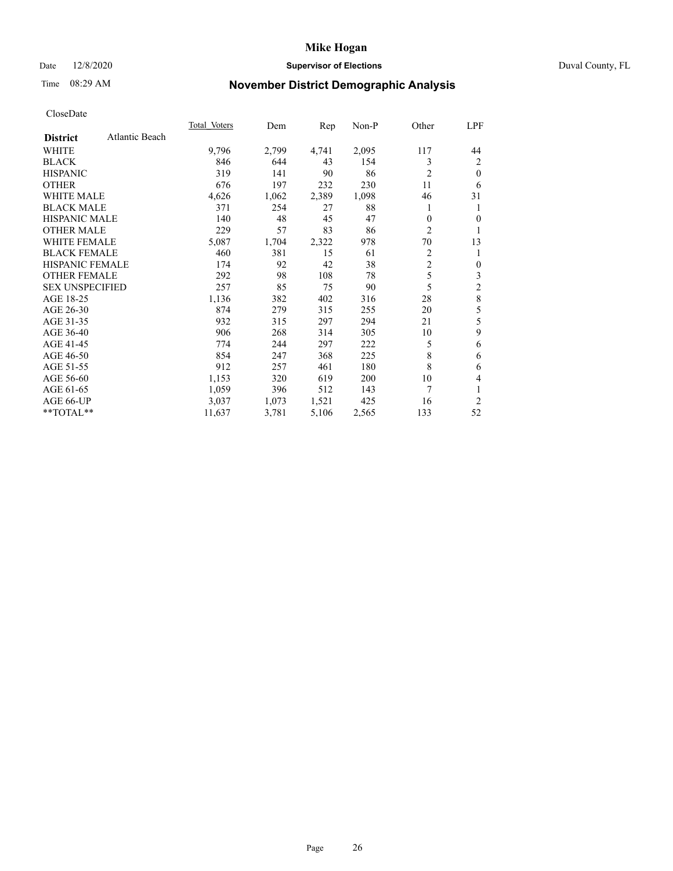# Date 12/8/2020 **Supervisor of Elections** Duval County, FL

# Time 08:29 AM **November District Demographic Analysis**

|                        |                | Total Voters | Dem   | Rep   | Non-P | Other          | LPF            |
|------------------------|----------------|--------------|-------|-------|-------|----------------|----------------|
| <b>District</b>        | Atlantic Beach |              |       |       |       |                |                |
| WHITE                  |                | 9,796        | 2,799 | 4,741 | 2,095 | 117            | 44             |
| <b>BLACK</b>           |                | 846          | 644   | 43    | 154   | 3              | 2              |
| <b>HISPANIC</b>        |                | 319          | 141   | 90    | 86    | $\overline{2}$ | $\theta$       |
| <b>OTHER</b>           |                | 676          | 197   | 232   | 230   | 11             | 6              |
| <b>WHITE MALE</b>      |                | 4,626        | 1,062 | 2,389 | 1,098 | 46             | 31             |
| <b>BLACK MALE</b>      |                | 371          | 254   | 27    | 88    | 1              | 1              |
| <b>HISPANIC MALE</b>   |                | 140          | 48    | 45    | 47    | 0              | $\Omega$       |
| <b>OTHER MALE</b>      |                | 229          | 57    | 83    | 86    | 2              |                |
| <b>WHITE FEMALE</b>    |                | 5,087        | 1,704 | 2,322 | 978   | 70             | 13             |
| <b>BLACK FEMALE</b>    |                | 460          | 381   | 15    | 61    | $\overline{c}$ | 1              |
| <b>HISPANIC FEMALE</b> |                | 174          | 92    | 42    | 38    | $\overline{2}$ | $\theta$       |
| <b>OTHER FEMALE</b>    |                | 292          | 98    | 108   | 78    | 5              | 3              |
| <b>SEX UNSPECIFIED</b> |                | 257          | 85    | 75    | 90    | 5              | $\overline{c}$ |
| AGE 18-25              |                | 1,136        | 382   | 402   | 316   | 28             | 8              |
| AGE 26-30              |                | 874          | 279   | 315   | 255   | 20             | 5              |
| AGE 31-35              |                | 932          | 315   | 297   | 294   | 21             | 5              |
| AGE 36-40              |                | 906          | 268   | 314   | 305   | 10             | 9              |
| AGE 41-45              |                | 774          | 244   | 297   | 222   | 5              | 6              |
| AGE 46-50              |                | 854          | 247   | 368   | 225   | 8              | 6              |
| AGE 51-55              |                | 912          | 257   | 461   | 180   | 8              | 6              |
| AGE 56-60              |                | 1,153        | 320   | 619   | 200   | 10             | 4              |
| AGE 61-65              |                | 1,059        | 396   | 512   | 143   | 7              | 1              |
| AGE 66-UP              |                | 3,037        | 1,073 | 1,521 | 425   | 16             | 2              |
| **TOTAL**              |                | 11,637       | 3,781 | 5,106 | 2,565 | 133            | 52             |
|                        |                |              |       |       |       |                |                |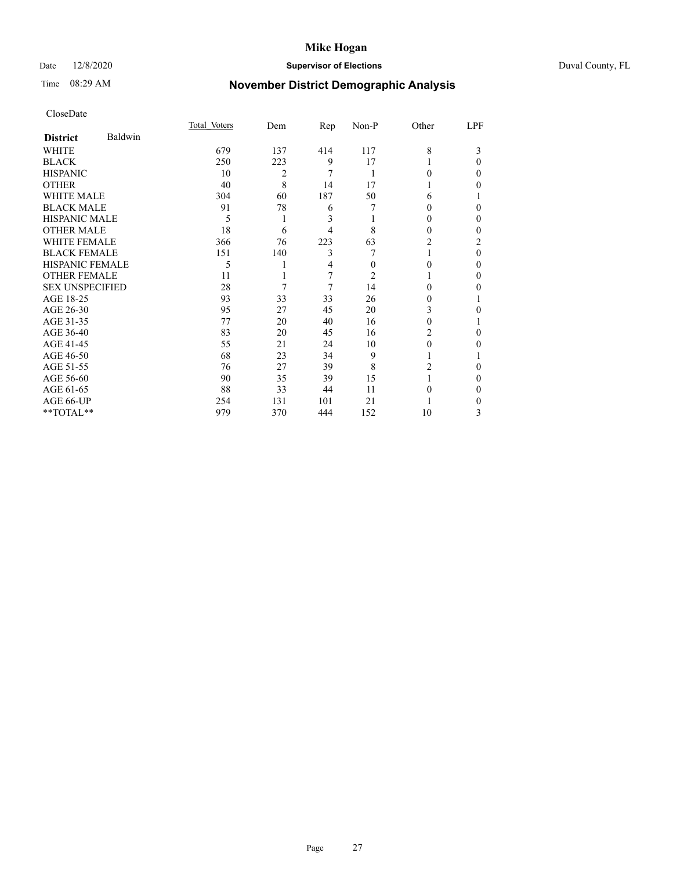# Date 12/8/2020 **Supervisor of Elections** Duval County, FL

# Time 08:29 AM **November District Demographic Analysis**

|                        |         | Total Voters | Dem | Rep | Non-P | Other    | LPF |
|------------------------|---------|--------------|-----|-----|-------|----------|-----|
| <b>District</b>        | Baldwin |              |     |     |       |          |     |
| WHITE                  |         | 679          | 137 | 414 | 117   | 8        | 3   |
| <b>BLACK</b>           |         | 250          | 223 | 9   | 17    |          | 0   |
| <b>HISPANIC</b>        |         | 10           | 2   | 7   | 1     | 0        | 0   |
| <b>OTHER</b>           |         | 40           | 8   | 14  | 17    |          | 0   |
| <b>WHITE MALE</b>      |         | 304          | 60  | 187 | 50    | 6        |     |
| <b>BLACK MALE</b>      |         | 91           | 78  | 6   |       | $_{0}$   | 0   |
| <b>HISPANIC MALE</b>   |         | 5            | 1   | 3   |       | 0        | 0   |
| <b>OTHER MALE</b>      |         | 18           | 6   | 4   | 8     | $\theta$ | 0   |
| <b>WHITE FEMALE</b>    |         | 366          | 76  | 223 | 63    | 2        | 2   |
| <b>BLACK FEMALE</b>    |         | 151          | 140 | 3   |       |          | 0   |
| <b>HISPANIC FEMALE</b> |         | 5            |     | 4   | 0     | $\Omega$ | 0   |
| <b>OTHER FEMALE</b>    |         | 11           |     | 7   | 2     |          | 0   |
| <b>SEX UNSPECIFIED</b> |         | 28           | 7   | 7   | 14    | 0        | 0   |
| AGE 18-25              |         | 93           | 33  | 33  | 26    | $_{0}$   |     |
| AGE 26-30              |         | 95           | 27  | 45  | 20    | 3        | 0   |
| AGE 31-35              |         | 77           | 20  | 40  | 16    | 0        |     |
| AGE 36-40              |         | 83           | 20  | 45  | 16    | 2        | 0   |
| AGE 41-45              |         | 55           | 21  | 24  | 10    | 0        | 0   |
| AGE 46-50              |         | 68           | 23  | 34  | 9     |          |     |
| AGE 51-55              |         | 76           | 27  | 39  | 8     | 2        | 0   |
| AGE 56-60              |         | 90           | 35  | 39  | 15    |          | 0   |
| AGE 61-65              |         | 88           | 33  | 44  | 11    | 0        | 0   |
| AGE 66-UP              |         | 254          | 131 | 101 | 21    |          | 0   |
| **TOTAL**              |         | 979          | 370 | 444 | 152   | 10       | 3   |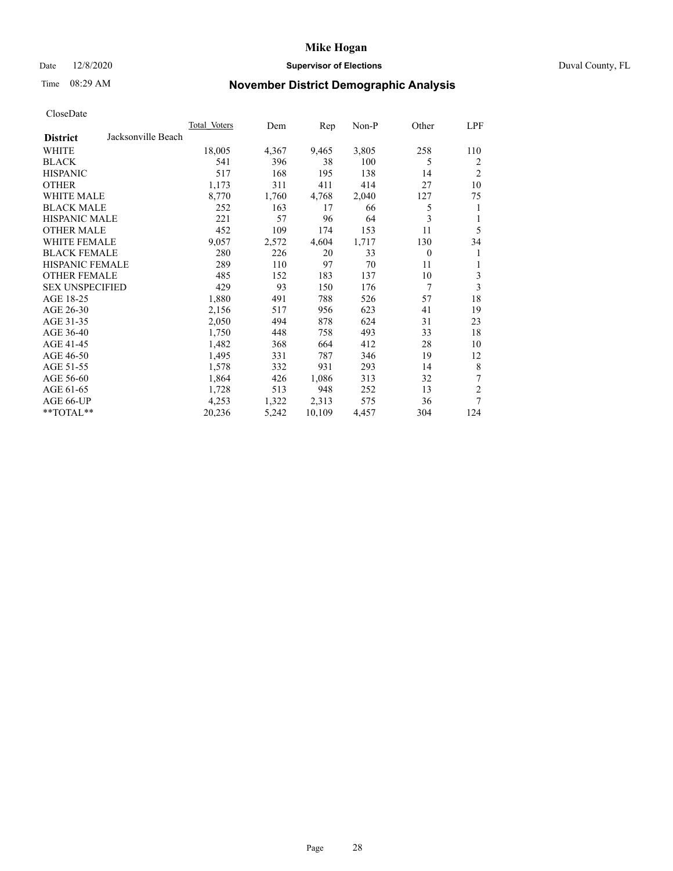# Date 12/8/2020 **Supervisor of Elections** Duval County, FL

# Time 08:29 AM **November District Demographic Analysis**

|                                       | <b>Total Voters</b> | Dem   | Rep    | Non-P | Other    | LPF            |
|---------------------------------------|---------------------|-------|--------|-------|----------|----------------|
| Jacksonville Beach<br><b>District</b> |                     |       |        |       |          |                |
| WHITE                                 | 18,005              | 4,367 | 9,465  | 3,805 | 258      | 110            |
| <b>BLACK</b>                          | 541                 | 396   | 38     | 100   | 5        | 2              |
| <b>HISPANIC</b>                       | 517                 | 168   | 195    | 138   | 14       | $\overline{2}$ |
| <b>OTHER</b>                          | 1,173               | 311   | 411    | 414   | 27       | 10             |
| WHITE MALE                            | 8,770               | 1,760 | 4,768  | 2,040 | 127      | 75             |
| <b>BLACK MALE</b>                     | 252                 | 163   | 17     | 66    | 5        | 1              |
| <b>HISPANIC MALE</b>                  | 221                 | 57    | 96     | 64    | 3        | 1              |
| <b>OTHER MALE</b>                     | 452                 | 109   | 174    | 153   | 11       | 5              |
| WHITE FEMALE                          | 9,057               | 2,572 | 4,604  | 1,717 | 130      | 34             |
| <b>BLACK FEMALE</b>                   | 280                 | 226   | 20     | 33    | $\theta$ | 1              |
| HISPANIC FEMALE                       | 289                 | 110   | 97     | 70    | 11       | 1              |
| <b>OTHER FEMALE</b>                   | 485                 | 152   | 183    | 137   | 10       | 3              |
| <b>SEX UNSPECIFIED</b>                | 429                 | 93    | 150    | 176   | 7        | 3              |
| AGE 18-25                             | 1,880               | 491   | 788    | 526   | 57       | 18             |
| AGE 26-30                             | 2,156               | 517   | 956    | 623   | 41       | 19             |
| AGE 31-35                             | 2,050               | 494   | 878    | 624   | 31       | 23             |
| AGE 36-40                             | 1,750               | 448   | 758    | 493   | 33       | 18             |
| AGE 41-45                             | 1,482               | 368   | 664    | 412   | 28       | 10             |
| AGE 46-50                             | 1,495               | 331   | 787    | 346   | 19       | 12             |
| AGE 51-55                             | 1,578               | 332   | 931    | 293   | 14       | 8              |
| AGE 56-60                             | 1,864               | 426   | 1,086  | 313   | 32       | 7              |
| AGE 61-65                             | 1,728               | 513   | 948    | 252   | 13       | $\overline{c}$ |
| AGE 66-UP                             | 4,253               | 1,322 | 2,313  | 575   | 36       | 7              |
| **TOTAL**                             | 20,236              | 5,242 | 10,109 | 4,457 | 304      | 124            |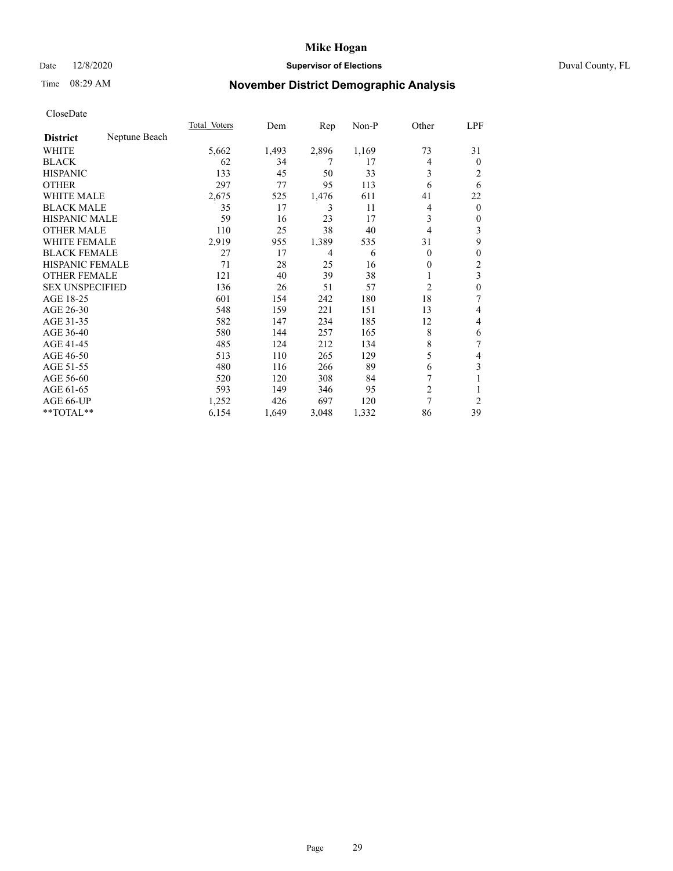# Date 12/8/2020 **Supervisor of Elections** Duval County, FL

# Time 08:29 AM **November District Demographic Analysis**

|                        |               | Total Voters | Dem   | $\mathbf{Rep}$ | Non-P | Other          | LPF            |
|------------------------|---------------|--------------|-------|----------------|-------|----------------|----------------|
| <b>District</b>        | Neptune Beach |              |       |                |       |                |                |
| WHITE                  |               | 5,662        | 1,493 | 2,896          | 1,169 | 73             | 31             |
| <b>BLACK</b>           |               | 62           | 34    | 7              | 17    | 4              | $\mathbf{0}$   |
| <b>HISPANIC</b>        |               | 133          | 45    | 50             | 33    | 3              | 2              |
| <b>OTHER</b>           |               | 297          | 77    | 95             | 113   | 6              | 6              |
| WHITE MALE             |               | 2,675        | 525   | 1,476          | 611   | 41             | 22             |
| <b>BLACK MALE</b>      |               | 35           | 17    | 3              | 11    | 4              | $\mathbf{0}$   |
| <b>HISPANIC MALE</b>   |               | 59           | 16    | 23             | 17    | 3              | $\mathbf{0}$   |
| <b>OTHER MALE</b>      |               | 110          | 25    | 38             | 40    | 4              | 3              |
| WHITE FEMALE           |               | 2,919        | 955   | 1,389          | 535   | 31             | 9              |
| <b>BLACK FEMALE</b>    |               | 27           | 17    | 4              | 6     | $\Omega$       | 0              |
| <b>HISPANIC FEMALE</b> |               | 71           | 28    | 25             | 16    | 0              | 2              |
| <b>OTHER FEMALE</b>    |               | 121          | 40    | 39             | 38    |                | 3              |
| <b>SEX UNSPECIFIED</b> |               | 136          | 26    | 51             | 57    | $\overline{2}$ | $\mathbf{0}$   |
| AGE 18-25              |               | 601          | 154   | 242            | 180   | 18             | 7              |
| AGE 26-30              |               | 548          | 159   | 221            | 151   | 13             | 4              |
| AGE 31-35              |               | 582          | 147   | 234            | 185   | 12             | 4              |
| AGE 36-40              |               | 580          | 144   | 257            | 165   | 8              | 6              |
| AGE 41-45              |               | 485          | 124   | 212            | 134   | 8              | 7              |
| AGE 46-50              |               | 513          | 110   | 265            | 129   | 5              | 4              |
| AGE 51-55              |               | 480          | 116   | 266            | 89    | 6              | 3              |
| AGE 56-60              |               | 520          | 120   | 308            | 84    |                |                |
| AGE 61-65              |               | 593          | 149   | 346            | 95    | $\overline{2}$ | 1              |
| AGE 66-UP              |               | 1,252        | 426   | 697            | 120   | 7              | $\overline{2}$ |
| **TOTAL**              |               | 6,154        | 1,649 | 3,048          | 1,332 | 86             | 39             |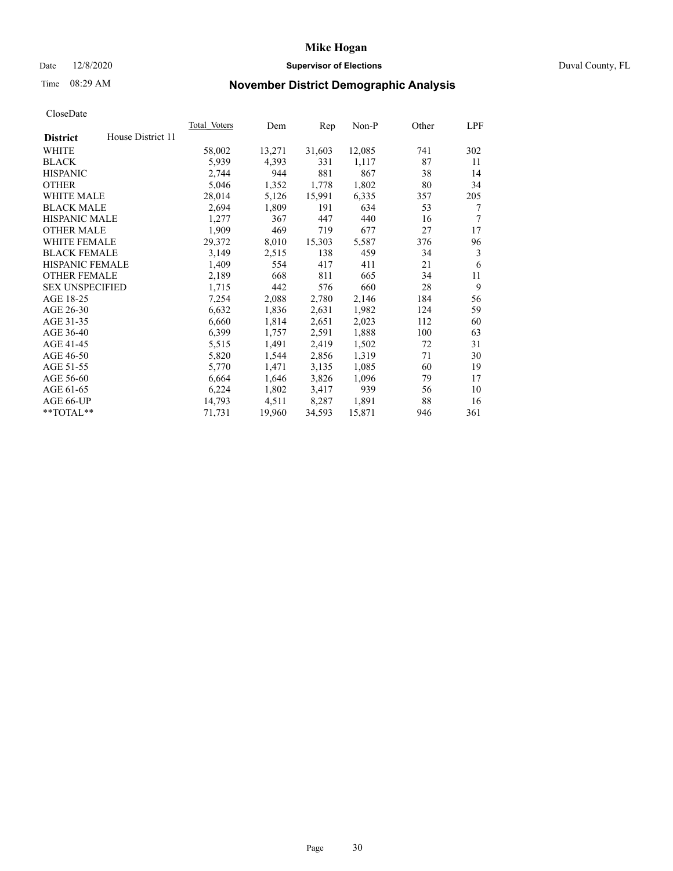# Date 12/8/2020 **Supervisor of Elections** Duval County, FL

# Time 08:29 AM **November District Demographic Analysis**

|                        |                   | Total Voters | Dem    | Rep    | Non-P  | Other | LPF |
|------------------------|-------------------|--------------|--------|--------|--------|-------|-----|
| <b>District</b>        | House District 11 |              |        |        |        |       |     |
| WHITE                  |                   | 58,002       | 13,271 | 31,603 | 12,085 | 741   | 302 |
| <b>BLACK</b>           |                   | 5,939        | 4,393  | 331    | 1,117  | 87    | 11  |
| <b>HISPANIC</b>        |                   | 2,744        | 944    | 881    | 867    | 38    | 14  |
| <b>OTHER</b>           |                   | 5,046        | 1,352  | 1,778  | 1,802  | 80    | 34  |
| WHITE MALE             |                   | 28,014       | 5,126  | 15,991 | 6,335  | 357   | 205 |
| <b>BLACK MALE</b>      |                   | 2,694        | 1,809  | 191    | 634    | 53    | 7   |
| <b>HISPANIC MALE</b>   |                   | 1,277        | 367    | 447    | 440    | 16    | 7   |
| <b>OTHER MALE</b>      |                   | 1,909        | 469    | 719    | 677    | 27    | 17  |
| WHITE FEMALE           |                   | 29,372       | 8,010  | 15,303 | 5,587  | 376   | 96  |
| <b>BLACK FEMALE</b>    |                   | 3,149        | 2,515  | 138    | 459    | 34    | 3   |
| <b>HISPANIC FEMALE</b> |                   | 1,409        | 554    | 417    | 411    | 21    | 6   |
| <b>OTHER FEMALE</b>    |                   | 2,189        | 668    | 811    | 665    | 34    | 11  |
| <b>SEX UNSPECIFIED</b> |                   | 1,715        | 442    | 576    | 660    | 28    | 9   |
| AGE 18-25              |                   | 7,254        | 2,088  | 2,780  | 2,146  | 184   | 56  |
| AGE 26-30              |                   | 6,632        | 1,836  | 2,631  | 1,982  | 124   | 59  |
| AGE 31-35              |                   | 6,660        | 1,814  | 2,651  | 2,023  | 112   | 60  |
| AGE 36-40              |                   | 6,399        | 1,757  | 2,591  | 1,888  | 100   | 63  |
| AGE 41-45              |                   | 5,515        | 1,491  | 2,419  | 1,502  | 72    | 31  |
| AGE 46-50              |                   | 5,820        | 1,544  | 2,856  | 1,319  | 71    | 30  |
| AGE 51-55              |                   | 5,770        | 1,471  | 3,135  | 1,085  | 60    | 19  |
| AGE 56-60              |                   | 6,664        | 1,646  | 3,826  | 1,096  | 79    | 17  |
| AGE 61-65              |                   | 6,224        | 1,802  | 3,417  | 939    | 56    | 10  |
| AGE 66-UP              |                   | 14,793       | 4,511  | 8,287  | 1,891  | 88    | 16  |
| $*$ TOTAL $*$          |                   | 71,731       | 19,960 | 34,593 | 15,871 | 946   | 361 |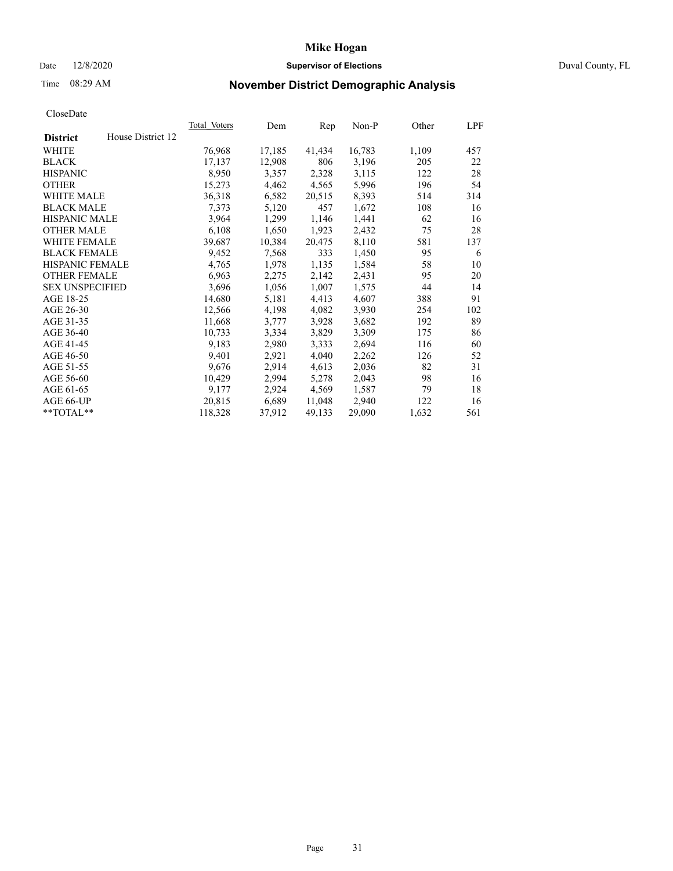### Date 12/8/2020 **Supervisor of Elections** Duval County, FL

# Time 08:29 AM **November District Demographic Analysis**

|                        |                   | Total Voters | Dem    | Rep    | $Non-P$ | Other | LPF |
|------------------------|-------------------|--------------|--------|--------|---------|-------|-----|
| <b>District</b>        | House District 12 |              |        |        |         |       |     |
| WHITE                  |                   | 76,968       | 17,185 | 41,434 | 16,783  | 1,109 | 457 |
| <b>BLACK</b>           |                   | 17,137       | 12,908 | 806    | 3,196   | 205   | 22  |
| <b>HISPANIC</b>        |                   | 8,950        | 3,357  | 2,328  | 3,115   | 122   | 28  |
| <b>OTHER</b>           |                   | 15,273       | 4,462  | 4,565  | 5,996   | 196   | 54  |
| WHITE MALE             |                   | 36,318       | 6,582  | 20,515 | 8,393   | 514   | 314 |
| <b>BLACK MALE</b>      |                   | 7,373        | 5,120  | 457    | 1,672   | 108   | 16  |
| <b>HISPANIC MALE</b>   |                   | 3,964        | 1,299  | 1,146  | 1,441   | 62    | 16  |
| <b>OTHER MALE</b>      |                   | 6,108        | 1,650  | 1,923  | 2,432   | 75    | 28  |
| <b>WHITE FEMALE</b>    |                   | 39,687       | 10,384 | 20,475 | 8,110   | 581   | 137 |
| <b>BLACK FEMALE</b>    |                   | 9,452        | 7,568  | 333    | 1,450   | 95    | 6   |
| HISPANIC FEMALE        |                   | 4,765        | 1,978  | 1,135  | 1,584   | 58    | 10  |
| <b>OTHER FEMALE</b>    |                   | 6,963        | 2,275  | 2,142  | 2,431   | 95    | 20  |
| <b>SEX UNSPECIFIED</b> |                   | 3,696        | 1,056  | 1,007  | 1,575   | 44    | 14  |
| AGE 18-25              |                   | 14,680       | 5,181  | 4,413  | 4,607   | 388   | 91  |
| AGE 26-30              |                   | 12,566       | 4,198  | 4,082  | 3,930   | 254   | 102 |
| AGE 31-35              |                   | 11,668       | 3,777  | 3,928  | 3,682   | 192   | 89  |
| AGE 36-40              |                   | 10,733       | 3,334  | 3,829  | 3,309   | 175   | 86  |
| AGE 41-45              |                   | 9,183        | 2,980  | 3,333  | 2,694   | 116   | 60  |
| AGE 46-50              |                   | 9,401        | 2,921  | 4,040  | 2,262   | 126   | 52  |
| AGE 51-55              |                   | 9,676        | 2,914  | 4,613  | 2,036   | 82    | 31  |
| AGE 56-60              |                   | 10,429       | 2,994  | 5,278  | 2,043   | 98    | 16  |
| AGE 61-65              |                   | 9,177        | 2,924  | 4,569  | 1,587   | 79    | 18  |
| AGE 66-UP              |                   | 20,815       | 6,689  | 11,048 | 2,940   | 122   | 16  |
| **TOTAL**              |                   | 118,328      | 37,912 | 49,133 | 29,090  | 1,632 | 561 |
|                        |                   |              |        |        |         |       |     |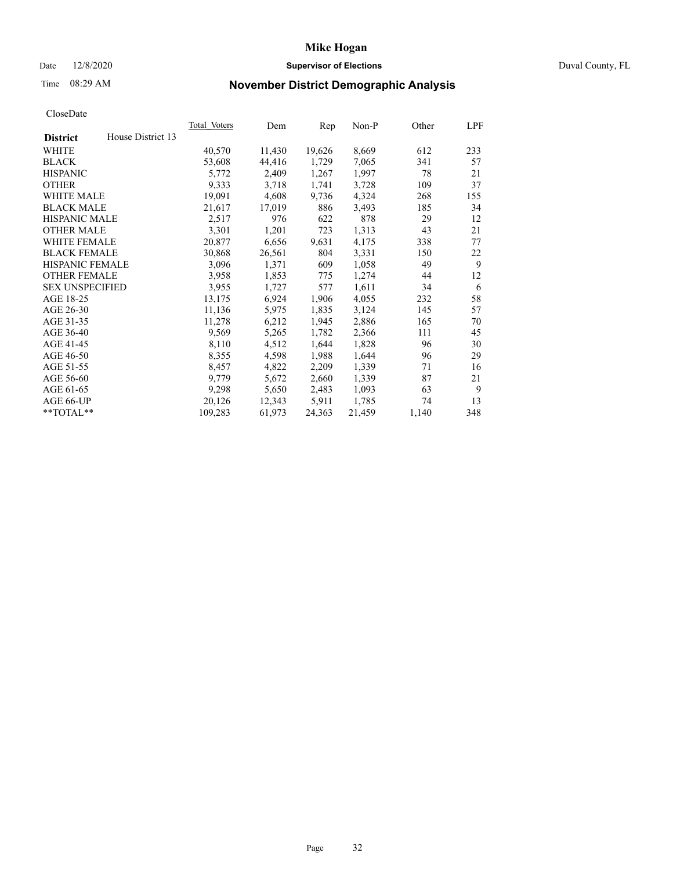# Date 12/8/2020 **Supervisor of Elections** Duval County, FL

# Time 08:29 AM **November District Demographic Analysis**

|                        |                   | <b>Total Voters</b> | Dem    | Rep    | $Non-P$ | Other | LPF |
|------------------------|-------------------|---------------------|--------|--------|---------|-------|-----|
| <b>District</b>        | House District 13 |                     |        |        |         |       |     |
| WHITE                  |                   | 40,570              | 11,430 | 19,626 | 8,669   | 612   | 233 |
| <b>BLACK</b>           |                   | 53,608              | 44,416 | 1,729  | 7,065   | 341   | 57  |
| <b>HISPANIC</b>        |                   | 5,772               | 2,409  | 1,267  | 1,997   | 78    | 21  |
| <b>OTHER</b>           |                   | 9,333               | 3,718  | 1,741  | 3,728   | 109   | 37  |
| WHITE MALE             |                   | 19,091              | 4,608  | 9,736  | 4,324   | 268   | 155 |
| <b>BLACK MALE</b>      |                   | 21,617              | 17,019 | 886    | 3,493   | 185   | 34  |
| <b>HISPANIC MALE</b>   |                   | 2,517               | 976    | 622    | 878     | 29    | 12  |
| <b>OTHER MALE</b>      |                   | 3,301               | 1,201  | 723    | 1,313   | 43    | 21  |
| WHITE FEMALE           |                   | 20,877              | 6,656  | 9,631  | 4,175   | 338   | 77  |
| <b>BLACK FEMALE</b>    |                   | 30,868              | 26,561 | 804    | 3,331   | 150   | 22  |
| HISPANIC FEMALE        |                   | 3,096               | 1,371  | 609    | 1,058   | 49    | 9   |
| <b>OTHER FEMALE</b>    |                   | 3,958               | 1,853  | 775    | 1,274   | 44    | 12  |
| <b>SEX UNSPECIFIED</b> |                   | 3,955               | 1,727  | 577    | 1,611   | 34    | 6   |
| AGE 18-25              |                   | 13,175              | 6,924  | 1,906  | 4,055   | 232   | 58  |
| AGE 26-30              |                   | 11,136              | 5,975  | 1,835  | 3,124   | 145   | 57  |
| AGE 31-35              |                   | 11,278              | 6,212  | 1,945  | 2,886   | 165   | 70  |
| AGE 36-40              |                   | 9,569               | 5,265  | 1,782  | 2,366   | 111   | 45  |
| AGE 41-45              |                   | 8,110               | 4,512  | 1,644  | 1,828   | 96    | 30  |
| AGE 46-50              |                   | 8,355               | 4,598  | 1,988  | 1,644   | 96    | 29  |
| AGE 51-55              |                   | 8,457               | 4,822  | 2,209  | 1,339   | 71    | 16  |
| AGE 56-60              |                   | 9,779               | 5,672  | 2,660  | 1,339   | 87    | 21  |
| AGE 61-65              |                   | 9,298               | 5,650  | 2,483  | 1,093   | 63    | 9   |
| AGE 66-UP              |                   | 20,126              | 12,343 | 5,911  | 1,785   | 74    | 13  |
| **TOTAL**              |                   | 109,283             | 61,973 | 24,363 | 21,459  | 1,140 | 348 |
|                        |                   |                     |        |        |         |       |     |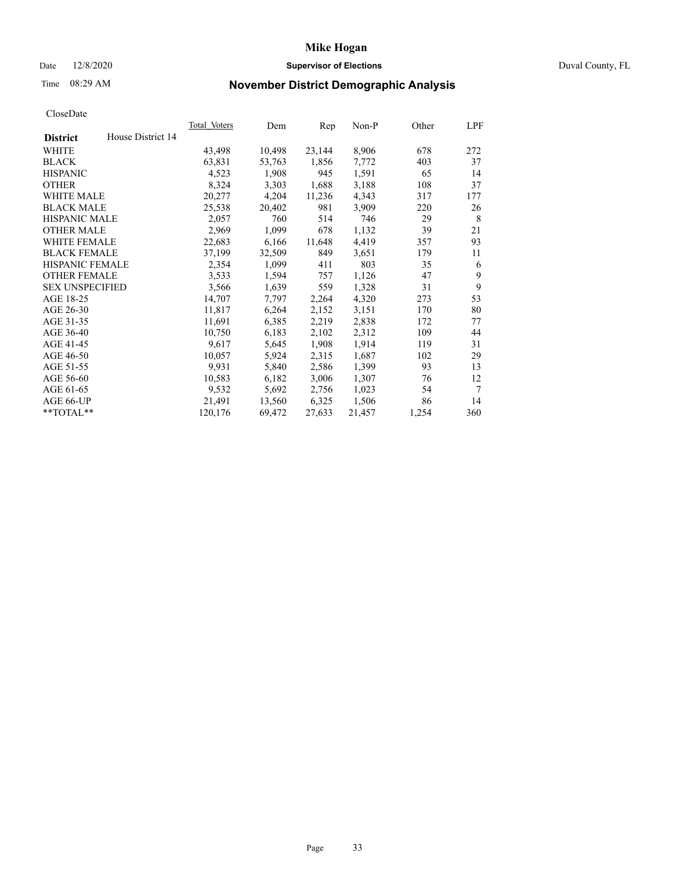# Date 12/8/2020 **Supervisor of Elections** Duval County, FL

# Time 08:29 AM **November District Demographic Analysis**

| <b>Total Voters</b> | Dem    | Rep    | $Non-P$ | Other | LPF |
|---------------------|--------|--------|---------|-------|-----|
|                     |        |        |         |       |     |
| 43,498              | 10,498 | 23,144 | 8,906   | 678   | 272 |
| 63,831              | 53,763 | 1,856  | 7,772   | 403   | 37  |
| 4,523               | 1,908  | 945    | 1,591   | 65    | 14  |
| 8,324               | 3,303  | 1,688  | 3,188   | 108   | 37  |
| 20,277              | 4,204  | 11,236 | 4,343   | 317   | 177 |
| 25,538              | 20,402 | 981    | 3,909   | 220   | 26  |
| 2,057               | 760    | 514    | 746     | 29    | 8   |
| 2,969               | 1,099  | 678    | 1,132   | 39    | 21  |
| 22,683              | 6,166  | 11,648 | 4,419   | 357   | 93  |
| 37,199              | 32,509 | 849    | 3,651   | 179   | 11  |
| 2,354               | 1,099  | 411    | 803     | 35    | 6   |
| 3,533               | 1,594  | 757    | 1,126   | 47    | 9   |
| 3,566               | 1,639  | 559    | 1,328   | 31    | 9   |
| 14,707              | 7,797  | 2,264  | 4,320   | 273   | 53  |
| 11,817              | 6,264  | 2,152  | 3,151   | 170   | 80  |
| 11,691              | 6,385  | 2,219  | 2,838   | 172   | 77  |
| 10,750              | 6,183  | 2,102  | 2,312   | 109   | 44  |
| 9,617               | 5,645  | 1,908  | 1,914   | 119   | 31  |
| 10,057              | 5,924  | 2,315  | 1,687   | 102   | 29  |
| 9,931               | 5,840  | 2,586  | 1,399   | 93    | 13  |
| 10,583              | 6,182  | 3,006  | 1,307   | 76    | 12  |
| 9,532               | 5,692  | 2,756  | 1,023   | 54    | 7   |
| 21,491              | 13,560 | 6,325  | 1,506   | 86    | 14  |
| 120,176             | 69,472 | 27,633 | 21,457  | 1,254 | 360 |
|                     |        |        |         |       |     |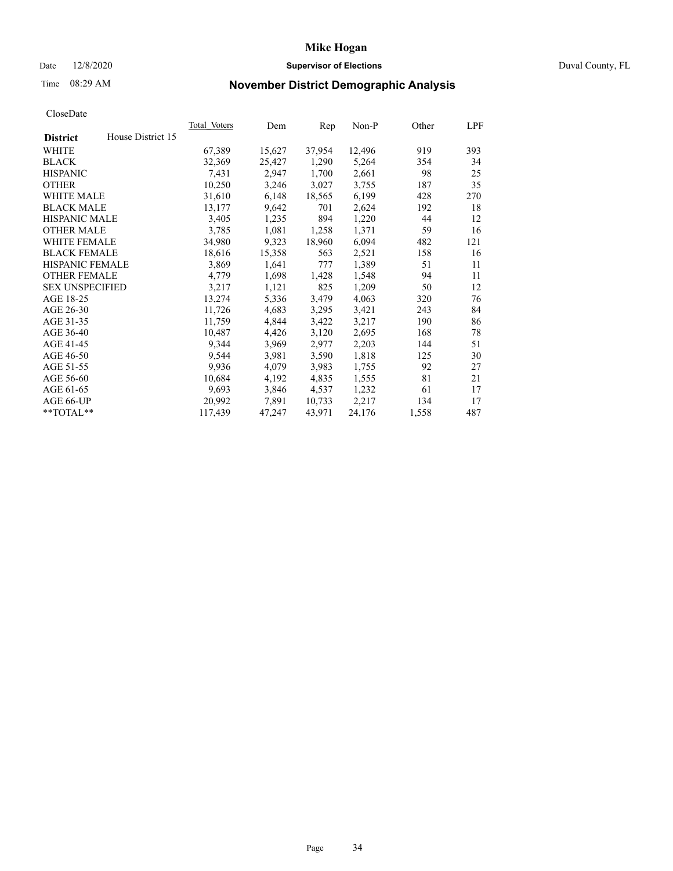# Date 12/8/2020 **Supervisor of Elections** Duval County, FL

# Time 08:29 AM **November District Demographic Analysis**

| <b>Total Voters</b> | Dem    | Rep    | Non-P  | Other | LPF |
|---------------------|--------|--------|--------|-------|-----|
|                     |        |        |        |       |     |
| 67,389              | 15,627 | 37,954 | 12,496 | 919   | 393 |
| 32,369              | 25,427 | 1,290  | 5,264  | 354   | 34  |
| 7,431               | 2,947  | 1,700  | 2,661  | 98    | 25  |
| 10,250              | 3,246  | 3,027  | 3,755  | 187   | 35  |
| 31,610              | 6,148  | 18,565 | 6,199  | 428   | 270 |
| 13,177              | 9,642  | 701    | 2,624  | 192   | 18  |
| 3,405               | 1,235  | 894    | 1,220  | 44    | 12  |
| 3,785               | 1,081  | 1,258  | 1,371  | 59    | 16  |
| 34,980              | 9,323  | 18,960 | 6,094  | 482   | 121 |
| 18,616              | 15,358 | 563    | 2,521  | 158   | 16  |
| 3,869               | 1,641  | 777    | 1,389  | 51    | 11  |
| 4,779               | 1,698  | 1,428  | 1,548  | 94    | 11  |
| 3,217               | 1,121  | 825    | 1,209  | 50    | 12  |
| 13,274              | 5,336  | 3,479  | 4,063  | 320   | 76  |
| 11,726              | 4,683  | 3,295  | 3,421  | 243   | 84  |
| 11,759              | 4,844  | 3,422  | 3,217  | 190   | 86  |
| 10,487              | 4,426  | 3,120  | 2,695  | 168   | 78  |
| 9,344               | 3,969  | 2,977  | 2,203  | 144   | 51  |
| 9,544               | 3,981  | 3,590  | 1,818  | 125   | 30  |
| 9,936               | 4,079  | 3,983  | 1,755  | 92    | 27  |
| 10,684              | 4,192  | 4,835  | 1,555  | 81    | 21  |
| 9,693               | 3,846  | 4,537  | 1,232  | 61    | 17  |
| 20,992              | 7,891  | 10,733 | 2,217  | 134   | 17  |
| 117,439             | 47,247 | 43,971 | 24,176 | 1,558 | 487 |
|                     |        |        |        |       |     |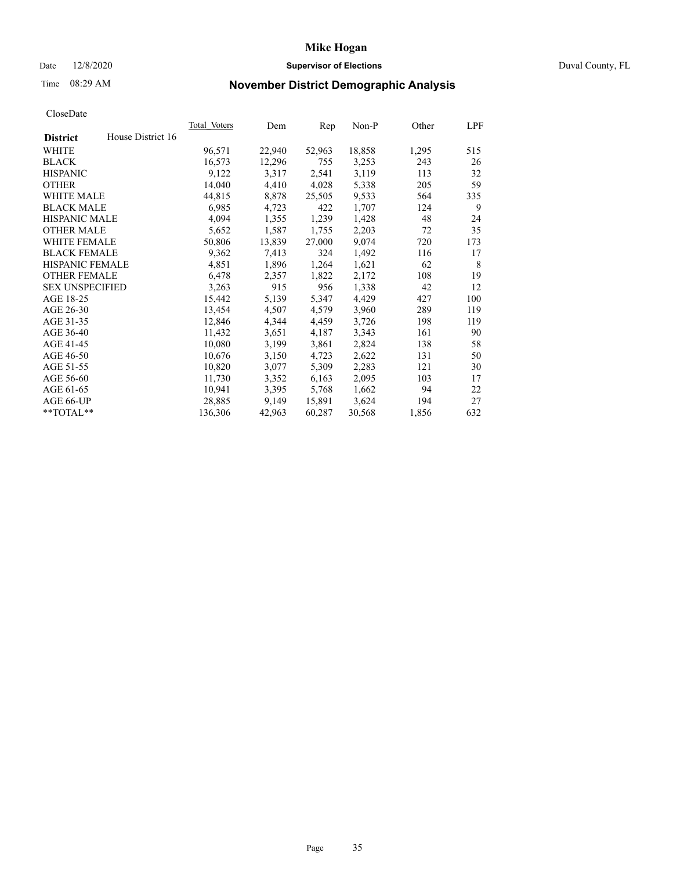# Date 12/8/2020 **Supervisor of Elections** Duval County, FL

# Time 08:29 AM **November District Demographic Analysis**

|                        |                   | Total Voters | Dem    | Rep    | Non-P  | Other | LPF |
|------------------------|-------------------|--------------|--------|--------|--------|-------|-----|
| <b>District</b>        | House District 16 |              |        |        |        |       |     |
| WHITE                  |                   | 96,571       | 22,940 | 52,963 | 18,858 | 1,295 | 515 |
| <b>BLACK</b>           |                   | 16,573       | 12,296 | 755    | 3,253  | 243   | 26  |
| <b>HISPANIC</b>        |                   | 9,122        | 3,317  | 2,541  | 3,119  | 113   | 32  |
| <b>OTHER</b>           |                   | 14,040       | 4,410  | 4,028  | 5,338  | 205   | 59  |
| WHITE MALE             |                   | 44,815       | 8,878  | 25,505 | 9,533  | 564   | 335 |
| <b>BLACK MALE</b>      |                   | 6,985        | 4,723  | 422    | 1,707  | 124   | 9   |
| <b>HISPANIC MALE</b>   |                   | 4,094        | 1,355  | 1,239  | 1,428  | 48    | 24  |
| <b>OTHER MALE</b>      |                   | 5,652        | 1,587  | 1,755  | 2,203  | 72    | 35  |
| <b>WHITE FEMALE</b>    |                   | 50,806       | 13,839 | 27,000 | 9,074  | 720   | 173 |
| <b>BLACK FEMALE</b>    |                   | 9,362        | 7,413  | 324    | 1,492  | 116   | 17  |
| <b>HISPANIC FEMALE</b> |                   | 4,851        | 1,896  | 1,264  | 1,621  | 62    | 8   |
| <b>OTHER FEMALE</b>    |                   | 6,478        | 2,357  | 1,822  | 2,172  | 108   | 19  |
| <b>SEX UNSPECIFIED</b> |                   | 3,263        | 915    | 956    | 1,338  | 42    | 12  |
| AGE 18-25              |                   | 15,442       | 5,139  | 5,347  | 4,429  | 427   | 100 |
| AGE 26-30              |                   | 13,454       | 4,507  | 4,579  | 3,960  | 289   | 119 |
| AGE 31-35              |                   | 12,846       | 4,344  | 4,459  | 3,726  | 198   | 119 |
| AGE 36-40              |                   | 11,432       | 3,651  | 4,187  | 3,343  | 161   | 90  |
| AGE 41-45              |                   | 10,080       | 3,199  | 3,861  | 2,824  | 138   | 58  |
| AGE 46-50              |                   | 10,676       | 3,150  | 4,723  | 2,622  | 131   | 50  |
| AGE 51-55              |                   | 10,820       | 3,077  | 5,309  | 2,283  | 121   | 30  |
| AGE 56-60              |                   | 11,730       | 3,352  | 6,163  | 2,095  | 103   | 17  |
| AGE 61-65              |                   | 10,941       | 3,395  | 5,768  | 1,662  | 94    | 22  |
| AGE 66-UP              |                   | 28,885       | 9,149  | 15,891 | 3,624  | 194   | 27  |
| $*$ TOTAL $*$          |                   | 136,306      | 42,963 | 60,287 | 30,568 | 1,856 | 632 |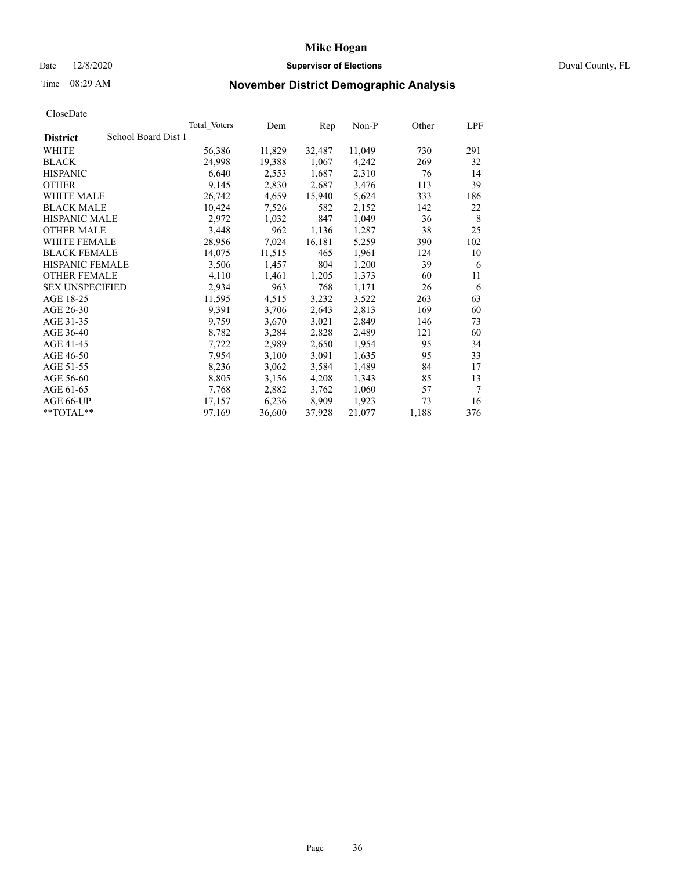# Date 12/8/2020 **Supervisor of Elections** Duval County, FL

# Time 08:29 AM **November District Demographic Analysis**

|                                        | Total Voters | Dem    | Rep    | Non-P  | Other | LPF    |
|----------------------------------------|--------------|--------|--------|--------|-------|--------|
| School Board Dist 1<br><b>District</b> |              |        |        |        |       |        |
| WHITE                                  | 56,386       | 11,829 | 32,487 | 11,049 | 730   | 291    |
| <b>BLACK</b>                           | 24,998       | 19,388 | 1,067  | 4,242  | 269   | 32     |
| <b>HISPANIC</b>                        | 6,640        | 2,553  | 1,687  | 2,310  | 76    | 14     |
| <b>OTHER</b>                           | 9,145        | 2,830  | 2,687  | 3,476  | 113   | 39     |
| WHITE MALE                             | 26,742       | 4,659  | 15,940 | 5,624  | 333   | 186    |
| <b>BLACK MALE</b>                      | 10,424       | 7,526  | 582    | 2,152  | 142   | 22     |
| <b>HISPANIC MALE</b>                   | 2,972        | 1,032  | 847    | 1,049  | 36    | 8      |
| <b>OTHER MALE</b>                      | 3,448        | 962    | 1,136  | 1,287  | 38    | 25     |
| <b>WHITE FEMALE</b>                    | 28,956       | 7,024  | 16,181 | 5,259  | 390   | 102    |
| <b>BLACK FEMALE</b>                    | 14,075       | 11,515 | 465    | 1,961  | 124   | 10     |
| <b>HISPANIC FEMALE</b>                 | 3,506        | 1,457  | 804    | 1,200  | 39    | 6      |
| <b>OTHER FEMALE</b>                    | 4,110        | 1,461  | 1,205  | 1,373  | 60    | 11     |
| <b>SEX UNSPECIFIED</b>                 | 2,934        | 963    | 768    | 1,171  | 26    | 6      |
| AGE 18-25                              | 11,595       | 4,515  | 3,232  | 3,522  | 263   | 63     |
| AGE 26-30                              | 9,391        | 3,706  | 2,643  | 2,813  | 169   | 60     |
| AGE 31-35                              | 9,759        | 3,670  | 3,021  | 2,849  | 146   | 73     |
| AGE 36-40                              | 8,782        | 3,284  | 2,828  | 2,489  | 121   | 60     |
| AGE 41-45                              | 7,722        | 2,989  | 2,650  | 1,954  | 95    | 34     |
| AGE 46-50                              | 7,954        | 3,100  | 3,091  | 1,635  | 95    | 33     |
| AGE 51-55                              | 8,236        | 3,062  | 3,584  | 1,489  | 84    | 17     |
| AGE 56-60                              | 8,805        | 3,156  | 4,208  | 1,343  | 85    | 13     |
| AGE 61-65                              | 7,768        | 2,882  | 3,762  | 1,060  | 57    | $\tau$ |
| AGE 66-UP                              | 17,157       | 6,236  | 8,909  | 1,923  | 73    | 16     |
| $*$ $TOTAL**$                          | 97,169       | 36,600 | 37,928 | 21,077 | 1,188 | 376    |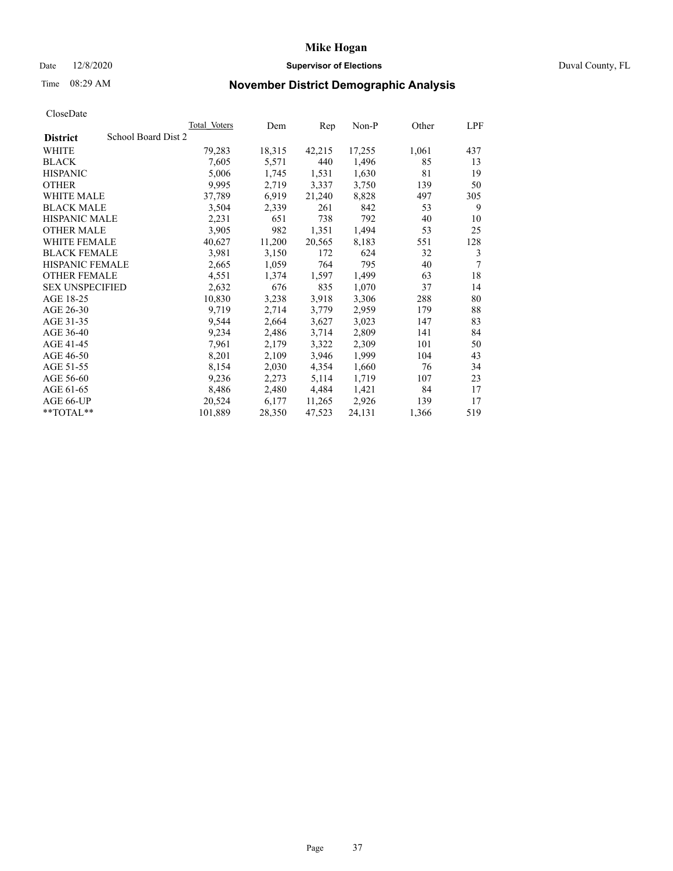# Date 12/8/2020 **Supervisor of Elections** Duval County, FL

# Time 08:29 AM **November District Demographic Analysis**

| School Board Dist 2<br><b>District</b> |         |        |        |        |       |     |
|----------------------------------------|---------|--------|--------|--------|-------|-----|
|                                        |         |        |        |        |       |     |
| WHITE                                  | 79,283  | 18,315 | 42,215 | 17,255 | 1,061 | 437 |
| <b>BLACK</b>                           | 7,605   | 5,571  | 440    | 1,496  | 85    | 13  |
| <b>HISPANIC</b>                        | 5,006   | 1,745  | 1,531  | 1,630  | 81    | 19  |
| <b>OTHER</b>                           | 9,995   | 2,719  | 3,337  | 3,750  | 139   | 50  |
| WHITE MALE                             | 37,789  | 6,919  | 21,240 | 8,828  | 497   | 305 |
| <b>BLACK MALE</b>                      | 3,504   | 2,339  | 261    | 842    | 53    | 9   |
| <b>HISPANIC MALE</b>                   | 2,231   | 651    | 738    | 792    | 40    | 10  |
| <b>OTHER MALE</b>                      | 3,905   | 982    | 1,351  | 1,494  | 53    | 25  |
| <b>WHITE FEMALE</b>                    | 40,627  | 11,200 | 20,565 | 8,183  | 551   | 128 |
| <b>BLACK FEMALE</b>                    | 3,981   | 3,150  | 172    | 624    | 32    | 3   |
| HISPANIC FEMALE                        | 2,665   | 1,059  | 764    | 795    | 40    | 7   |
| <b>OTHER FEMALE</b>                    | 4,551   | 1,374  | 1,597  | 1,499  | 63    | 18  |
| <b>SEX UNSPECIFIED</b>                 | 2,632   | 676    | 835    | 1,070  | 37    | 14  |
| AGE 18-25                              | 10,830  | 3,238  | 3,918  | 3,306  | 288   | 80  |
| AGE 26-30                              | 9,719   | 2,714  | 3,779  | 2,959  | 179   | 88  |
| AGE 31-35                              | 9,544   | 2,664  | 3,627  | 3,023  | 147   | 83  |
| AGE 36-40                              | 9,234   | 2,486  | 3,714  | 2,809  | 141   | 84  |
| AGE 41-45                              | 7,961   | 2,179  | 3,322  | 2,309  | 101   | 50  |
| AGE 46-50                              | 8,201   | 2,109  | 3,946  | 1,999  | 104   | 43  |
| AGE 51-55                              | 8,154   | 2,030  | 4,354  | 1,660  | 76    | 34  |
| AGE 56-60                              | 9,236   | 2,273  | 5,114  | 1,719  | 107   | 23  |
| AGE 61-65                              | 8,486   | 2,480  | 4,484  | 1,421  | 84    | 17  |
| AGE 66-UP                              | 20,524  | 6,177  | 11,265 | 2,926  | 139   | 17  |
| **TOTAL**                              | 101,889 | 28,350 | 47,523 | 24,131 | 1,366 | 519 |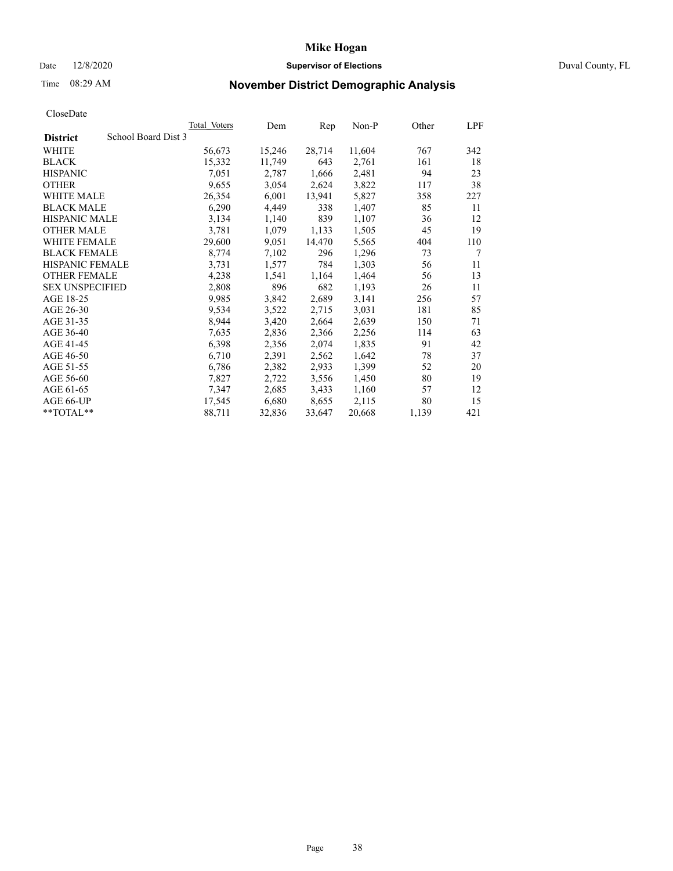# Date 12/8/2020 **Supervisor of Elections** Duval County, FL

# Time 08:29 AM **November District Demographic Analysis**

|                                        | Total Voters | Dem    | Rep    | Non-P  | Other | LPF |
|----------------------------------------|--------------|--------|--------|--------|-------|-----|
| School Board Dist 3<br><b>District</b> |              |        |        |        |       |     |
| WHITE                                  | 56,673       | 15,246 | 28,714 | 11,604 | 767   | 342 |
| <b>BLACK</b>                           | 15,332       | 11,749 | 643    | 2,761  | 161   | 18  |
| <b>HISPANIC</b>                        | 7,051        | 2,787  | 1,666  | 2,481  | 94    | 23  |
| <b>OTHER</b>                           | 9,655        | 3,054  | 2,624  | 3,822  | 117   | 38  |
| WHITE MALE                             | 26,354       | 6,001  | 13,941 | 5,827  | 358   | 227 |
| <b>BLACK MALE</b>                      | 6,290        | 4,449  | 338    | 1,407  | 85    | 11  |
| <b>HISPANIC MALE</b>                   | 3,134        | 1,140  | 839    | 1,107  | 36    | 12  |
| <b>OTHER MALE</b>                      | 3,781        | 1,079  | 1,133  | 1,505  | 45    | 19  |
| <b>WHITE FEMALE</b>                    | 29,600       | 9,051  | 14,470 | 5,565  | 404   | 110 |
| <b>BLACK FEMALE</b>                    | 8,774        | 7,102  | 296    | 1,296  | 73    | 7   |
| <b>HISPANIC FEMALE</b>                 | 3,731        | 1,577  | 784    | 1,303  | 56    | 11  |
| <b>OTHER FEMALE</b>                    | 4,238        | 1,541  | 1,164  | 1,464  | 56    | 13  |
| <b>SEX UNSPECIFIED</b>                 | 2,808        | 896    | 682    | 1,193  | 26    | 11  |
| AGE 18-25                              | 9,985        | 3,842  | 2,689  | 3,141  | 256   | 57  |
| AGE 26-30                              | 9,534        | 3,522  | 2,715  | 3,031  | 181   | 85  |
| AGE 31-35                              | 8,944        | 3,420  | 2,664  | 2,639  | 150   | 71  |
| AGE 36-40                              | 7,635        | 2,836  | 2,366  | 2,256  | 114   | 63  |
| AGE 41-45                              | 6,398        | 2,356  | 2,074  | 1,835  | 91    | 42  |
| AGE 46-50                              | 6,710        | 2,391  | 2,562  | 1,642  | 78    | 37  |
| AGE 51-55                              | 6,786        | 2,382  | 2,933  | 1,399  | 52    | 20  |
| AGE 56-60                              | 7,827        | 2,722  | 3,556  | 1,450  | 80    | 19  |
| AGE 61-65                              | 7,347        | 2,685  | 3,433  | 1,160  | 57    | 12  |
| AGE 66-UP                              | 17,545       | 6,680  | 8,655  | 2,115  | 80    | 15  |
| $*$ $TOTAL**$                          | 88,711       | 32,836 | 33,647 | 20,668 | 1,139 | 421 |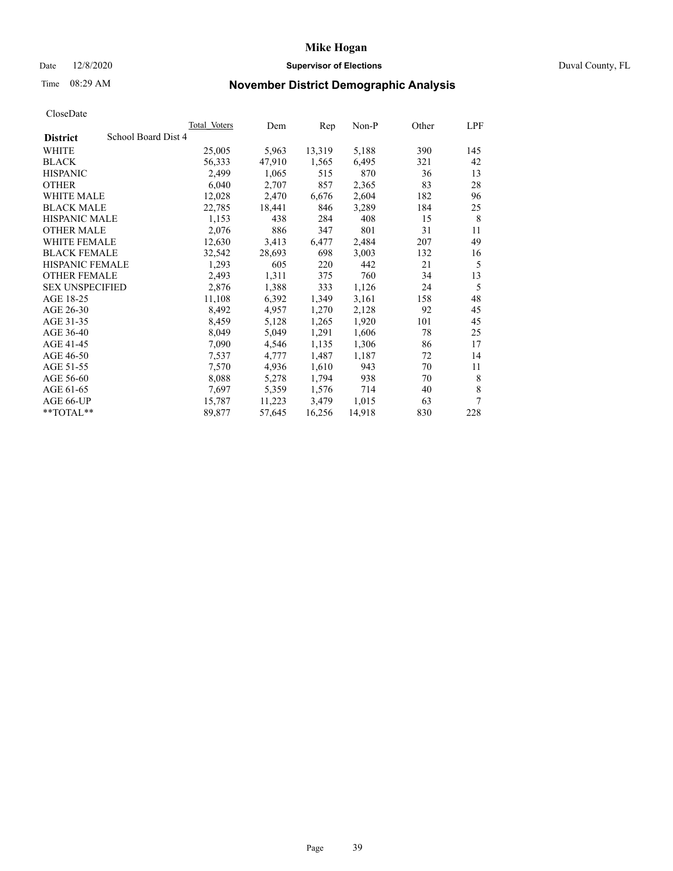# Date 12/8/2020 **Supervisor of Elections** Duval County, FL

# Time 08:29 AM **November District Demographic Analysis**

| Total Voters | Dem                 | Rep    | Non-P  | Other | LPF |
|--------------|---------------------|--------|--------|-------|-----|
|              |                     |        |        |       |     |
| 25,005       | 5,963               | 13,319 | 5,188  | 390   | 145 |
| 56,333       | 47,910              | 1,565  | 6,495  | 321   | 42  |
| 2,499        | 1,065               | 515    | 870    | 36    | 13  |
| 6,040        | 2,707               | 857    | 2,365  | 83    | 28  |
| 12,028       | 2,470               | 6,676  | 2,604  | 182   | 96  |
| 22,785       | 18,441              | 846    | 3,289  | 184   | 25  |
| 1,153        | 438                 | 284    | 408    | 15    | 8   |
| 2,076        | 886                 | 347    | 801    | 31    | 11  |
| 12,630       | 3,413               | 6,477  | 2,484  | 207   | 49  |
| 32,542       | 28,693              | 698    | 3,003  | 132   | 16  |
| 1,293        | 605                 | 220    | 442    | 21    | 5   |
| 2,493        | 1,311               | 375    | 760    | 34    | 13  |
| 2,876        | 1,388               | 333    | 1,126  | 24    | 5   |
| 11,108       | 6,392               | 1,349  | 3,161  | 158   | 48  |
| 8,492        | 4,957               | 1,270  | 2,128  | 92    | 45  |
| 8,459        | 5,128               | 1,265  | 1,920  | 101   | 45  |
| 8,049        | 5,049               | 1,291  | 1,606  | 78    | 25  |
| 7,090        | 4,546               | 1,135  | 1,306  | 86    | 17  |
| 7,537        | 4,777               | 1,487  | 1,187  | 72    | 14  |
| 7,570        | 4,936               | 1,610  | 943    | 70    | 11  |
| 8,088        | 5,278               | 1,794  | 938    | 70    | 8   |
| 7,697        | 5,359               | 1,576  | 714    | 40    | 8   |
| 15,787       | 11,223              | 3,479  | 1,015  | 63    | 7   |
| 89,877       | 57,645              | 16,256 | 14,918 | 830   | 228 |
|              | School Board Dist 4 |        |        |       |     |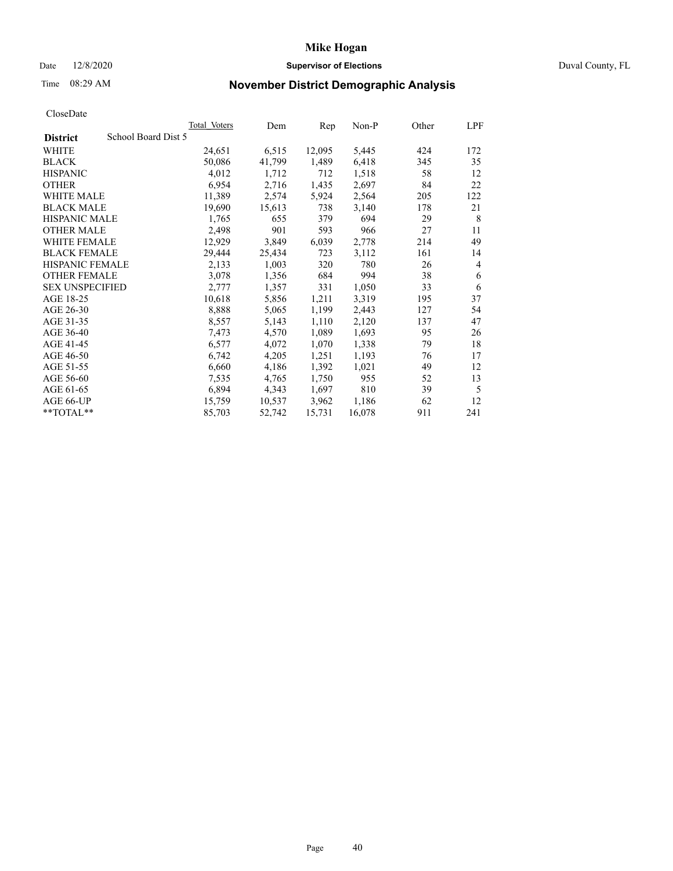# Date 12/8/2020 **Supervisor of Elections** Duval County, FL

# Time 08:29 AM **November District Demographic Analysis**

| School Board Dist 5<br><b>District</b><br>WHITE<br>24,651<br>6,515<br>12,095<br>5,445<br>424<br>1,489<br>6,418<br><b>BLACK</b><br>50,086<br>41,799<br>345<br><b>HISPANIC</b><br>4,012<br>1,712<br>712<br>1,518<br>58<br><b>OTHER</b><br>6,954<br>2,716<br>1,435<br>2,697<br>84<br>11,389<br>5,924<br>2,564<br>WHITE MALE<br>2,574<br>205 | 172<br>35<br>12<br>22<br>122 |
|------------------------------------------------------------------------------------------------------------------------------------------------------------------------------------------------------------------------------------------------------------------------------------------------------------------------------------------|------------------------------|
|                                                                                                                                                                                                                                                                                                                                          |                              |
|                                                                                                                                                                                                                                                                                                                                          |                              |
|                                                                                                                                                                                                                                                                                                                                          |                              |
|                                                                                                                                                                                                                                                                                                                                          |                              |
|                                                                                                                                                                                                                                                                                                                                          |                              |
|                                                                                                                                                                                                                                                                                                                                          |                              |
| <b>BLACK MALE</b><br>19,690<br>15,613<br>738<br>3,140<br>178                                                                                                                                                                                                                                                                             | 21                           |
| <b>HISPANIC MALE</b><br>1,765<br>379<br>29<br>655<br>694                                                                                                                                                                                                                                                                                 | 8                            |
| 2,498<br><b>OTHER MALE</b><br>901<br>593<br>27<br>966                                                                                                                                                                                                                                                                                    | 11                           |
| WHITE FEMALE<br>12,929<br>6,039<br>3,849<br>2,778<br>214                                                                                                                                                                                                                                                                                 | 49                           |
| <b>BLACK FEMALE</b><br>3,112<br>29,444<br>25,434<br>723<br>161                                                                                                                                                                                                                                                                           | 14                           |
| HISPANIC FEMALE<br>2,133<br>1,003<br>320<br>780<br>26                                                                                                                                                                                                                                                                                    | 4                            |
| <b>OTHER FEMALE</b><br>3,078<br>1,356<br>684<br>994<br>38                                                                                                                                                                                                                                                                                | 6                            |
| 2,777<br>1,050<br><b>SEX UNSPECIFIED</b><br>1,357<br>331<br>33                                                                                                                                                                                                                                                                           | 6                            |
| AGE 18-25<br>10,618<br>1,211<br>3,319<br>5,856<br>195                                                                                                                                                                                                                                                                                    | 37                           |
| AGE 26-30<br>8,888<br>1,199<br>2,443<br>5,065<br>127                                                                                                                                                                                                                                                                                     | 54                           |
| AGE 31-35<br>8,557<br>1,110<br>2,120<br>137<br>5,143                                                                                                                                                                                                                                                                                     | 47                           |
| AGE 36-40<br>1,089<br>1,693<br>95<br>7,473<br>4,570                                                                                                                                                                                                                                                                                      | 26                           |
| AGE 41-45<br>6,577<br>1,070<br>1,338<br>79<br>4,072                                                                                                                                                                                                                                                                                      | 18                           |
| AGE 46-50<br>6,742<br>4,205<br>1,251<br>1,193<br>76                                                                                                                                                                                                                                                                                      | 17                           |
| AGE 51-55<br>6,660<br>4,186<br>1,392<br>1,021<br>49                                                                                                                                                                                                                                                                                      | 12                           |
| AGE 56-60<br>7,535<br>1,750<br>52<br>4,765<br>955                                                                                                                                                                                                                                                                                        | 13                           |
| 6,894<br>810<br>39<br>AGE 61-65<br>4,343<br>1,697                                                                                                                                                                                                                                                                                        | 5                            |
| 3,962<br>1,186<br>AGE 66-UP<br>15,759<br>10,537<br>62                                                                                                                                                                                                                                                                                    | 12                           |
| **TOTAL**<br>85,703<br>911<br>52,742<br>15,731<br>16,078                                                                                                                                                                                                                                                                                 | 241                          |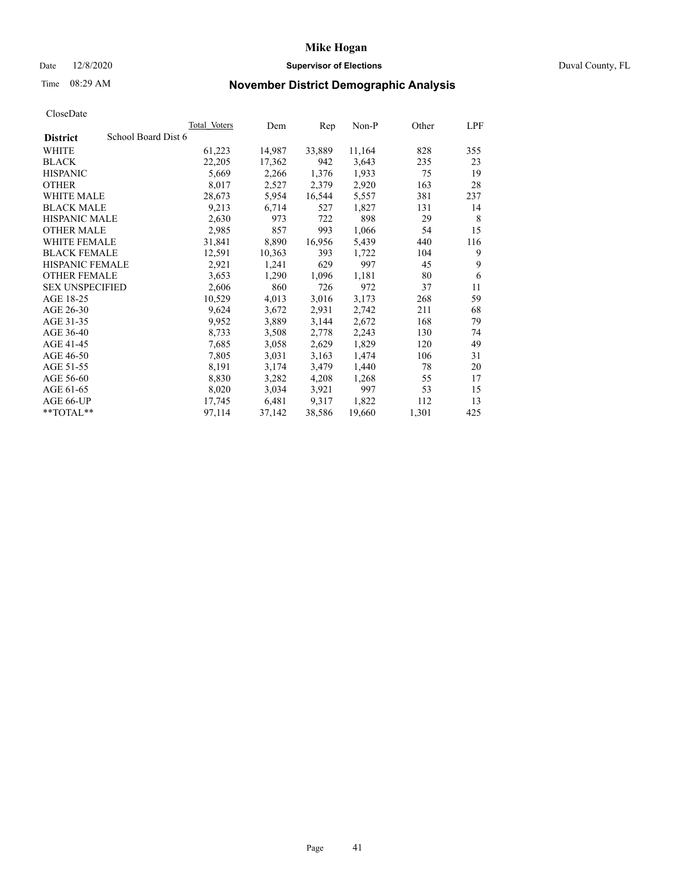# Date 12/8/2020 **Supervisor of Elections** Duval County, FL

# Time 08:29 AM **November District Demographic Analysis**

| <b>Total Voters</b> | Dem    | Rep    | Non-P  | Other | LPF |
|---------------------|--------|--------|--------|-------|-----|
| School Board Dist 6 |        |        |        |       |     |
| 61,223              | 14,987 | 33,889 | 11,164 | 828   | 355 |
| 22,205              | 17,362 | 942    | 3,643  | 235   | 23  |
| 5,669               | 2,266  | 1,376  | 1,933  | 75    | 19  |
| 8,017               | 2,527  | 2,379  | 2,920  | 163   | 28  |
| 28,673              | 5,954  | 16,544 | 5,557  | 381   | 237 |
| 9,213               | 6,714  | 527    | 1,827  | 131   | 14  |
| 2,630               | 973    | 722    | 898    | 29    | 8   |
| 2,985               | 857    | 993    | 1,066  | 54    | 15  |
| 31,841              | 8,890  | 16,956 | 5,439  | 440   | 116 |
| 12,591              | 10,363 | 393    | 1,722  | 104   | 9   |
| 2,921               | 1,241  | 629    | 997    | 45    | 9   |
| 3,653               | 1,290  | 1,096  | 1,181  | 80    | 6   |
| 2,606               | 860    | 726    | 972    | 37    | 11  |
| 10,529              | 4,013  | 3,016  | 3,173  | 268   | 59  |
| 9,624               | 3,672  | 2,931  | 2,742  | 211   | 68  |
| 9,952               | 3,889  | 3,144  | 2,672  | 168   | 79  |
| 8,733               | 3,508  | 2,778  | 2,243  | 130   | 74  |
| 7,685               | 3,058  | 2,629  | 1,829  | 120   | 49  |
| 7,805               | 3,031  | 3,163  | 1,474  | 106   | 31  |
| 8,191               | 3,174  | 3,479  | 1,440  | 78    | 20  |
| 8,830               | 3,282  | 4,208  | 1,268  | 55    | 17  |
| 8,020               | 3,034  | 3,921  | 997    | 53    | 15  |
| 17,745              | 6,481  | 9,317  | 1,822  | 112   | 13  |
| 97,114              | 37,142 | 38,586 | 19,660 | 1,301 | 425 |
|                     |        |        |        |       |     |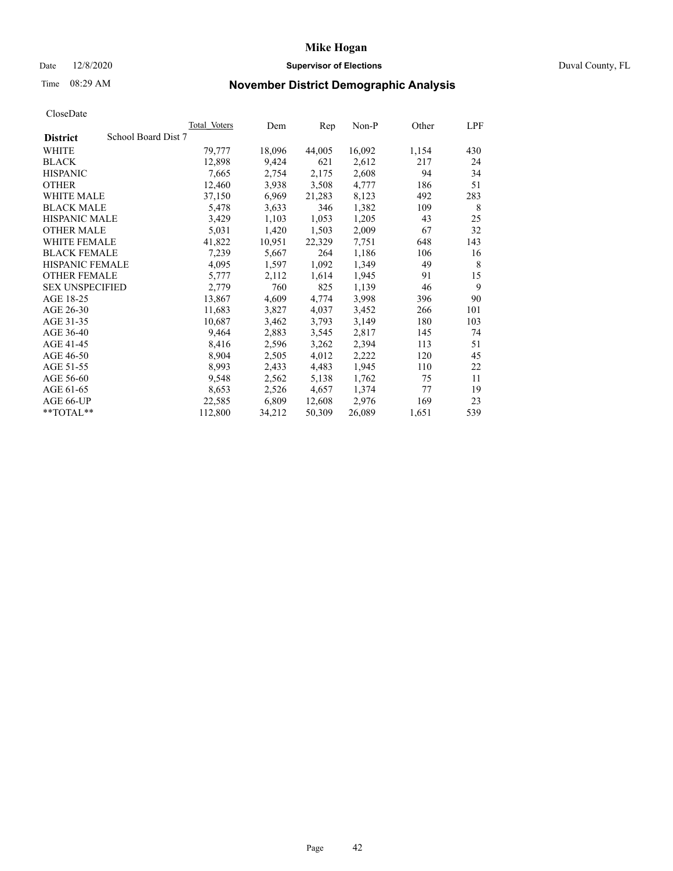# Date 12/8/2020 **Supervisor of Elections** Duval County, FL

# Time 08:29 AM **November District Demographic Analysis**

|                                        | Total Voters | Dem    | Rep    | $Non-P$ | Other | <b>LPF</b> |
|----------------------------------------|--------------|--------|--------|---------|-------|------------|
| School Board Dist 7<br><b>District</b> |              |        |        |         |       |            |
| WHITE                                  | 79,777       | 18,096 | 44,005 | 16,092  | 1,154 | 430        |
| <b>BLACK</b>                           | 12,898       | 9,424  | 621    | 2,612   | 217   | 24         |
| <b>HISPANIC</b>                        | 7,665        | 2,754  | 2,175  | 2,608   | 94    | 34         |
| <b>OTHER</b>                           | 12,460       | 3,938  | 3,508  | 4,777   | 186   | 51         |
| WHITE MALE                             | 37,150       | 6,969  | 21,283 | 8,123   | 492   | 283        |
| <b>BLACK MALE</b>                      | 5,478        | 3,633  | 346    | 1,382   | 109   | 8          |
| <b>HISPANIC MALE</b>                   | 3,429        | 1,103  | 1,053  | 1,205   | 43    | 25         |
| <b>OTHER MALE</b>                      | 5,031        | 1,420  | 1,503  | 2,009   | 67    | 32         |
| <b>WHITE FEMALE</b>                    | 41,822       | 10,951 | 22,329 | 7,751   | 648   | 143        |
| <b>BLACK FEMALE</b>                    | 7,239        | 5,667  | 264    | 1,186   | 106   | 16         |
| HISPANIC FEMALE                        | 4,095        | 1,597  | 1,092  | 1,349   | 49    | 8          |
| <b>OTHER FEMALE</b>                    | 5,777        | 2,112  | 1,614  | 1,945   | 91    | 15         |
| <b>SEX UNSPECIFIED</b>                 | 2,779        | 760    | 825    | 1,139   | 46    | 9          |
| AGE 18-25                              | 13,867       | 4,609  | 4,774  | 3,998   | 396   | 90         |
| AGE 26-30                              | 11,683       | 3,827  | 4,037  | 3,452   | 266   | 101        |
| AGE 31-35                              | 10,687       | 3,462  | 3,793  | 3,149   | 180   | 103        |
| AGE 36-40                              | 9,464        | 2,883  | 3,545  | 2,817   | 145   | 74         |
| AGE 41-45                              | 8,416        | 2,596  | 3,262  | 2,394   | 113   | 51         |
| AGE 46-50                              | 8,904        | 2,505  | 4,012  | 2,222   | 120   | 45         |
| AGE 51-55                              | 8,993        | 2,433  | 4,483  | 1,945   | 110   | 22         |
| AGE 56-60                              | 9,548        | 2,562  | 5,138  | 1,762   | 75    | 11         |
| AGE 61-65                              | 8,653        | 2,526  | 4,657  | 1,374   | 77    | 19         |
| AGE 66-UP                              | 22,585       | 6,809  | 12,608 | 2,976   | 169   | 23         |
| **TOTAL**                              | 112,800      | 34,212 | 50,309 | 26,089  | 1,651 | 539        |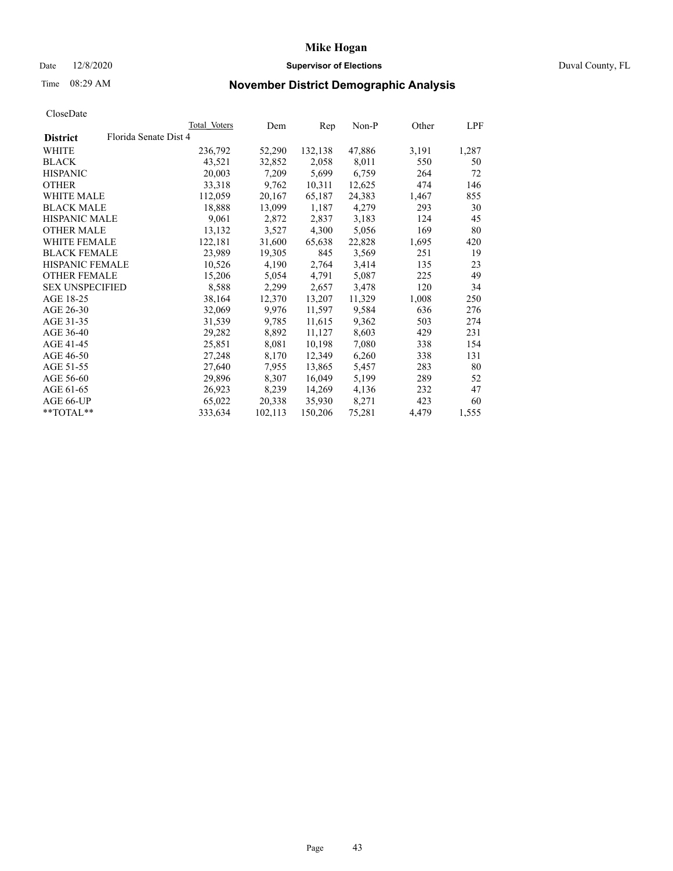# Date 12/8/2020 **Supervisor of Elections** Duval County, FL

# Time 08:29 AM **November District Demographic Analysis**

|                        |                       | Total Voters | Dem     | Rep     | $Non-P$ | Other | LPF   |
|------------------------|-----------------------|--------------|---------|---------|---------|-------|-------|
| <b>District</b>        | Florida Senate Dist 4 |              |         |         |         |       |       |
| WHITE                  |                       | 236,792      | 52,290  | 132,138 | 47,886  | 3,191 | 1,287 |
| <b>BLACK</b>           |                       | 43,521       | 32,852  | 2,058   | 8,011   | 550   | 50    |
| <b>HISPANIC</b>        |                       | 20,003       | 7,209   | 5,699   | 6,759   | 264   | 72    |
| <b>OTHER</b>           |                       | 33,318       | 9,762   | 10,311  | 12,625  | 474   | 146   |
| <b>WHITE MALE</b>      |                       | 112,059      | 20,167  | 65,187  | 24,383  | 1,467 | 855   |
| <b>BLACK MALE</b>      |                       | 18,888       | 13,099  | 1,187   | 4,279   | 293   | 30    |
| <b>HISPANIC MALE</b>   |                       | 9,061        | 2,872   | 2,837   | 3,183   | 124   | 45    |
| <b>OTHER MALE</b>      |                       | 13,132       | 3,527   | 4,300   | 5,056   | 169   | 80    |
| <b>WHITE FEMALE</b>    |                       | 122,181      | 31,600  | 65,638  | 22,828  | 1,695 | 420   |
| <b>BLACK FEMALE</b>    |                       | 23,989       | 19,305  | 845     | 3,569   | 251   | 19    |
| HISPANIC FEMALE        |                       | 10,526       | 4,190   | 2,764   | 3,414   | 135   | 23    |
| <b>OTHER FEMALE</b>    |                       | 15,206       | 5,054   | 4,791   | 5,087   | 225   | 49    |
| <b>SEX UNSPECIFIED</b> |                       | 8,588        | 2,299   | 2,657   | 3,478   | 120   | 34    |
| AGE 18-25              |                       | 38,164       | 12,370  | 13,207  | 11,329  | 1,008 | 250   |
| AGE 26-30              |                       | 32,069       | 9,976   | 11,597  | 9,584   | 636   | 276   |
| AGE 31-35              |                       | 31,539       | 9,785   | 11,615  | 9,362   | 503   | 274   |
| AGE 36-40              |                       | 29,282       | 8,892   | 11,127  | 8,603   | 429   | 231   |
| AGE 41-45              |                       | 25,851       | 8,081   | 10,198  | 7,080   | 338   | 154   |
| AGE 46-50              |                       | 27,248       | 8,170   | 12,349  | 6,260   | 338   | 131   |
| AGE 51-55              |                       | 27,640       | 7,955   | 13,865  | 5,457   | 283   | 80    |
| AGE 56-60              |                       | 29,896       | 8,307   | 16,049  | 5,199   | 289   | 52    |
| AGE 61-65              |                       | 26,923       | 8,239   | 14,269  | 4,136   | 232   | 47    |
| AGE 66-UP              |                       | 65,022       | 20,338  | 35,930  | 8,271   | 423   | 60    |
| **TOTAL**              |                       | 333,634      | 102,113 | 150,206 | 75,281  | 4,479 | 1,555 |
|                        |                       |              |         |         |         |       |       |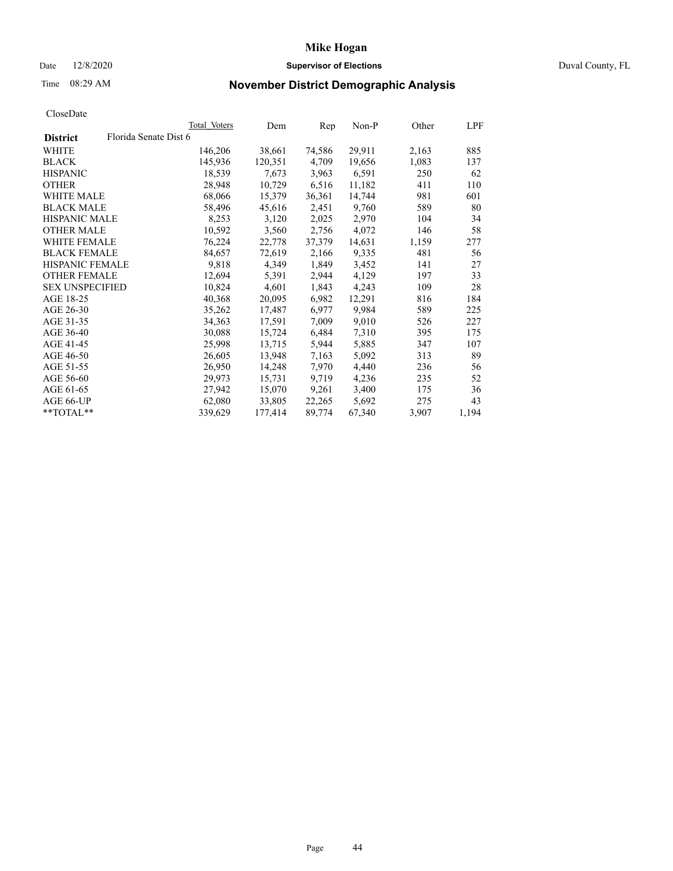# Date 12/8/2020 **Supervisor of Elections** Duval County, FL

# Time 08:29 AM **November District Demographic Analysis**

|                        |                       | Total Voters | Dem     | Rep    | Non-P  | Other | LPF   |
|------------------------|-----------------------|--------------|---------|--------|--------|-------|-------|
| <b>District</b>        | Florida Senate Dist 6 |              |         |        |        |       |       |
| WHITE                  |                       | 146,206      | 38,661  | 74,586 | 29,911 | 2,163 | 885   |
| <b>BLACK</b>           |                       | 145,936      | 120,351 | 4,709  | 19,656 | 1,083 | 137   |
| <b>HISPANIC</b>        |                       | 18,539       | 7,673   | 3,963  | 6,591  | 250   | 62    |
| <b>OTHER</b>           |                       | 28,948       | 10,729  | 6,516  | 11,182 | 411   | 110   |
| <b>WHITE MALE</b>      |                       | 68,066       | 15,379  | 36,361 | 14,744 | 981   | 601   |
| <b>BLACK MALE</b>      |                       | 58,496       | 45,616  | 2,451  | 9,760  | 589   | 80    |
| <b>HISPANIC MALE</b>   |                       | 8,253        | 3,120   | 2,025  | 2,970  | 104   | 34    |
| <b>OTHER MALE</b>      |                       | 10,592       | 3,560   | 2,756  | 4,072  | 146   | 58    |
| <b>WHITE FEMALE</b>    |                       | 76,224       | 22,778  | 37,379 | 14,631 | 1,159 | 277   |
| <b>BLACK FEMALE</b>    |                       | 84,657       | 72,619  | 2,166  | 9,335  | 481   | 56    |
| HISPANIC FEMALE        |                       | 9,818        | 4,349   | 1,849  | 3,452  | 141   | 27    |
| <b>OTHER FEMALE</b>    |                       | 12,694       | 5,391   | 2,944  | 4,129  | 197   | 33    |
| <b>SEX UNSPECIFIED</b> |                       | 10,824       | 4,601   | 1,843  | 4,243  | 109   | 28    |
| AGE 18-25              |                       | 40,368       | 20,095  | 6,982  | 12,291 | 816   | 184   |
| AGE 26-30              |                       | 35,262       | 17,487  | 6,977  | 9,984  | 589   | 225   |
| AGE 31-35              |                       | 34,363       | 17,591  | 7,009  | 9,010  | 526   | 227   |
| AGE 36-40              |                       | 30,088       | 15,724  | 6,484  | 7,310  | 395   | 175   |
| AGE 41-45              |                       | 25,998       | 13,715  | 5,944  | 5,885  | 347   | 107   |
| AGE 46-50              |                       | 26,605       | 13,948  | 7,163  | 5,092  | 313   | 89    |
| AGE 51-55              |                       | 26,950       | 14,248  | 7,970  | 4,440  | 236   | 56    |
| AGE 56-60              |                       | 29,973       | 15,731  | 9,719  | 4,236  | 235   | 52    |
| AGE 61-65              |                       | 27,942       | 15,070  | 9,261  | 3,400  | 175   | 36    |
| AGE 66-UP              |                       | 62,080       | 33,805  | 22,265 | 5,692  | 275   | 43    |
| **TOTAL**              |                       | 339,629      | 177,414 | 89,774 | 67,340 | 3,907 | 1,194 |
|                        |                       |              |         |        |        |       |       |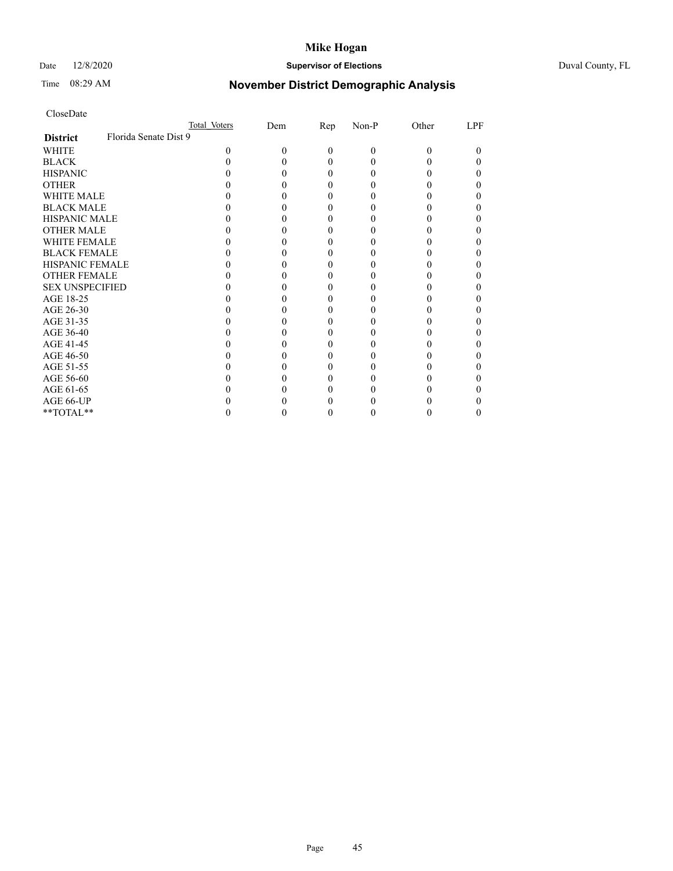# Date 12/8/2020 **Supervisor of Elections** Duval County, FL

# Time 08:29 AM **November District Demographic Analysis**

|                        | Total Voters          | Dem | $\mathbf{Rep}$ | Non-P    | Other | LPF |
|------------------------|-----------------------|-----|----------------|----------|-------|-----|
| <b>District</b>        | Florida Senate Dist 9 |     |                |          |       |     |
| WHITE                  | 0                     | 0   | 0              | $\theta$ | 0     | 0   |
| <b>BLACK</b>           |                       |     |                | 0        |       |     |
| <b>HISPANIC</b>        |                       |     |                | 0        |       |     |
| <b>OTHER</b>           |                       |     |                |          |       |     |
| <b>WHITE MALE</b>      |                       |     |                |          |       |     |
| <b>BLACK MALE</b>      |                       |     |                |          |       |     |
| <b>HISPANIC MALE</b>   |                       |     |                |          |       |     |
| <b>OTHER MALE</b>      |                       |     |                |          |       |     |
| WHITE FEMALE           |                       |     |                |          |       |     |
| <b>BLACK FEMALE</b>    |                       |     |                |          |       |     |
| <b>HISPANIC FEMALE</b> |                       |     |                |          |       |     |
| <b>OTHER FEMALE</b>    |                       |     |                |          |       |     |
| <b>SEX UNSPECIFIED</b> |                       |     |                |          |       |     |
| AGE 18-25              |                       |     |                |          |       |     |
| AGE 26-30              |                       |     |                |          |       |     |
| AGE 31-35              |                       |     |                |          |       |     |
| AGE 36-40              |                       |     |                |          |       |     |
| AGE 41-45              |                       |     |                |          |       |     |
| AGE 46-50              |                       |     |                |          |       |     |
| AGE 51-55              |                       |     |                |          |       |     |
| AGE 56-60              |                       |     |                |          |       |     |
| AGE 61-65              |                       |     |                |          |       |     |
| AGE 66-UP              |                       |     |                |          |       |     |
| **TOTAL**              |                       |     |                | 0        |       |     |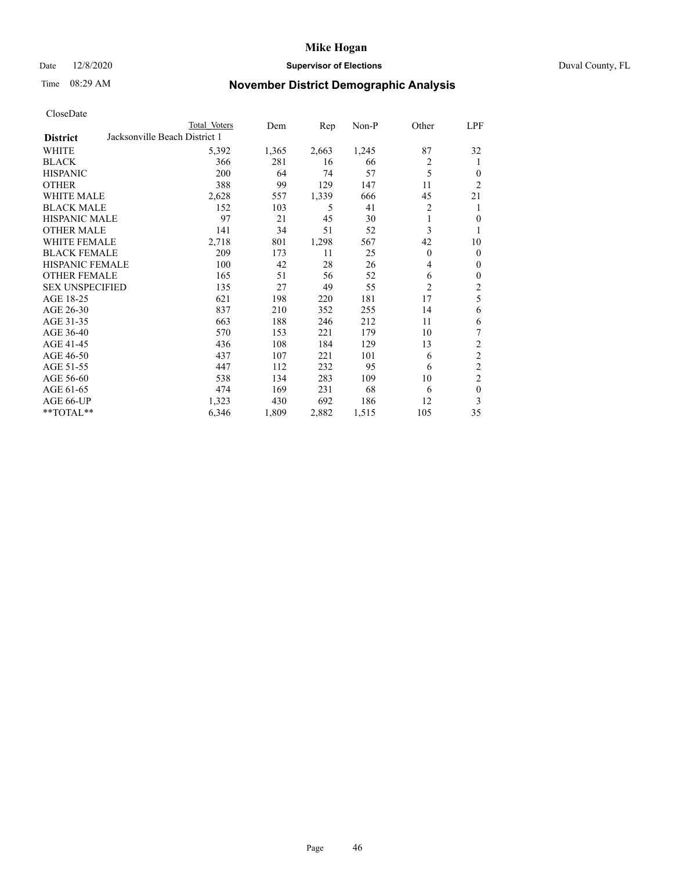# Date 12/8/2020 **Supervisor of Elections** Duval County, FL

# Time 08:29 AM **November District Demographic Analysis**

|                                                  | Total Voters | Dem   | Rep   | $Non-P$ | Other          | <u>LPF</u>       |
|--------------------------------------------------|--------------|-------|-------|---------|----------------|------------------|
| Jacksonville Beach District 1<br><b>District</b> |              |       |       |         |                |                  |
| WHITE                                            | 5,392        | 1,365 | 2,663 | 1,245   | 87             | 32               |
| <b>BLACK</b>                                     | 366          | 281   | 16    | 66      | $\overline{c}$ | 1                |
| <b>HISPANIC</b>                                  | 200          | 64    | 74    | 57      | 5              | $\theta$         |
| <b>OTHER</b>                                     | 388          | 99    | 129   | 147     | 11             | 2                |
| <b>WHITE MALE</b>                                | 2,628        | 557   | 1,339 | 666     | 45             | 21               |
| <b>BLACK MALE</b>                                | 152          | 103   | 5     | 41      | $\overline{c}$ | 1                |
| <b>HISPANIC MALE</b>                             | 97           | 21    | 45    | 30      | 1              | $\theta$         |
| <b>OTHER MALE</b>                                | 141          | 34    | 51    | 52      | 3              | 1                |
| WHITE FEMALE                                     | 2,718        | 801   | 1,298 | 567     | 42             | 10               |
| <b>BLACK FEMALE</b>                              | 209          | 173   | 11    | 25      | $\theta$       | $\mathbf{0}$     |
| <b>HISPANIC FEMALE</b>                           | 100          | 42    | 28    | 26      | 4              | $\mathbf{0}$     |
| <b>OTHER FEMALE</b>                              | 165          | 51    | 56    | 52      | 6              | $\boldsymbol{0}$ |
| <b>SEX UNSPECIFIED</b>                           | 135          | 27    | 49    | 55      | 2              | $\overline{c}$   |
| AGE 18-25                                        | 621          | 198   | 220   | 181     | 17             | 5                |
| AGE 26-30                                        | 837          | 210   | 352   | 255     | 14             | 6                |
| AGE 31-35                                        | 663          | 188   | 246   | 212     | 11             | 6                |
| AGE 36-40                                        | 570          | 153   | 221   | 179     | 10             | 7                |
| AGE 41-45                                        | 436          | 108   | 184   | 129     | 13             | 2                |
| AGE 46-50                                        | 437          | 107   | 221   | 101     | 6              | $\overline{c}$   |
| AGE 51-55                                        | 447          | 112   | 232   | 95      | 6              | $\overline{2}$   |
| AGE 56-60                                        | 538          | 134   | 283   | 109     | 10             | $\overline{c}$   |
| AGE 61-65                                        | 474          | 169   | 231   | 68      | 6              | $\mathbf{0}$     |
| AGE 66-UP                                        | 1,323        | 430   | 692   | 186     | 12             | 3                |
| **TOTAL**                                        | 6,346        | 1,809 | 2,882 | 1,515   | 105            | 35               |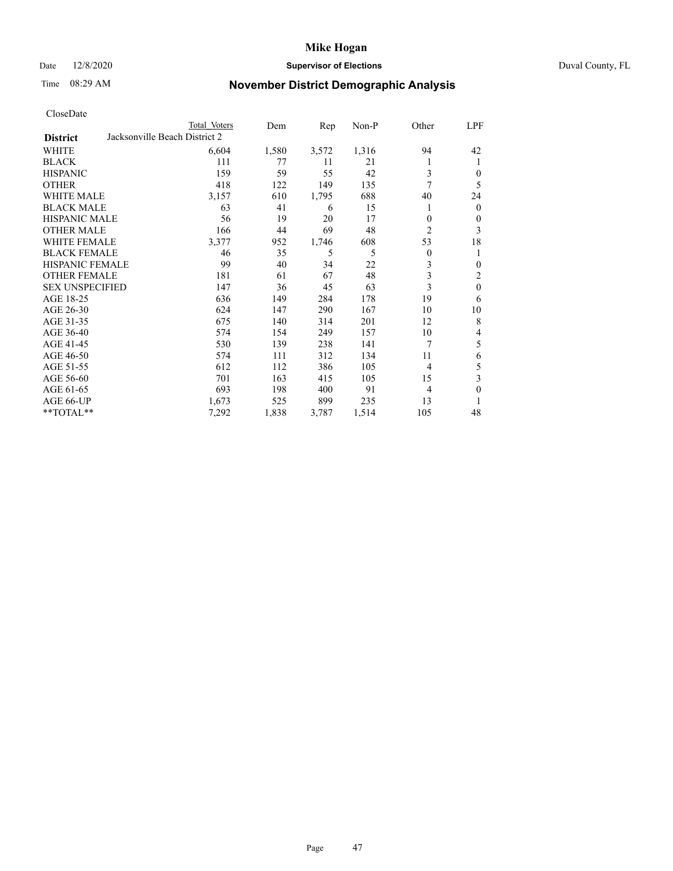# Date 12/8/2020 **Supervisor of Elections** Duval County, FL

# Time 08:29 AM **November District Demographic Analysis**

|                        |                               | Total Voters | Dem   | Rep   | Non-P | Other          | LPF              |
|------------------------|-------------------------------|--------------|-------|-------|-------|----------------|------------------|
| <b>District</b>        | Jacksonville Beach District 2 |              |       |       |       |                |                  |
| WHITE                  |                               | 6,604        | 1,580 | 3,572 | 1,316 | 94             | 42               |
| <b>BLACK</b>           |                               | 111          | 77    | 11    | 21    | 1              | 1                |
| <b>HISPANIC</b>        |                               | 159          | 59    | 55    | 42    | 3              | $\mathbf{0}$     |
| <b>OTHER</b>           |                               | 418          | 122   | 149   | 135   | 7              | 5                |
| <b>WHITE MALE</b>      |                               | 3,157        | 610   | 1,795 | 688   | 40             | 24               |
| <b>BLACK MALE</b>      |                               | 63           | 41    | 6     | 15    |                | $\mathbf{0}$     |
| <b>HISPANIC MALE</b>   |                               | 56           | 19    | 20    | 17    | $\theta$       | $\theta$         |
| <b>OTHER MALE</b>      |                               | 166          | 44    | 69    | 48    | $\overline{2}$ | 3                |
| <b>WHITE FEMALE</b>    |                               | 3,377        | 952   | 1,746 | 608   | 53             | 18               |
| <b>BLACK FEMALE</b>    |                               | 46           | 35    | 5     | 5     | $\theta$       | 1                |
| <b>HISPANIC FEMALE</b> |                               | 99           | 40    | 34    | 22    | 3              | $\boldsymbol{0}$ |
| <b>OTHER FEMALE</b>    |                               | 181          | 61    | 67    | 48    | 3              | $\overline{c}$   |
| <b>SEX UNSPECIFIED</b> |                               | 147          | 36    | 45    | 63    | 3              | $\mathbf{0}$     |
| AGE 18-25              |                               | 636          | 149   | 284   | 178   | 19             | 6                |
| AGE 26-30              |                               | 624          | 147   | 290   | 167   | 10             | 10               |
| AGE 31-35              |                               | 675          | 140   | 314   | 201   | 12             | 8                |
| AGE 36-40              |                               | 574          | 154   | 249   | 157   | 10             | 4                |
| AGE 41-45              |                               | 530          | 139   | 238   | 141   | 7              | 5                |
| AGE 46-50              |                               | 574          | 111   | 312   | 134   | 11             | 6                |
| AGE 51-55              |                               | 612          | 112   | 386   | 105   | $\overline{4}$ | 5                |
| AGE 56-60              |                               | 701          | 163   | 415   | 105   | 15             | 3                |
| AGE 61-65              |                               | 693          | 198   | 400   | 91    | 4              | $\mathbf{0}$     |
| AGE 66-UP              |                               | 1,673        | 525   | 899   | 235   | 13             | 1                |
| **TOTAL**              |                               | 7,292        | 1,838 | 3,787 | 1,514 | 105            | 48               |
|                        |                               |              |       |       |       |                |                  |